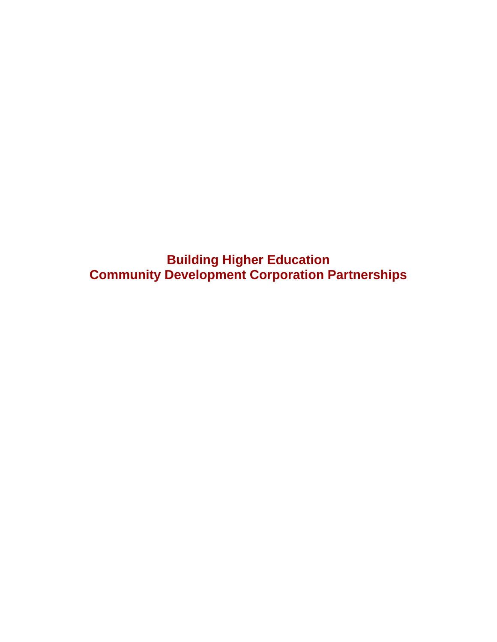**Building Higher Education Community Development Corporation Partnerships**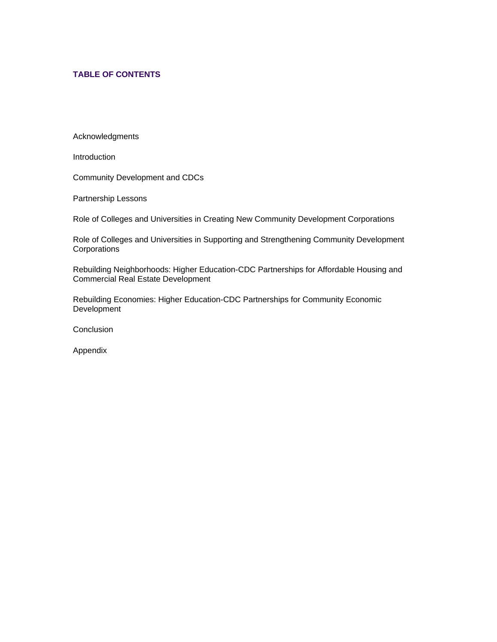# **TABLE OF CONTENTS**

Acknowledgments

**Introduction** 

Community Development and CDCs

Partnership Lessons

Role of Colleges and Universities in Creating New Community Development Corporations

Role of Colleges and Universities in Supporting and Strengthening Community Development **Corporations** 

Rebuilding Neighborhoods: Higher Education-CDC Partnerships for Affordable Housing and Commercial Real Estate Development

Rebuilding Economies: Higher Education-CDC Partnerships for Community Economic **Development** 

**Conclusion** 

Appendix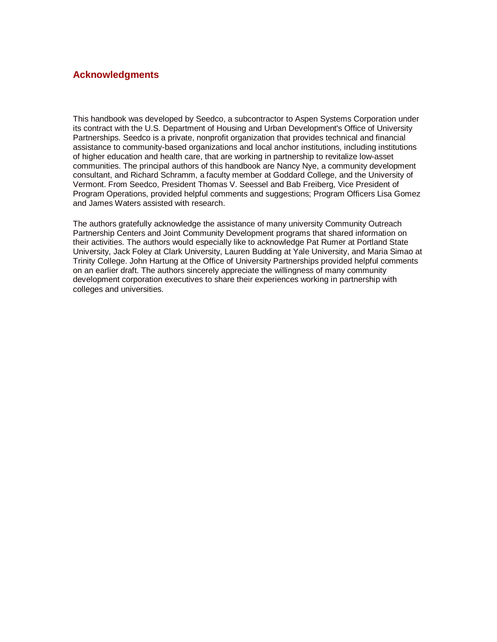# **Acknowledgments**

This handbook was developed by Seedco, a subcontractor to Aspen Systems Corporation under its contract with the U.S. Department of Housing and Urban Development's Office of University Partnerships. Seedco is a private, nonprofit organization that provides technical and financial assistance to community-based organizations and local anchor institutions, including institutions of higher education and health care, that are working in partnership to revitalize low-asset communities. The principal authors of this handbook are Nancy Nye, a community development consultant, and Richard Schramm, a faculty member at Goddard College, and the University of Vermont. From Seedco, President Thomas V. Seessel and Bab Freiberg, Vice President of Program Operations, provided helpful comments and suggestions; Program Officers Lisa Gomez and James Waters assisted with research.

The authors gratefully acknowledge the assistance of many university Community Outreach Partnership Centers and Joint Community Development programs that shared information on their activities. The authors would especially like to acknowledge Pat Rumer at Portland State University, Jack Foley at Clark University, Lauren Budding at Yale University, and Maria Simao at Trinity College. John Hartung at the Office of University Partnerships provided helpful comments on an earlier draft. The authors sincerely appreciate the willingness of many community development corporation executives to share their experiences working in partnership with colleges and universities.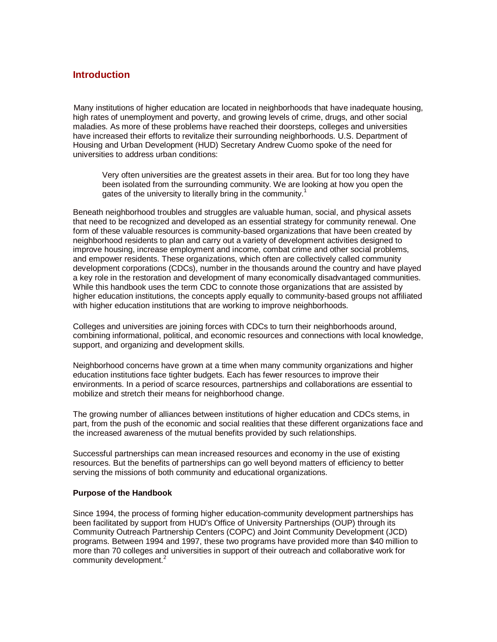# **Introduction**

Many institutions of higher education are located in neighborhoods that have inadequate housing, high rates of unemployment and poverty, and growing levels of crime, drugs, and other social maladies. As more of these problems have reached their doorsteps, colleges and universities have increased their efforts to revitalize their surrounding neighborhoods. U.S. Department of Housing and Urban Development (HUD) Secretary Andrew Cuomo spoke of the need for universities to address urban conditions:

Very often universities are the greatest assets in their area. But for too long they have been isolated from the surrounding community. We are looking at how you open the gates of the university to literally bring in the community.<sup>1</sup>

Beneath neighborhood troubles and struggles are valuable human, social, and physical assets that need to be recognized and developed as an essential strategy for community renewal. One form of these valuable resources is community-based organizations that have been created by neighborhood residents to plan and carry out a variety of development activities designed to improve housing, increase employment and income, combat crime and other social problems, and empower residents. These organizations, which often are collectively called community development corporations (CDCs), number in the thousands around the country and have played a key role in the restoration and development of many economically disadvantaged communities. While this handbook uses the term CDC to connote those organizations that are assisted by higher education institutions, the concepts apply equally to community-based groups not affiliated with higher education institutions that are working to improve neighborhoods.

Colleges and universities are joining forces with CDCs to turn their neighborhoods around, combining informational, political, and economic resources and connections with local knowledge, support, and organizing and development skills.

Neighborhood concerns have grown at a time when many community organizations and higher education institutions face tighter budgets. Each has fewer resources to improve their environments. In a period of scarce resources, partnerships and collaborations are essential to mobilize and stretch their means for neighborhood change.

The growing number of alliances between institutions of higher education and CDCs stems, in part, from the push of the economic and social realities that these different organizations face and the increased awareness of the mutual benefits provided by such relationships.

Successful partnerships can mean increased resources and economy in the use of existing resources. But the benefits of partnerships can go well beyond matters of efficiency to better serving the missions of both community and educational organizations.

## **Purpose of the Handbook**

Since 1994, the process of forming higher education-community development partnerships has been facilitated by support from HUD's Office of University Partnerships (OUP) through its Community Outreach Partnership Centers (COPC) and Joint Community Development (JCD) programs. Between 1994 and 1997, these two programs have provided more than \$40 million to more than 70 colleges and universities in support of their outreach and collaborative work for community development.<sup>2</sup>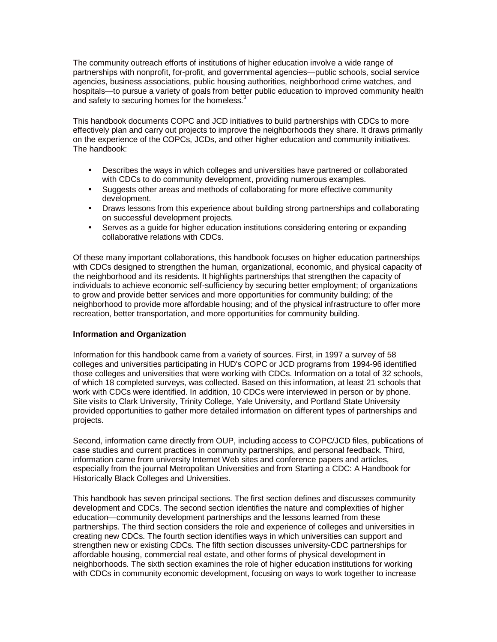The community outreach efforts of institutions of higher education involve a wide range of partnerships with nonprofit, for-profit, and governmental agencies—public schools, social service agencies, business associations, public housing authorities, neighborhood crime watches, and hospitals—to pursue a variety of goals from better public education to improved community health and safety to securing homes for the homeless. $3$ 

This handbook documents COPC and JCD initiatives to build partnerships with CDCs to more effectively plan and carry out projects to improve the neighborhoods they share. It draws primarily on the experience of the COPCs, JCDs, and other higher education and community initiatives. The handbook:

- Describes the ways in which colleges and universities have partnered or collaborated with CDCs to do community development, providing numerous examples.
- Suggests other areas and methods of collaborating for more effective community development.
- Draws lessons from this experience about building strong partnerships and collaborating on successful development projects.
- Serves as a guide for higher education institutions considering entering or expanding collaborative relations with CDCs.

Of these many important collaborations, this handbook focuses on higher education partnerships with CDCs designed to strengthen the human, organizational, economic, and physical capacity of the neighborhood and its residents. It highlights partnerships that strengthen the capacity of individuals to achieve economic self-sufficiency by securing better employment; of organizations to grow and provide better services and more opportunities for community building; of the neighborhood to provide more affordable housing; and of the physical infrastructure to offer more recreation, better transportation, and more opportunities for community building.

## **Information and Organization**

Information for this handbook came from a variety of sources. First, in 1997 a survey of 58 colleges and universities participating in HUD's COPC or JCD programs from 1994-96 identified those colleges and universities that were working with CDCs. Information on a total of 32 schools, of which 18 completed surveys, was collected. Based on this information, at least 21 schools that work with CDCs were identified. In addition, 10 CDCs were interviewed in person or by phone. Site visits to Clark University, Trinity College, Yale University, and Portland State University provided opportunities to gather more detailed information on different types of partnerships and projects.

Second, information came directly from OUP, including access to COPC/JCD files, publications of case studies and current practices in community partnerships, and personal feedback. Third, information came from university Internet Web sites and conference papers and articles, especially from the journal Metropolitan Universities and from Starting a CDC: A Handbook for Historically Black Colleges and Universities.

This handbook has seven principal sections. The first section defines and discusses community development and CDCs. The second section identifies the nature and complexities of higher education—community development partnerships and the lessons learned from these partnerships. The third section considers the role and experience of colleges and universities in creating new CDCs. The fourth section identifies ways in which universities can support and strengthen new or existing CDCs. The fifth section discusses university-CDC partnerships for affordable housing, commercial real estate, and other forms of physical development in neighborhoods. The sixth section examines the role of higher education institutions for working with CDCs in community economic development, focusing on ways to work together to increase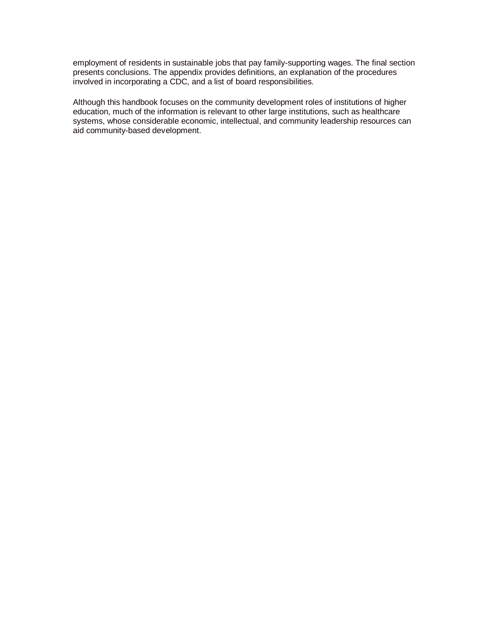employment of residents in sustainable jobs that pay family-supporting wages. The final section presents conclusions. The appendix provides definitions, an explanation of the procedures involved in incorporating a CDC, and a list of board responsibilities.

Although this handbook focuses on the community development roles of institutions of higher education, much of the information is relevant to other large institutions, such as healthcare systems, whose considerable economic, intellectual, and community leadership resources can aid community-based development.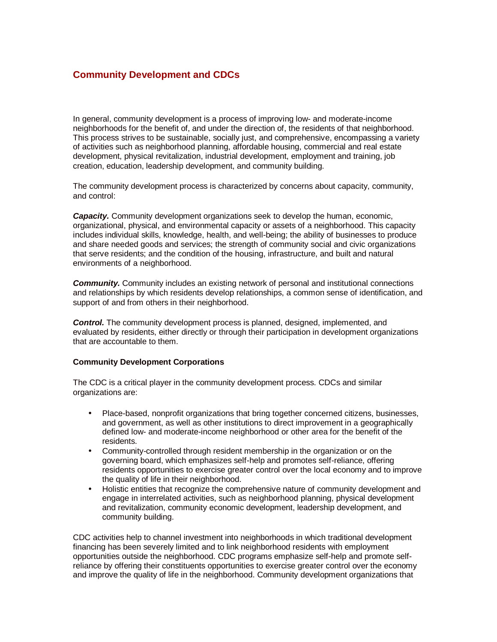# **Community Development and CDCs**

In general, community development is a process of improving low- and moderate-income neighborhoods for the benefit of, and under the direction of, the residents of that neighborhood. This process strives to be sustainable, socially just, and comprehensive, encompassing a variety of activities such as neighborhood planning, affordable housing, commercial and real estate development, physical revitalization, industrial development, employment and training, job creation, education, leadership development, and community building.

The community development process is characterized by concerns about capacity, community, and control:

*Capacity.* Community development organizations seek to develop the human, economic, organizational, physical, and environmental capacity or assets of a neighborhood. This capacity includes individual skills, knowledge, health, and well-being; the ability of businesses to produce and share needed goods and services; the strength of community social and civic organizations that serve residents; and the condition of the housing, infrastructure, and built and natural environments of a neighborhood.

**Community.** Community includes an existing network of personal and institutional connections and relationships by which residents develop relationships, a common sense of identification, and support of and from others in their neighborhood.

*Control.* The community development process is planned, designed, implemented, and evaluated by residents, either directly or through their participation in development organizations that are accountable to them.

## **Community Development Corporations**

The CDC is a critical player in the community development process. CDCs and similar organizations are:

- Place-based, nonprofit organizations that bring together concerned citizens, businesses, and government, as well as other institutions to direct improvement in a geographically defined low- and moderate-income neighborhood or other area for the benefit of the residents.
- Community-controlled through resident membership in the organization or on the governing board, which emphasizes self-help and promotes self-reliance, offering residents opportunities to exercise greater control over the local economy and to improve the quality of life in their neighborhood.
- Holistic entities that recognize the comprehensive nature of community development and engage in interrelated activities, such as neighborhood planning, physical development and revitalization, community economic development, leadership development, and community building.

CDC activities help to channel investment into neighborhoods in which traditional development financing has been severely limited and to link neighborhood residents with employment opportunities outside the neighborhood. CDC programs emphasize self-help and promote selfreliance by offering their constituents opportunities to exercise greater control over the economy and improve the quality of life in the neighborhood. Community development organizations that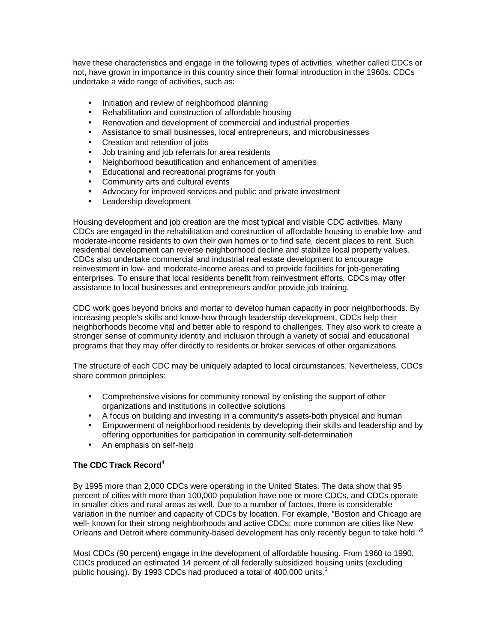have these characteristics and engage in the following types of activities, whether called CDCs or not, have grown in importance in this country since their formal introduction in the 1960s. CDCs undertake a wide range of activities, such as:

- Initiation and review of neighborhood planning
- Rehabilitation and construction of affordable housing
- Renovation and development of commercial and industrial properties
- Assistance to small businesses, local entrepreneurs, and microbusinesses
- Creation and retention of jobs
- Job training and job referrals for area residents
- Neighborhood beautification and enhancement of amenities
- Educational and recreational programs for youth
- Community arts and cultural events
- Advocacy for improved services and public and private investment
- Leadership development

Housing development and job creation are the most typical and visible CDC activities. Many CDCs are engaged in the rehabilitation and construction of affordable housing to enable low- and moderate-income residents to own their own homes or to find safe, decent places to rent. Such residential development can reverse neighborhood decline and stabilize local property values. CDCs also undertake commercial and industrial real estate development to encourage reinvestment in low- and moderate-income areas and to provide facilities for job-generating enterprises. To ensure that local residents benefit from reinvestment efforts, CDCs may offer assistance to local businesses and entrepreneurs and/or provide job training.

CDC work goes beyond bricks and mortar to develop human capacity in poor neighborhoods. By increasing people's skills and know-how through leadership development, CDCs help their neighborhoods become vital and better able to respond to challenges. They also work to create a stronger sense of community identity and inclusion through a variety of social and educational programs that they may offer directly to residents or broker services of other organizations.

The structure of each CDC may be uniquely adapted to local circumstances. Nevertheless, CDCs share common principles:

- Comprehensive visions for community renewal by enlisting the support of other organizations and institutions in collective solutions
- A focus on building and investing in a community's assets-both physical and human
- Empowerment of neighborhood residents by developing their skills and leadership and by offering opportunities for participation in community self-determination
- An emphasis on self-help

# **The CDC Track Record<sup>4</sup>**

By 1995 more than 2,000 CDCs were operating in the United States. The data show that 95 percent of cities with more than 100,000 population have one or more CDCs, and CDCs operate in smaller cities and rural areas as well. Due to a number of factors, there is considerable variation in the number and capacity of CDCs by location. For example, "Boston and Chicago are well- known for their strong neighborhoods and active CDCs; more common are cities like New Orleans and Detroit where community-based development has only recently begun to take hold."<sup>5</sup>

Most CDCs (90 percent) engage in the development of affordable housing. From 1960 to 1990, CDCs produced an estimated 14 percent of all federally subsidized housing units (excluding public housing). By 1993 CDCs had produced a total of 400,000 units. $^6$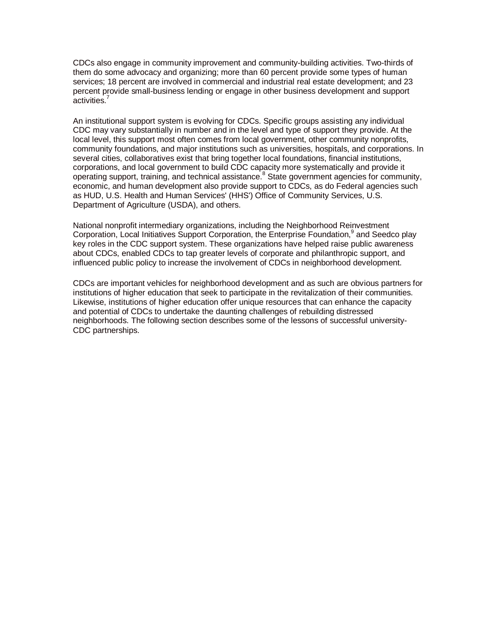CDCs also engage in community improvement and community-building activities. Two-thirds of them do some advocacy and organizing; more than 60 percent provide some types of human services; 18 percent are involved in commercial and industrial real estate development; and 23 percent provide small-business lending or engage in other business development and support activities.<sup>7</sup>

An institutional support system is evolving for CDCs. Specific groups assisting any individual CDC may vary substantially in number and in the level and type of support they provide. At the local level, this support most often comes from local government, other community nonprofits, community foundations, and major institutions such as universities, hospitals, and corporations. In several cities, collaboratives exist that bring together local foundations, financial institutions, corporations, and local government to build CDC capacity more systematically and provide it operating support, training, and technical assistance.<sup>8</sup> State government agencies for community, economic, and human development also provide support to CDCs, as do Federal agencies such as HUD, U.S. Health and Human Services' (HHS') Office of Community Services, U.S. Department of Agriculture (USDA), and others.

National nonprofit intermediary organizations, including the Neighborhood Reinvestment Corporation, Local Initiatives Support Corporation, the Enterprise Foundation,<sup>9</sup> and Seedco play key roles in the CDC support system. These organizations have helped raise public awareness about CDCs, enabled CDCs to tap greater levels of corporate and philanthropic support, and influenced public policy to increase the involvement of CDCs in neighborhood development.

CDCs are important vehicles for neighborhood development and as such are obvious partners for institutions of higher education that seek to participate in the revitalization of their communities. Likewise, institutions of higher education offer unique resources that can enhance the capacity and potential of CDCs to undertake the daunting challenges of rebuilding distressed neighborhoods. The following section describes some of the lessons of successful university-CDC partnerships.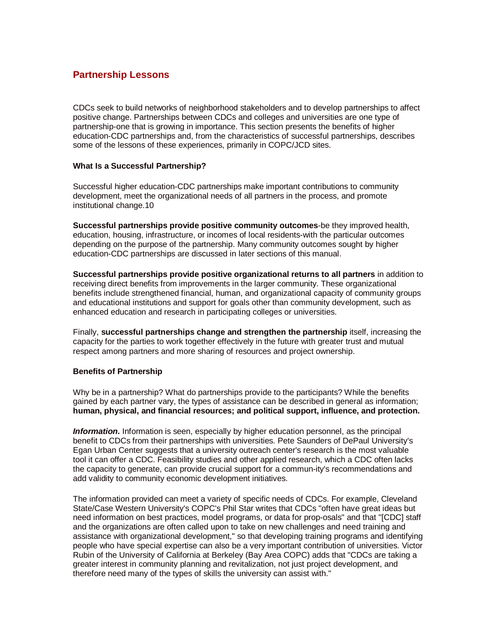# **Partnership Lessons**

CDCs seek to build networks of neighborhood stakeholders and to develop partnerships to affect positive change. Partnerships between CDCs and colleges and universities are one type of partnership-one that is growing in importance. This section presents the benefits of higher education-CDC partnerships and, from the characteristics of successful partnerships, describes some of the lessons of these experiences, primarily in COPC/JCD sites.

## **What Is a Successful Partnership?**

Successful higher education-CDC partnerships make important contributions to community development, meet the organizational needs of all partners in the process, and promote institutional change.10

**Successful partnerships provide positive community outcomes**-be they improved health, education, housing, infrastructure, or incomes of local residents-with the particular outcomes depending on the purpose of the partnership. Many community outcomes sought by higher education-CDC partnerships are discussed in later sections of this manual.

**Successful partnerships provide positive organizational returns to all partners** in addition to receiving direct benefits from improvements in the larger community. These organizational benefits include strengthened financial, human, and organizational capacity of community groups and educational institutions and support for goals other than community development, such as enhanced education and research in participating colleges or universities.

Finally, **successful partnerships change and strengthen the partnership** itself, increasing the capacity for the parties to work together effectively in the future with greater trust and mutual respect among partners and more sharing of resources and project ownership.

# **Benefits of Partnership**

Why be in a partnership? What do partnerships provide to the participants? While the benefits gained by each partner vary, the types of assistance can be described in general as information; **human, physical, and financial resources; and political support, influence, and protection.**

*Information.* Information is seen, especially by higher education personnel, as the principal benefit to CDCs from their partnerships with universities. Pete Saunders of DePaul University's Egan Urban Center suggests that a university outreach center's research is the most valuable tool it can offer a CDC. Feasibility studies and other applied research, which a CDC often lacks the capacity to generate, can provide crucial support for a commun-ity's recommendations and add validity to community economic development initiatives.

The information provided can meet a variety of specific needs of CDCs. For example, Cleveland State/Case Western University's COPC's Phil Star writes that CDCs "often have great ideas but need information on best practices, model programs, or data for prop-osals" and that "[CDC] staff and the organizations are often called upon to take on new challenges and need training and assistance with organizational development," so that developing training programs and identifying people who have special expertise can also be a very important contribution of universities. Victor Rubin of the University of California at Berkeley (Bay Area COPC) adds that "CDCs are taking a greater interest in community planning and revitalization, not just project development, and therefore need many of the types of skills the university can assist with."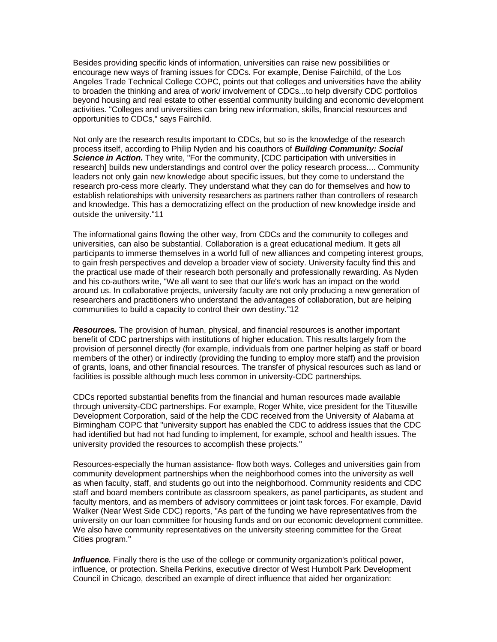Besides providing specific kinds of information, universities can raise new possibilities or encourage new ways of framing issues for CDCs. For example, Denise Fairchild, of the Los Angeles Trade Technical College COPC, points out that colleges and universities have the ability to broaden the thinking and area of work/ involvement of CDCs...to help diversify CDC portfolios beyond housing and real estate to other essential community building and economic development activities. "Colleges and universities can bring new information, skills, financial resources and opportunities to CDCs," says Fairchild.

Not only are the research results important to CDCs, but so is the knowledge of the research process itself, according to Philip Nyden and his coauthors of *Building Community: Social Science in Action.* They write, "For the community, [CDC participation with universities in research] builds new understandings and control over the policy research process.... Community leaders not only gain new knowledge about specific issues, but they come to understand the research pro-cess more clearly. They understand what they can do for themselves and how to establish relationships with university researchers as partners rather than controllers of research and knowledge. This has a democratizing effect on the production of new knowledge inside and outside the university."11

The informational gains flowing the other way, from CDCs and the community to colleges and universities, can also be substantial. Collaboration is a great educational medium. It gets all participants to immerse themselves in a world full of new alliances and competing interest groups, to gain fresh perspectives and develop a broader view of society. University faculty find this and the practical use made of their research both personally and professionally rewarding. As Nyden and his co-authors write, "We all want to see that our life's work has an impact on the world around us. In collaborative projects, university faculty are not only producing a new generation of researchers and practitioners who understand the advantages of collaboration, but are helping communities to build a capacity to control their own destiny."12

*Resources.* The provision of human, physical, and financial resources is another important benefit of CDC partnerships with institutions of higher education. This results largely from the provision of personnel directly (for example, individuals from one partner helping as staff or board members of the other) or indirectly (providing the funding to employ more staff) and the provision of grants, loans, and other financial resources. The transfer of physical resources such as land or facilities is possible although much less common in university-CDC partnerships.

CDCs reported substantial benefits from the financial and human resources made available through university-CDC partnerships. For example, Roger White, vice president for the Titusville Development Corporation, said of the help the CDC received from the University of Alabama at Birmingham COPC that "university support has enabled the CDC to address issues that the CDC had identified but had not had funding to implement, for example, school and health issues. The university provided the resources to accomplish these projects."

Resources-especially the human assistance- flow both ways. Colleges and universities gain from community development partnerships when the neighborhood comes into the university as well as when faculty, staff, and students go out into the neighborhood. Community residents and CDC staff and board members contribute as classroom speakers, as panel participants, as student and faculty mentors, and as members of advisory committees or joint task forces. For example, David Walker (Near West Side CDC) reports, "As part of the funding we have representatives from the university on our loan committee for housing funds and on our economic development committee. We also have community representatives on the university steering committee for the Great Cities program."

*Influence.* Finally there is the use of the college or community organization's political power, influence, or protection. Sheila Perkins, executive director of West Humbolt Park Development Council in Chicago, described an example of direct influence that aided her organization: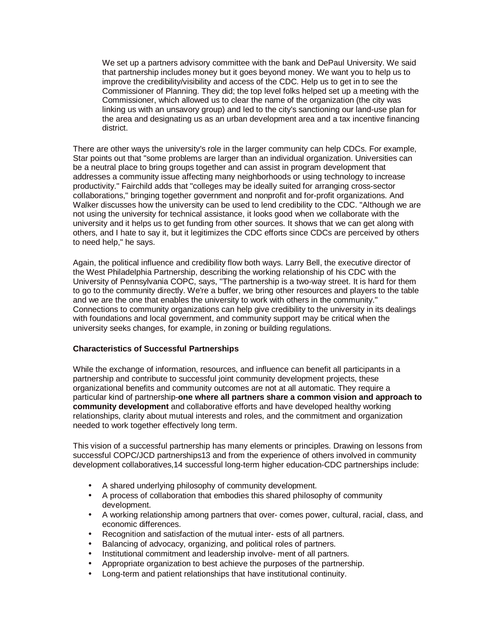We set up a partners advisory committee with the bank and DePaul University. We said that partnership includes money but it goes beyond money. We want you to help us to improve the credibility/visibility and access of the CDC. Help us to get in to see the Commissioner of Planning. They did; the top level folks helped set up a meeting with the Commissioner, which allowed us to clear the name of the organization (the city was linking us with an unsavory group) and led to the city's sanctioning our land-use plan for the area and designating us as an urban development area and a tax incentive financing district.

There are other ways the university's role in the larger community can help CDCs. For example, Star points out that "some problems are larger than an individual organization. Universities can be a neutral place to bring groups together and can assist in program development that addresses a community issue affecting many neighborhoods or using technology to increase productivity." Fairchild adds that "colleges may be ideally suited for arranging cross-sector collaborations," bringing together government and nonprofit and for-profit organizations. And Walker discusses how the university can be used to lend credibility to the CDC. "Although we are not using the university for technical assistance, it looks good when we collaborate with the university and it helps us to get funding from other sources. It shows that we can get along with others, and I hate to say it, but it legitimizes the CDC efforts since CDCs are perceived by others to need help," he says.

Again, the political influence and credibility flow both ways. Larry Bell, the executive director of the West Philadelphia Partnership, describing the working relationship of his CDC with the University of Pennsylvania COPC, says, "The partnership is a two-way street. It is hard for them to go to the community directly. We're a buffer, we bring other resources and players to the table and we are the one that enables the university to work with others in the community." Connections to community organizations can help give credibility to the university in its dealings with foundations and local government, and community support may be critical when the university seeks changes, for example, in zoning or building regulations.

## **Characteristics of Successful Partnerships**

While the exchange of information, resources, and influence can benefit all participants in a partnership and contribute to successful joint community development projects, these organizational benefits and community outcomes are not at all automatic. They require a particular kind of partnership-**one where all partners share a common vision and approach to community development** and collaborative efforts and have developed healthy working relationships, clarity about mutual interests and roles, and the commitment and organization needed to work together effectively long term.

This vision of a successful partnership has many elements or principles. Drawing on lessons from successful COPC/JCD partnerships13 and from the experience of others involved in community development collaboratives,14 successful long-term higher education-CDC partnerships include:

- A shared underlying philosophy of community development.
- A process of collaboration that embodies this shared philosophy of community development.
- A working relationship among partners that over- comes power, cultural, racial, class, and economic differences.
- Recognition and satisfaction of the mutual inter- ests of all partners.
- Balancing of advocacy, organizing, and political roles of partners.
- Institutional commitment and leadership involve- ment of all partners.
- Appropriate organization to best achieve the purposes of the partnership.
- Long-term and patient relationships that have institutional continuity.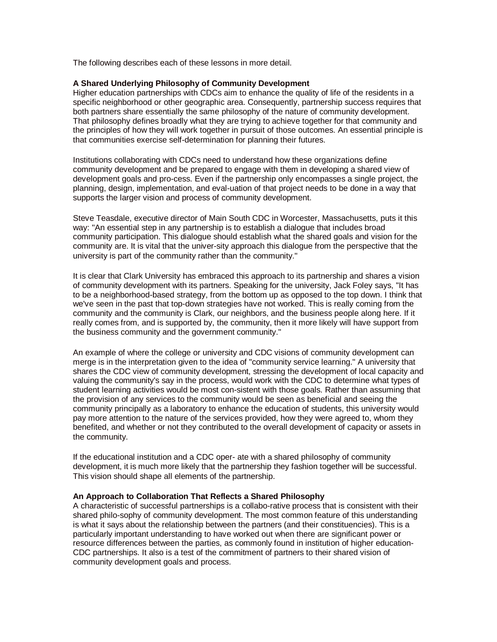The following describes each of these lessons in more detail.

### **A Shared Underlying Philosophy of Community Development**

Higher education partnerships with CDCs aim to enhance the quality of life of the residents in a specific neighborhood or other geographic area. Consequently, partnership success requires that both partners share essentially the same philosophy of the nature of community development. That philosophy defines broadly what they are trying to achieve together for that community and the principles of how they will work together in pursuit of those outcomes. An essential principle is that communities exercise self-determination for planning their futures.

Institutions collaborating with CDCs need to understand how these organizations define community development and be prepared to engage with them in developing a shared view of development goals and pro-cess. Even if the partnership only encompasses a single project, the planning, design, implementation, and eval-uation of that project needs to be done in a way that supports the larger vision and process of community development.

Steve Teasdale, executive director of Main South CDC in Worcester, Massachusetts, puts it this way: "An essential step in any partnership is to establish a dialogue that includes broad community participation. This dialogue should establish what the shared goals and vision for the community are. It is vital that the univer-sity approach this dialogue from the perspective that the university is part of the community rather than the community."

It is clear that Clark University has embraced this approach to its partnership and shares a vision of community development with its partners. Speaking for the university, Jack Foley says, "It has to be a neighborhood-based strategy, from the bottom up as opposed to the top down. I think that we've seen in the past that top-down strategies have not worked. This is really coming from the community and the community is Clark, our neighbors, and the business people along here. If it really comes from, and is supported by, the community, then it more likely will have support from the business community and the government community."

An example of where the college or university and CDC visions of community development can merge is in the interpretation given to the idea of "community service learning." A university that shares the CDC view of community development, stressing the development of local capacity and valuing the community's say in the process, would work with the CDC to determine what types of student learning activities would be most con-sistent with those goals. Rather than assuming that the provision of any services to the community would be seen as beneficial and seeing the community principally as a laboratory to enhance the education of students, this university would pay more attention to the nature of the services provided, how they were agreed to, whom they benefited, and whether or not they contributed to the overall development of capacity or assets in the community.

If the educational institution and a CDC oper- ate with a shared philosophy of community development, it is much more likely that the partnership they fashion together will be successful. This vision should shape all elements of the partnership.

### **An Approach to Collaboration That Reflects a Shared Philosophy**

A characteristic of successful partnerships is a collabo-rative process that is consistent with their shared philo-sophy of community development. The most common feature of this understanding is what it says about the relationship between the partners (and their constituencies). This is a particularly important understanding to have worked out when there are significant power or resource differences between the parties, as commonly found in institution of higher education-CDC partnerships. It also is a test of the commitment of partners to their shared vision of community development goals and process.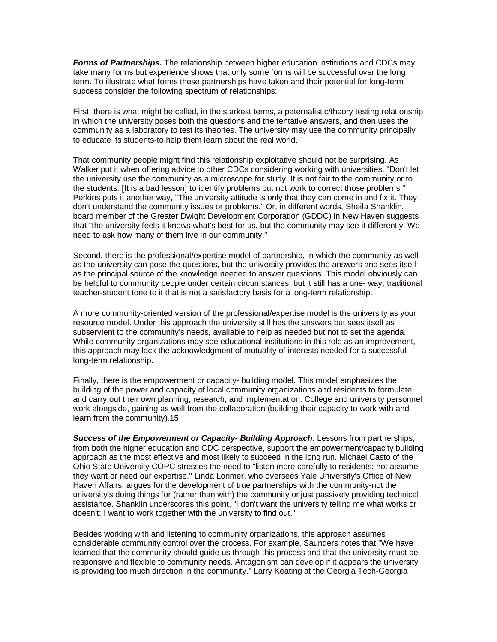*Forms of Partnerships.* The relationship between higher education institutions and CDCs may take many forms but experience shows that only some forms will be successful over the long term. To illustrate what forms these partnerships have taken and their potential for long-term success consider the following spectrum of relationships:

First, there is what might be called, in the starkest terms, a paternalistic/theory testing relationship in which the university poses both the questions and the tentative answers, and then uses the community as a laboratory to test its theories. The university may use the community principally to educate its students-to help them learn about the real world.

That community people might find this relationship exploitative should not be surprising. As Walker put it when offering advice to other CDCs considering working with universities, "Don't let the university use the community as a microscope for study. It is not fair to the community or to the students. [It is a bad lesson] to identify problems but not work to correct those problems." Perkins puts it another way, "The university attitude is only that they can come in and fix it. They don't understand the community issues or problems." Or, in different words, Sheila Shanklin, board member of the Greater Dwight Development Corporation (GDDC) in New Haven suggests that "the university feels it knows what's best for us, but the community may see it differently. We need to ask how many of them live in our community."

Second, there is the professional/expertise model of partnership, in which the community as well as the university can pose the questions, but the university provides the answers and sees itself as the principal source of the knowledge needed to answer questions. This model obviously can be helpful to community people under certain circumstances, but it still has a one- way, traditional teacher-student tone to it that is not a satisfactory basis for a long-term relationship.

A more community-oriented version of the professional/expertise model is the university as your resource model. Under this approach the university still has the answers but sees itself as subservient to the community's needs, available to help as needed but not to set the agenda. While community organizations may see educational institutions in this role as an improvement, this approach may lack the acknowledgment of mutuality of interests needed for a successful long-term relationship.

Finally, there is the empowerment or capacity- building model. This model emphasizes the building of the power and capacity of local community organizations and residents to formulate and carry out their own planning, research, and implementation. College and university personnel work alongside, gaining as well from the collaboration (building their capacity to work with and learn from the community).15

*Success of the Empowerment or Capacity- Building Approach.* Lessons from partnerships, from both the higher education and CDC perspective, support the empowerment/capacity building approach as the most effective and most likely to succeed in the long run. Michael Casto of the Ohio State University COPC stresses the need to "listen more carefully to residents; not assume they want or need our expertise." Linda Lorimer, who oversees Yale University's Office of New Haven Affairs, argues for the development of true partnerships with the community-not the university's doing things for (rather than with) the community or just passively providing technical assistance. Shanklin underscores this point, "I don't want the university telling me what works or doesn't; I want to work together with the university to find out."

Besides working with and listening to community organizations, this approach assumes considerable community control over the process. For example, Saunders notes that "We have learned that the community should guide us through this process and that the university must be responsive and flexible to community needs. Antagonism can develop if it appears the university is providing too much direction in the community." Larry Keating at the Georgia Tech-Georgia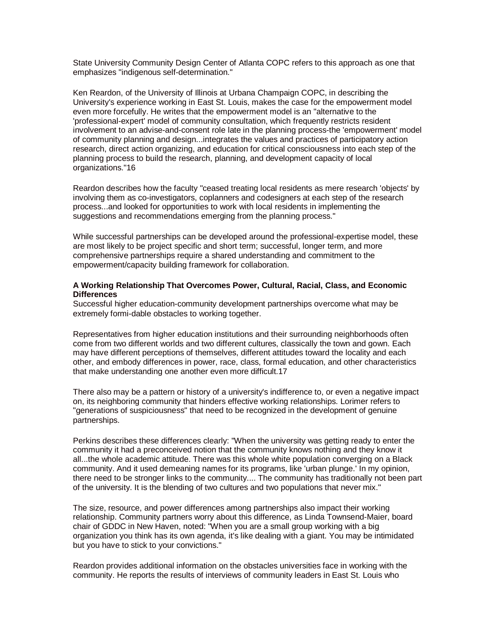State University Community Design Center of Atlanta COPC refers to this approach as one that emphasizes "indigenous self-determination."

Ken Reardon, of the University of Illinois at Urbana Champaign COPC, in describing the University's experience working in East St. Louis, makes the case for the empowerment model even more forcefully. He writes that the empowerment model is an "alternative to the 'professional-expert' model of community consultation, which frequently restricts resident involvement to an advise-and-consent role late in the planning process-the 'empowerment' model of community planning and design...integrates the values and practices of participatory action research, direct action organizing, and education for critical consciousness into each step of the planning process to build the research, planning, and development capacity of local organizations."16

Reardon describes how the faculty "ceased treating local residents as mere research 'objects' by involving them as co-investigators, coplanners and codesigners at each step of the research process...and looked for opportunities to work with local residents in implementing the suggestions and recommendations emerging from the planning process."

While successful partnerships can be developed around the professional-expertise model, these are most likely to be project specific and short term; successful, longer term, and more comprehensive partnerships require a shared understanding and commitment to the empowerment/capacity building framework for collaboration.

## **A Working Relationship That Overcomes Power, Cultural, Racial, Class, and Economic Differences**

Successful higher education-community development partnerships overcome what may be extremely formi-dable obstacles to working together.

Representatives from higher education institutions and their surrounding neighborhoods often come from two different worlds and two different cultures, classically the town and gown. Each may have different perceptions of themselves, different attitudes toward the locality and each other, and embody differences in power, race, class, formal education, and other characteristics that make understanding one another even more difficult.17

There also may be a pattern or history of a university's indifference to, or even a negative impact on, its neighboring community that hinders effective working relationships. Lorimer refers to "generations of suspiciousness" that need to be recognized in the development of genuine partnerships.

Perkins describes these differences clearly: "When the university was getting ready to enter the community it had a preconceived notion that the community knows nothing and they know it all...the whole academic attitude. There was this whole white population converging on a Black community. And it used demeaning names for its programs, like 'urban plunge.' In my opinion, there need to be stronger links to the community.... The community has traditionally not been part of the university. It is the blending of two cultures and two populations that never mix."

The size, resource, and power differences among partnerships also impact their working relationship. Community partners worry about this difference, as Linda Townsend-Maier, board chair of GDDC in New Haven, noted: "When you are a small group working with a big organization you think has its own agenda, it's like dealing with a giant. You may be intimidated but you have to stick to your convictions."

Reardon provides additional information on the obstacles universities face in working with the community. He reports the results of interviews of community leaders in East St. Louis who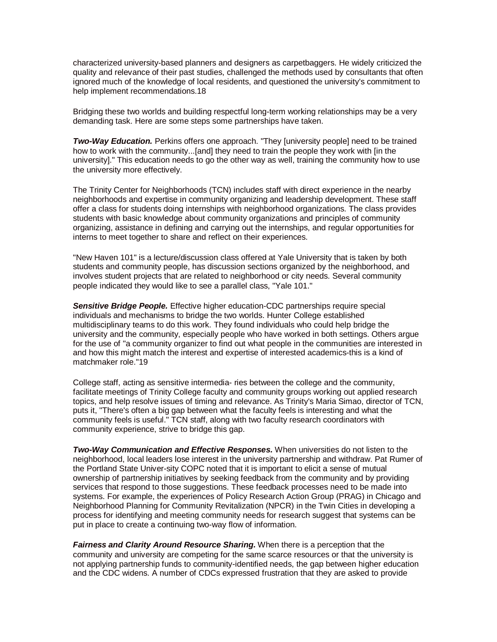characterized university-based planners and designers as carpetbaggers. He widely criticized the quality and relevance of their past studies, challenged the methods used by consultants that often ignored much of the knowledge of local residents, and questioned the university's commitment to help implement recommendations.18

Bridging these two worlds and building respectful long-term working relationships may be a very demanding task. Here are some steps some partnerships have taken.

*Two-Way Education.* Perkins offers one approach. "They [university people] need to be trained how to work with the community...[and] they need to train the people they work with [in the university]." This education needs to go the other way as well, training the community how to use the university more effectively.

The Trinity Center for Neighborhoods (TCN) includes staff with direct experience in the nearby neighborhoods and expertise in community organizing and leadership development. These staff offer a class for students doing internships with neighborhood organizations. The class provides students with basic knowledge about community organizations and principles of community organizing, assistance in defining and carrying out the internships, and regular opportunities for interns to meet together to share and reflect on their experiences.

"New Haven 101" is a lecture/discussion class offered at Yale University that is taken by both students and community people, has discussion sections organized by the neighborhood, and involves student projects that are related to neighborhood or city needs. Several community people indicated they would like to see a parallel class, "Yale 101."

*Sensitive Bridge People.* Effective higher education-CDC partnerships require special individuals and mechanisms to bridge the two worlds. Hunter College established multidisciplinary teams to do this work. They found individuals who could help bridge the university and the community, especially people who have worked in both settings. Others argue for the use of "a community organizer to find out what people in the communities are interested in and how this might match the interest and expertise of interested academics-this is a kind of matchmaker role."19

College staff, acting as sensitive intermedia- ries between the college and the community, facilitate meetings of Trinity College faculty and community groups working out applied research topics, and help resolve issues of timing and relevance. As Trinity's Maria Simao, director of TCN, puts it, "There's often a big gap between what the faculty feels is interesting and what the community feels is useful." TCN staff, along with two faculty research coordinators with community experience, strive to bridge this gap.

*Two-Way Communication and Effective Responses.* When universities do not listen to the neighborhood, local leaders lose interest in the university partnership and withdraw. Pat Rumer of the Portland State Univer-sity COPC noted that it is important to elicit a sense of mutual ownership of partnership initiatives by seeking feedback from the community and by providing services that respond to those suggestions. These feedback processes need to be made into systems. For example, the experiences of Policy Research Action Group (PRAG) in Chicago and Neighborhood Planning for Community Revitalization (NPCR) in the Twin Cities in developing a process for identifying and meeting community needs for research suggest that systems can be put in place to create a continuing two-way flow of information.

*Fairness and Clarity Around Resource Sharing.* When there is a perception that the community and university are competing for the same scarce resources or that the university is not applying partnership funds to community-identified needs, the gap between higher education and the CDC widens. A number of CDCs expressed frustration that they are asked to provide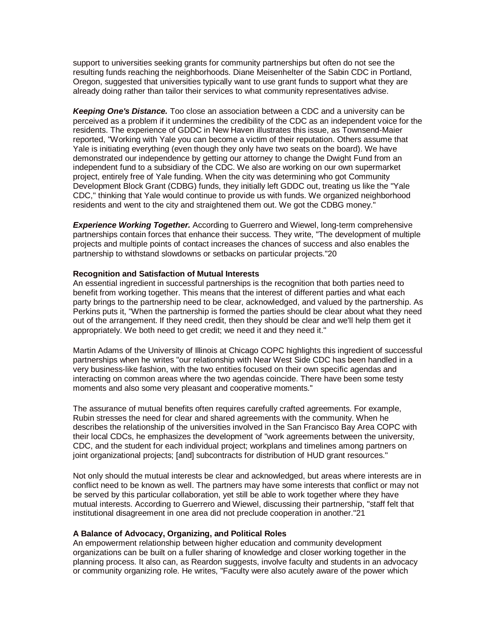support to universities seeking grants for community partnerships but often do not see the resulting funds reaching the neighborhoods. Diane Meisenhelter of the Sabin CDC in Portland, Oregon, suggested that universities typically want to use grant funds to support what they are already doing rather than tailor their services to what community representatives advise.

*Keeping One's Distance.* Too close an association between a CDC and a university can be perceived as a problem if it undermines the credibility of the CDC as an independent voice for the residents. The experience of GDDC in New Haven illustrates this issue, as Townsend-Maier reported, "Working with Yale you can become a victim of their reputation. Others assume that Yale is initiating everything (even though they only have two seats on the board). We have demonstrated our independence by getting our attorney to change the Dwight Fund from an independent fund to a subsidiary of the CDC. We also are working on our own supermarket project, entirely free of Yale funding. When the city was determining who got Community Development Block Grant (CDBG) funds, they initially left GDDC out, treating us like the "Yale CDC," thinking that Yale would continue to provide us with funds. We organized neighborhood residents and went to the city and straightened them out. We got the CDBG money."

*Experience Working Together.* According to Guerrero and Wiewel, long-term comprehensive partnerships contain forces that enhance their success. They write, "The development of multiple projects and multiple points of contact increases the chances of success and also enables the partnership to withstand slowdowns or setbacks on particular projects."20

### **Recognition and Satisfaction of Mutual Interests**

An essential ingredient in successful partnerships is the recognition that both parties need to benefit from working together. This means that the interest of different parties and what each party brings to the partnership need to be clear, acknowledged, and valued by the partnership. As Perkins puts it, "When the partnership is formed the parties should be clear about what they need out of the arrangement. If they need credit, then they should be clear and we'll help them get it appropriately. We both need to get credit; we need it and they need it."

Martin Adams of the University of Illinois at Chicago COPC highlights this ingredient of successful partnerships when he writes "our relationship with Near West Side CDC has been handled in a very business-like fashion, with the two entities focused on their own specific agendas and interacting on common areas where the two agendas coincide. There have been some testy moments and also some very pleasant and cooperative moments."

The assurance of mutual benefits often requires carefully crafted agreements. For example, Rubin stresses the need for clear and shared agreements with the community. When he describes the relationship of the universities involved in the San Francisco Bay Area COPC with their local CDCs, he emphasizes the development of "work agreements between the university, CDC, and the student for each individual project; workplans and timelines among partners on joint organizational projects; [and] subcontracts for distribution of HUD grant resources."

Not only should the mutual interests be clear and acknowledged, but areas where interests are in conflict need to be known as well. The partners may have some interests that conflict or may not be served by this particular collaboration, yet still be able to work together where they have mutual interests. According to Guerrero and Wiewel, discussing their partnership, "staff felt that institutional disagreement in one area did not preclude cooperation in another."21

### **A Balance of Advocacy, Organizing, and Political Roles**

An empowerment relationship between higher education and community development organizations can be built on a fuller sharing of knowledge and closer working together in the planning process. It also can, as Reardon suggests, involve faculty and students in an advocacy or community organizing role. He writes, "Faculty were also acutely aware of the power which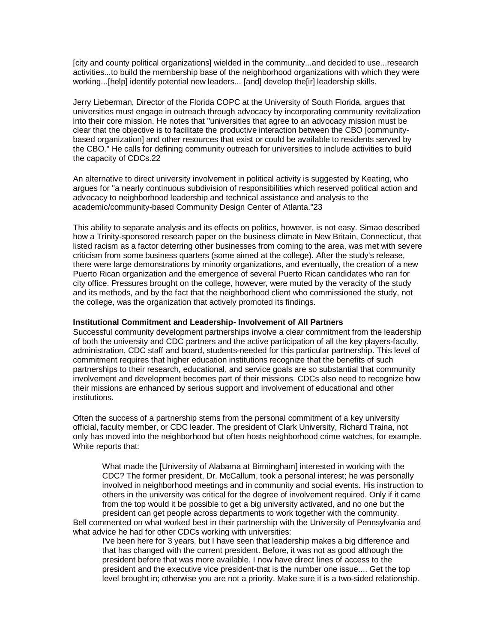[city and county political organizations] wielded in the community...and decided to use...research activities...to build the membership base of the neighborhood organizations with which they were working...[help] identify potential new leaders... [and] develop the[ir] leadership skills.

Jerry Lieberman, Director of the Florida COPC at the University of South Florida, argues that universities must engage in outreach through advocacy by incorporating community revitalization into their core mission. He notes that "universities that agree to an advocacy mission must be clear that the objective is to facilitate the productive interaction between the CBO [communitybased organization] and other resources that exist or could be available to residents served by the CBO." He calls for defining community outreach for universities to include activities to build the capacity of CDCs.22

An alternative to direct university involvement in political activity is suggested by Keating, who argues for "a nearly continuous subdivision of responsibilities which reserved political action and advocacy to neighborhood leadership and technical assistance and analysis to the academic/community-based Community Design Center of Atlanta."23

This ability to separate analysis and its effects on politics, however, is not easy. Simao described how a Trinity-sponsored research paper on the business climate in New Britain, Connecticut, that listed racism as a factor deterring other businesses from coming to the area, was met with severe criticism from some business quarters (some aimed at the college). After the study's release, there were large demonstrations by minority organizations, and eventually, the creation of a new Puerto Rican organization and the emergence of several Puerto Rican candidates who ran for city office. Pressures brought on the college, however, were muted by the veracity of the study and its methods, and by the fact that the neighborhood client who commissioned the study, not the college, was the organization that actively promoted its findings.

#### **Institutional Commitment and Leadership- Involvement of All Partners**

Successful community development partnerships involve a clear commitment from the leadership of both the university and CDC partners and the active participation of all the key players-faculty, administration, CDC staff and board, students-needed for this particular partnership. This level of commitment requires that higher education institutions recognize that the benefits of such partnerships to their research, educational, and service goals are so substantial that community involvement and development becomes part of their missions. CDCs also need to recognize how their missions are enhanced by serious support and involvement of educational and other institutions.

Often the success of a partnership stems from the personal commitment of a key university official, faculty member, or CDC leader. The president of Clark University, Richard Traina, not only has moved into the neighborhood but often hosts neighborhood crime watches, for example. White reports that:

What made the [University of Alabama at Birmingham] interested in working with the CDC? The former president, Dr. McCallum, took a personal interest; he was personally involved in neighborhood meetings and in community and social events. His instruction to others in the university was critical for the degree of involvement required. Only if it came from the top would it be possible to get a big university activated, and no one but the president can get people across departments to work together with the community. Bell commented on what worked best in their partnership with the University of Pennsylvania and

what advice he had for other CDCs working with universities:

I've been here for 3 years, but I have seen that leadership makes a big difference and that has changed with the current president. Before, it was not as good although the president before that was more available. I now have direct lines of access to the president and the executive vice president-that is the number one issue.... Get the top level brought in; otherwise you are not a priority. Make sure it is a two-sided relationship.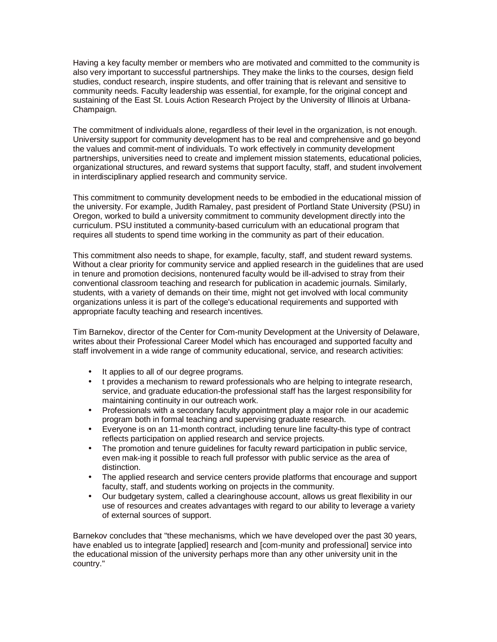Having a key faculty member or members who are motivated and committed to the community is also very important to successful partnerships. They make the links to the courses, design field studies, conduct research, inspire students, and offer training that is relevant and sensitive to community needs. Faculty leadership was essential, for example, for the original concept and sustaining of the East St. Louis Action Research Project by the University of Illinois at Urbana-Champaign.

The commitment of individuals alone, regardless of their level in the organization, is not enough. University support for community development has to be real and comprehensive and go beyond the values and commit-ment of individuals. To work effectively in community development partnerships, universities need to create and implement mission statements, educational policies, organizational structures, and reward systems that support faculty, staff, and student involvement in interdisciplinary applied research and community service.

This commitment to community development needs to be embodied in the educational mission of the university. For example, Judith Ramaley, past president of Portland State University (PSU) in Oregon, worked to build a university commitment to community development directly into the curriculum. PSU instituted a community-based curriculum with an educational program that requires all students to spend time working in the community as part of their education.

This commitment also needs to shape, for example, faculty, staff, and student reward systems. Without a clear priority for community service and applied research in the guidelines that are used in tenure and promotion decisions, nontenured faculty would be ill-advised to stray from their conventional classroom teaching and research for publication in academic journals. Similarly, students, with a variety of demands on their time, might not get involved with local community organizations unless it is part of the college's educational requirements and supported with appropriate faculty teaching and research incentives.

Tim Barnekov, director of the Center for Com-munity Development at the University of Delaware, writes about their Professional Career Model which has encouraged and supported faculty and staff involvement in a wide range of community educational, service, and research activities:

- It applies to all of our degree programs.
- t provides a mechanism to reward professionals who are helping to integrate research, service, and graduate education-the professional staff has the largest responsibility for maintaining continuity in our outreach work.
- Professionals with a secondary faculty appointment play a major role in our academic program both in formal teaching and supervising graduate research.
- Everyone is on an 11-month contract, including tenure line faculty-this type of contract reflects participation on applied research and service projects.
- The promotion and tenure guidelines for faculty reward participation in public service, even mak-ing it possible to reach full professor with public service as the area of distinction.
- The applied research and service centers provide platforms that encourage and support faculty, staff, and students working on projects in the community.
- Our budgetary system, called a clearinghouse account, allows us great flexibility in our use of resources and creates advantages with regard to our ability to leverage a variety of external sources of support.

Barnekov concludes that "these mechanisms, which we have developed over the past 30 years, have enabled us to integrate [applied] research and [com-munity and professional] service into the educational mission of the university perhaps more than any other university unit in the country."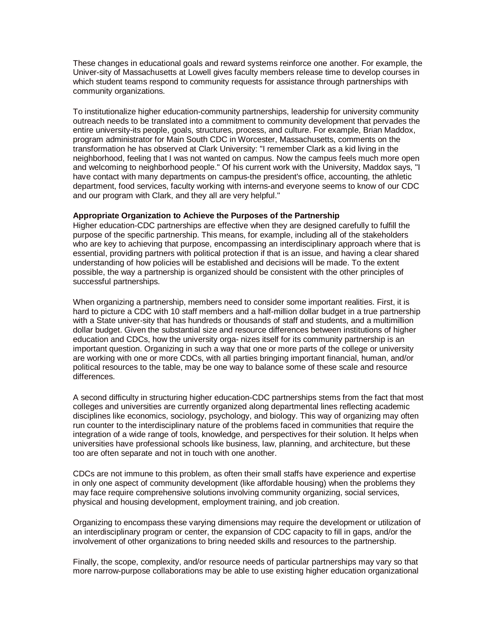These changes in educational goals and reward systems reinforce one another. For example, the Univer-sity of Massachusetts at Lowell gives faculty members release time to develop courses in which student teams respond to community requests for assistance through partnerships with community organizations.

To institutionalize higher education-community partnerships, leadership for university community outreach needs to be translated into a commitment to community development that pervades the entire university-its people, goals, structures, process, and culture. For example, Brian Maddox, program administrator for Main South CDC in Worcester, Massachusetts, comments on the transformation he has observed at Clark University: "I remember Clark as a kid living in the neighborhood, feeling that I was not wanted on campus. Now the campus feels much more open and welcoming to neighborhood people." Of his current work with the University, Maddox says, "I have contact with many departments on campus-the president's office, accounting, the athletic department, food services, faculty working with interns-and everyone seems to know of our CDC and our program with Clark, and they all are very helpful."

### **Appropriate Organization to Achieve the Purposes of the Partnership**

Higher education-CDC partnerships are effective when they are designed carefully to fulfill the purpose of the specific partnership. This means, for example, including all of the stakeholders who are key to achieving that purpose, encompassing an interdisciplinary approach where that is essential, providing partners with political protection if that is an issue, and having a clear shared understanding of how policies will be established and decisions will be made. To the extent possible, the way a partnership is organized should be consistent with the other principles of successful partnerships.

When organizing a partnership, members need to consider some important realities. First, it is hard to picture a CDC with 10 staff members and a half-million dollar budget in a true partnership with a State univer-sity that has hundreds or thousands of staff and students, and a multimillion dollar budget. Given the substantial size and resource differences between institutions of higher education and CDCs, how the university orga- nizes itself for its community partnership is an important question. Organizing in such a way that one or more parts of the college or university are working with one or more CDCs, with all parties bringing important financial, human, and/or political resources to the table, may be one way to balance some of these scale and resource differences.

A second difficulty in structuring higher education-CDC partnerships stems from the fact that most colleges and universities are currently organized along departmental lines reflecting academic disciplines like economics, sociology, psychology, and biology. This way of organizing may often run counter to the interdisciplinary nature of the problems faced in communities that require the integration of a wide range of tools, knowledge, and perspectives for their solution. It helps when universities have professional schools like business, law, planning, and architecture, but these too are often separate and not in touch with one another.

CDCs are not immune to this problem, as often their small staffs have experience and expertise in only one aspect of community development (like affordable housing) when the problems they may face require comprehensive solutions involving community organizing, social services, physical and housing development, employment training, and job creation.

Organizing to encompass these varying dimensions may require the development or utilization of an interdisciplinary program or center, the expansion of CDC capacity to fill in gaps, and/or the involvement of other organizations to bring needed skills and resources to the partnership.

Finally, the scope, complexity, and/or resource needs of particular partnerships may vary so that more narrow-purpose collaborations may be able to use existing higher education organizational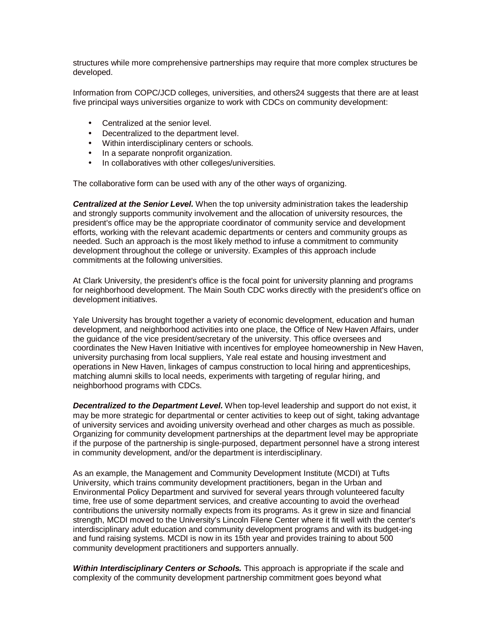structures while more comprehensive partnerships may require that more complex structures be developed.

Information from COPC/JCD colleges, universities, and others24 suggests that there are at least five principal ways universities organize to work with CDCs on community development:

- Centralized at the senior level.
- Decentralized to the department level.
- Within interdisciplinary centers or schools.
- In a separate nonprofit organization.
- In collaboratives with other colleges/universities.

The collaborative form can be used with any of the other ways of organizing.

*Centralized at the Senior Level.* When the top university administration takes the leadership and strongly supports community involvement and the allocation of university resources, the president's office may be the appropriate coordinator of community service and development efforts, working with the relevant academic departments or centers and community groups as needed. Such an approach is the most likely method to infuse a commitment to community development throughout the college or university. Examples of this approach include commitments at the following universities.

At Clark University, the president's office is the focal point for university planning and programs for neighborhood development. The Main South CDC works directly with the president's office on development initiatives.

Yale University has brought together a variety of economic development, education and human development, and neighborhood activities into one place, the Office of New Haven Affairs, under the guidance of the vice president/secretary of the university. This office oversees and coordinates the New Haven Initiative with incentives for employee homeownership in New Haven, university purchasing from local suppliers, Yale real estate and housing investment and operations in New Haven, linkages of campus construction to local hiring and apprenticeships, matching alumni skills to local needs, experiments with targeting of regular hiring, and neighborhood programs with CDCs.

*Decentralized to the Department Level.* When top-level leadership and support do not exist, it may be more strategic for departmental or center activities to keep out of sight, taking advantage of university services and avoiding university overhead and other charges as much as possible. Organizing for community development partnerships at the department level may be appropriate if the purpose of the partnership is single-purposed, department personnel have a strong interest in community development, and/or the department is interdisciplinary.

As an example, the Management and Community Development Institute (MCDI) at Tufts University, which trains community development practitioners, began in the Urban and Environmental Policy Department and survived for several years through volunteered faculty time, free use of some department services, and creative accounting to avoid the overhead contributions the university normally expects from its programs. As it grew in size and financial strength, MCDI moved to the University's Lincoln Filene Center where it fit well with the center's interdisciplinary adult education and community development programs and with its budget-ing and fund raising systems. MCDI is now in its 15th year and provides training to about 500 community development practitioners and supporters annually.

*Within Interdisciplinary Centers or Schools.* This approach is appropriate if the scale and complexity of the community development partnership commitment goes beyond what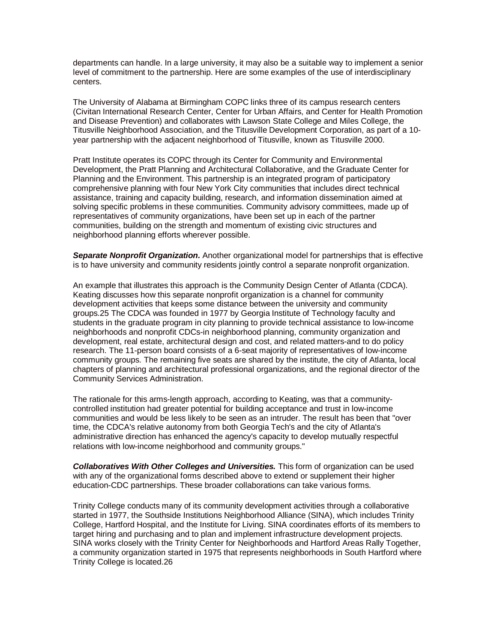departments can handle. In a large university, it may also be a suitable way to implement a senior level of commitment to the partnership. Here are some examples of the use of interdisciplinary centers.

The University of Alabama at Birmingham COPC links three of its campus research centers (Civitan International Research Center, Center for Urban Affairs, and Center for Health Promotion and Disease Prevention) and collaborates with Lawson State College and Miles College, the Titusville Neighborhood Association, and the Titusville Development Corporation, as part of a 10 year partnership with the adjacent neighborhood of Titusville, known as Titusville 2000.

Pratt Institute operates its COPC through its Center for Community and Environmental Development, the Pratt Planning and Architectural Collaborative, and the Graduate Center for Planning and the Environment. This partnership is an integrated program of participatory comprehensive planning with four New York City communities that includes direct technical assistance, training and capacity building, research, and information dissemination aimed at solving specific problems in these communities. Community advisory committees, made up of representatives of community organizations, have been set up in each of the partner communities, building on the strength and momentum of existing civic structures and neighborhood planning efforts wherever possible.

*Separate Nonprofit Organization.* Another organizational model for partnerships that is effective is to have university and community residents jointly control a separate nonprofit organization.

An example that illustrates this approach is the Community Design Center of Atlanta (CDCA). Keating discusses how this separate nonprofit organization is a channel for community development activities that keeps some distance between the university and community groups.25 The CDCA was founded in 1977 by Georgia Institute of Technology faculty and students in the graduate program in city planning to provide technical assistance to low-income neighborhoods and nonprofit CDCs-in neighborhood planning, community organization and development, real estate, architectural design and cost, and related matters-and to do policy research. The 11-person board consists of a 6-seat majority of representatives of low-income community groups. The remaining five seats are shared by the institute, the city of Atlanta, local chapters of planning and architectural professional organizations, and the regional director of the Community Services Administration.

The rationale for this arms-length approach, according to Keating, was that a communitycontrolled institution had greater potential for building acceptance and trust in low-income communities and would be less likely to be seen as an intruder. The result has been that "over time, the CDCA's relative autonomy from both Georgia Tech's and the city of Atlanta's administrative direction has enhanced the agency's capacity to develop mutually respectful relations with low-income neighborhood and community groups."

*Collaboratives With Other Colleges and Universities.* This form of organization can be used with any of the organizational forms described above to extend or supplement their higher education-CDC partnerships. These broader collaborations can take various forms.

Trinity College conducts many of its community development activities through a collaborative started in 1977, the Southside Institutions Neighborhood Alliance (SINA), which includes Trinity College, Hartford Hospital, and the Institute for Living. SINA coordinates efforts of its members to target hiring and purchasing and to plan and implement infrastructure development projects. SINA works closely with the Trinity Center for Neighborhoods and Hartford Areas Rally Together, a community organization started in 1975 that represents neighborhoods in South Hartford where Trinity College is located.26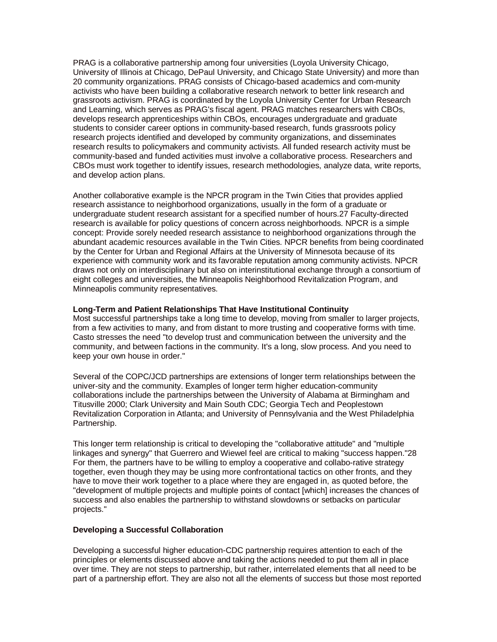PRAG is a collaborative partnership among four universities (Loyola University Chicago, University of Illinois at Chicago, DePaul University, and Chicago State University) and more than 20 community organizations. PRAG consists of Chicago-based academics and com-munity activists who have been building a collaborative research network to better link research and grassroots activism. PRAG is coordinated by the Loyola University Center for Urban Research and Learning, which serves as PRAG's fiscal agent. PRAG matches researchers with CBOs, develops research apprenticeships within CBOs, encourages undergraduate and graduate students to consider career options in community-based research, funds grassroots policy research projects identified and developed by community organizations, and disseminates research results to policymakers and community activists. All funded research activity must be community-based and funded activities must involve a collaborative process. Researchers and CBOs must work together to identify issues, research methodologies, analyze data, write reports, and develop action plans.

Another collaborative example is the NPCR program in the Twin Cities that provides applied research assistance to neighborhood organizations, usually in the form of a graduate or undergraduate student research assistant for a specified number of hours.27 Faculty-directed research is available for policy questions of concern across neighborhoods. NPCR is a simple concept: Provide sorely needed research assistance to neighborhood organizations through the abundant academic resources available in the Twin Cities. NPCR benefits from being coordinated by the Center for Urban and Regional Affairs at the University of Minnesota because of its experience with community work and its favorable reputation among community activists. NPCR draws not only on interdisciplinary but also on interinstitutional exchange through a consortium of eight colleges and universities, the Minneapolis Neighborhood Revitalization Program, and Minneapolis community representatives.

## **Long-Term and Patient Relationships That Have Institutional Continuity**

Most successful partnerships take a long time to develop, moving from smaller to larger projects, from a few activities to many, and from distant to more trusting and cooperative forms with time. Casto stresses the need "to develop trust and communication between the university and the community, and between factions in the community. It's a long, slow process. And you need to keep your own house in order."

Several of the COPC/JCD partnerships are extensions of longer term relationships between the univer-sity and the community. Examples of longer term higher education-community collaborations include the partnerships between the University of Alabama at Birmingham and Titusville 2000; Clark University and Main South CDC; Georgia Tech and Peoplestown Revitalization Corporation in Atlanta; and University of Pennsylvania and the West Philadelphia Partnership.

This longer term relationship is critical to developing the "collaborative attitude" and "multiple linkages and synergy" that Guerrero and Wiewel feel are critical to making "success happen."28 For them, the partners have to be willing to employ a cooperative and collabo-rative strategy together, even though they may be using more confrontational tactics on other fronts, and they have to move their work together to a place where they are engaged in, as quoted before, the "development of multiple projects and multiple points of contact [which] increases the chances of success and also enables the partnership to withstand slowdowns or setbacks on particular projects."

## **Developing a Successful Collaboration**

Developing a successful higher education-CDC partnership requires attention to each of the principles or elements discussed above and taking the actions needed to put them all in place over time. They are not steps to partnership, but rather, interrelated elements that all need to be part of a partnership effort. They are also not all the elements of success but those most reported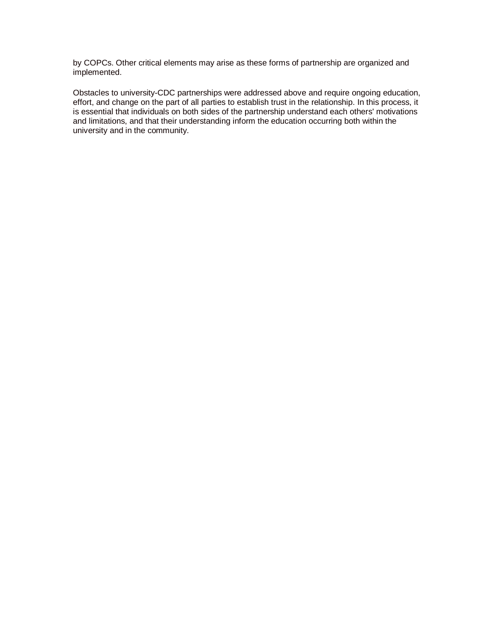by COPCs. Other critical elements may arise as these forms of partnership are organized and implemented.

Obstacles to university-CDC partnerships were addressed above and require ongoing education, effort, and change on the part of all parties to establish trust in the relationship. In this process, it is essential that individuals on both sides of the partnership understand each others' motivations and limitations, and that their understanding inform the education occurring both within the university and in the community.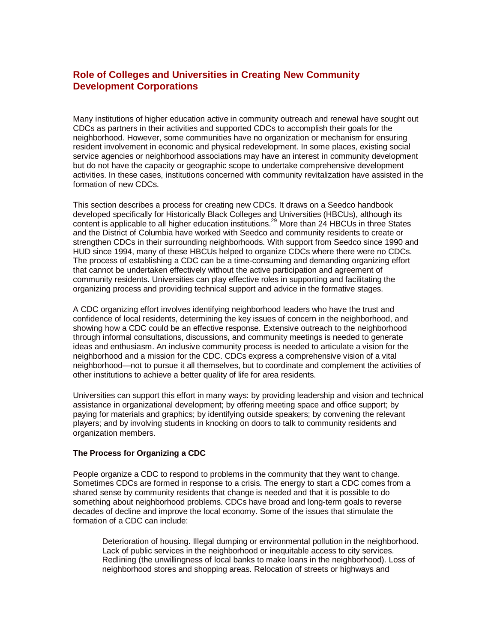# **Role of Colleges and Universities in Creating New Community Development Corporations**

Many institutions of higher education active in community outreach and renewal have sought out CDCs as partners in their activities and supported CDCs to accomplish their goals for the neighborhood. However, some communities have no organization or mechanism for ensuring resident involvement in economic and physical redevelopment. In some places, existing social service agencies or neighborhood associations may have an interest in community development but do not have the capacity or geographic scope to undertake comprehensive development activities. In these cases, institutions concerned with community revitalization have assisted in the formation of new CDCs.

This section describes a process for creating new CDCs. It draws on a Seedco handbook developed specifically for Historically Black Colleges and Universities (HBCUs), although its content is applicable to all higher education institutions.<sup>29</sup> More than 24 HBCUs in three States and the District of Columbia have worked with Seedco and community residents to create or strengthen CDCs in their surrounding neighborhoods. With support from Seedco since 1990 and HUD since 1994, many of these HBCUs helped to organize CDCs where there were no CDCs. The process of establishing a CDC can be a time-consuming and demanding organizing effort that cannot be undertaken effectively without the active participation and agreement of community residents. Universities can play effective roles in supporting and facilitating the organizing process and providing technical support and advice in the formative stages.

A CDC organizing effort involves identifying neighborhood leaders who have the trust and confidence of local residents, determining the key issues of concern in the neighborhood, and showing how a CDC could be an effective response. Extensive outreach to the neighborhood through informal consultations, discussions, and community meetings is needed to generate ideas and enthusiasm. An inclusive community process is needed to articulate a vision for the neighborhood and a mission for the CDC. CDCs express a comprehensive vision of a vital neighborhood—not to pursue it all themselves, but to coordinate and complement the activities of other institutions to achieve a better quality of life for area residents.

Universities can support this effort in many ways: by providing leadership and vision and technical assistance in organizational development; by offering meeting space and office support; by paying for materials and graphics; by identifying outside speakers; by convening the relevant players; and by involving students in knocking on doors to talk to community residents and organization members.

# **The Process for Organizing a CDC**

People organize a CDC to respond to problems in the community that they want to change. Sometimes CDCs are formed in response to a crisis. The energy to start a CDC comes from a shared sense by community residents that change is needed and that it is possible to do something about neighborhood problems. CDCs have broad and long-term goals to reverse decades of decline and improve the local economy. Some of the issues that stimulate the formation of a CDC can include:

Deterioration of housing. Illegal dumping or environmental pollution in the neighborhood. Lack of public services in the neighborhood or inequitable access to city services. Redlining (the unwillingness of local banks to make loans in the neighborhood). Loss of neighborhood stores and shopping areas. Relocation of streets or highways and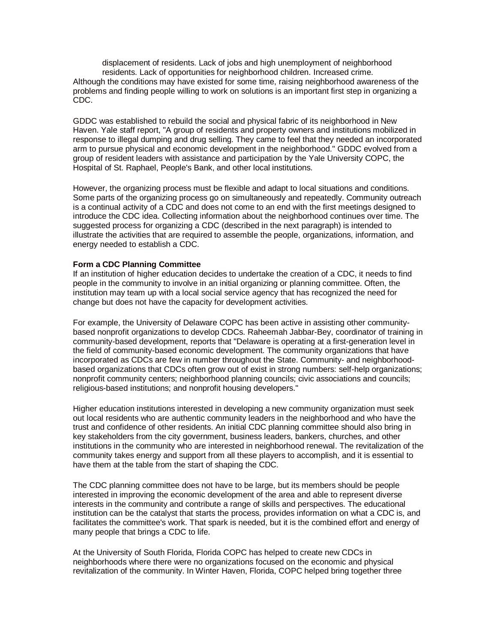displacement of residents. Lack of jobs and high unemployment of neighborhood residents. Lack of opportunities for neighborhood children. Increased crime. Although the conditions may have existed for some time, raising neighborhood awareness of the problems and finding people willing to work on solutions is an important first step in organizing a CDC.

GDDC was established to rebuild the social and physical fabric of its neighborhood in New Haven. Yale staff report, "A group of residents and property owners and institutions mobilized in response to illegal dumping and drug selling. They came to feel that they needed an incorporated arm to pursue physical and economic development in the neighborhood." GDDC evolved from a group of resident leaders with assistance and participation by the Yale University COPC, the Hospital of St. Raphael, People's Bank, and other local institutions.

However, the organizing process must be flexible and adapt to local situations and conditions. Some parts of the organizing process go on simultaneously and repeatedly. Community outreach is a continual activity of a CDC and does not come to an end with the first meetings designed to introduce the CDC idea. Collecting information about the neighborhood continues over time. The suggested process for organizing a CDC (described in the next paragraph) is intended to illustrate the activities that are required to assemble the people, organizations, information, and energy needed to establish a CDC.

### **Form a CDC Planning Committee**

If an institution of higher education decides to undertake the creation of a CDC, it needs to find people in the community to involve in an initial organizing or planning committee. Often, the institution may team up with a local social service agency that has recognized the need for change but does not have the capacity for development activities.

For example, the University of Delaware COPC has been active in assisting other communitybased nonprofit organizations to develop CDCs. Raheemah Jabbar-Bey, coordinator of training in community-based development, reports that "Delaware is operating at a first-generation level in the field of community-based economic development. The community organizations that have incorporated as CDCs are few in number throughout the State. Community- and neighborhoodbased organizations that CDCs often grow out of exist in strong numbers: self-help organizations; nonprofit community centers; neighborhood planning councils; civic associations and councils; religious-based institutions; and nonprofit housing developers."

Higher education institutions interested in developing a new community organization must seek out local residents who are authentic community leaders in the neighborhood and who have the trust and confidence of other residents. An initial CDC planning committee should also bring in key stakeholders from the city government, business leaders, bankers, churches, and other institutions in the community who are interested in neighborhood renewal. The revitalization of the community takes energy and support from all these players to accomplish, and it is essential to have them at the table from the start of shaping the CDC.

The CDC planning committee does not have to be large, but its members should be people interested in improving the economic development of the area and able to represent diverse interests in the community and contribute a range of skills and perspectives. The educational institution can be the catalyst that starts the process, provides information on what a CDC is, and facilitates the committee's work. That spark is needed, but it is the combined effort and energy of many people that brings a CDC to life.

At the University of South Florida, Florida COPC has helped to create new CDCs in neighborhoods where there were no organizations focused on the economic and physical revitalization of the community. In Winter Haven, Florida, COPC helped bring together three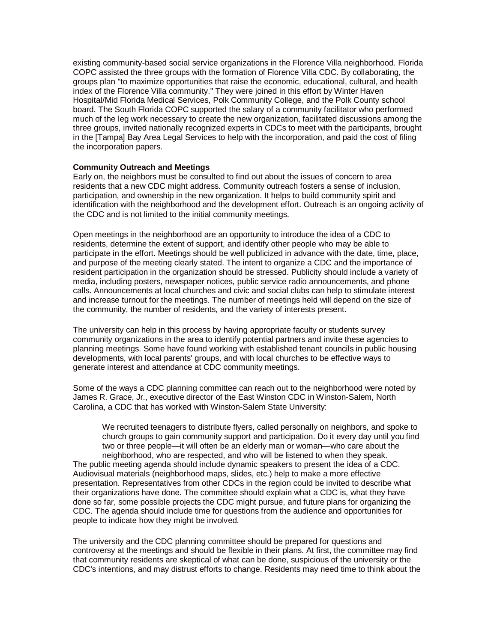existing community-based social service organizations in the Florence Villa neighborhood. Florida COPC assisted the three groups with the formation of Florence Villa CDC. By collaborating, the groups plan "to maximize opportunities that raise the economic, educational, cultural, and health index of the Florence Villa community." They were joined in this effort by Winter Haven Hospital/Mid Florida Medical Services, Polk Community College, and the Polk County school board. The South Florida COPC supported the salary of a community facilitator who performed much of the leg work necessary to create the new organization, facilitated discussions among the three groups, invited nationally recognized experts in CDCs to meet with the participants, brought in the [Tampa] Bay Area Legal Services to help with the incorporation, and paid the cost of filing the incorporation papers.

### **Community Outreach and Meetings**

Early on, the neighbors must be consulted to find out about the issues of concern to area residents that a new CDC might address. Community outreach fosters a sense of inclusion, participation, and ownership in the new organization. It helps to build community spirit and identification with the neighborhood and the development effort. Outreach is an ongoing activity of the CDC and is not limited to the initial community meetings.

Open meetings in the neighborhood are an opportunity to introduce the idea of a CDC to residents, determine the extent of support, and identify other people who may be able to participate in the effort. Meetings should be well publicized in advance with the date, time, place, and purpose of the meeting clearly stated. The intent to organize a CDC and the importance of resident participation in the organization should be stressed. Publicity should include a variety of media, including posters, newspaper notices, public service radio announcements, and phone calls. Announcements at local churches and civic and social clubs can help to stimulate interest and increase turnout for the meetings. The number of meetings held will depend on the size of the community, the number of residents, and the variety of interests present.

The university can help in this process by having appropriate faculty or students survey community organizations in the area to identify potential partners and invite these agencies to planning meetings. Some have found working with established tenant councils in public housing developments, with local parents' groups, and with local churches to be effective ways to generate interest and attendance at CDC community meetings.

Some of the ways a CDC planning committee can reach out to the neighborhood were noted by James R. Grace, Jr., executive director of the East Winston CDC in Winston-Salem, North Carolina, a CDC that has worked with Winston-Salem State University:

We recruited teenagers to distribute flyers, called personally on neighbors, and spoke to church groups to gain community support and participation. Do it every day until you find two or three people—it will often be an elderly man or woman—who care about the neighborhood, who are respected, and who will be listened to when they speak. The public meeting agenda should include dynamic speakers to present the idea of a CDC. Audiovisual materials (neighborhood maps, slides, etc.) help to make a more effective presentation. Representatives from other CDCs in the region could be invited to describe what their organizations have done. The committee should explain what a CDC is, what they have done so far, some possible projects the CDC might pursue, and future plans for organizing the CDC. The agenda should include time for questions from the audience and opportunities for people to indicate how they might be involved.

The university and the CDC planning committee should be prepared for questions and controversy at the meetings and should be flexible in their plans. At first, the committee may find that community residents are skeptical of what can be done, suspicious of the university or the CDC's intentions, and may distrust efforts to change. Residents may need time to think about the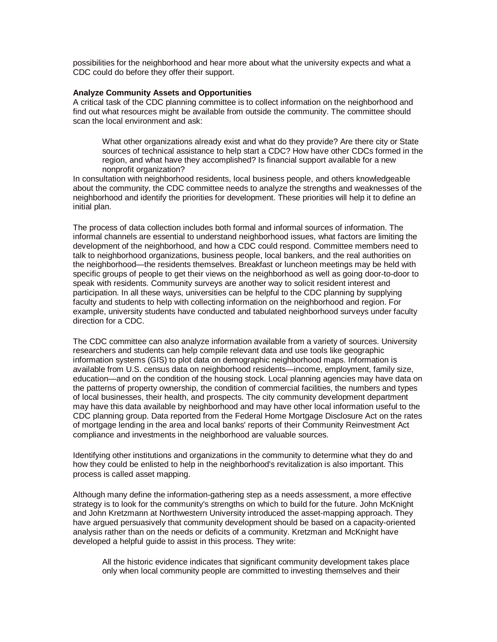possibilities for the neighborhood and hear more about what the university expects and what a CDC could do before they offer their support.

### **Analyze Community Assets and Opportunities**

A critical task of the CDC planning committee is to collect information on the neighborhood and find out what resources might be available from outside the community. The committee should scan the local environment and ask:

What other organizations already exist and what do they provide? Are there city or State sources of technical assistance to help start a CDC? How have other CDCs formed in the region, and what have they accomplished? Is financial support available for a new nonprofit organization?

In consultation with neighborhood residents, local business people, and others knowledgeable about the community, the CDC committee needs to analyze the strengths and weaknesses of the neighborhood and identify the priorities for development. These priorities will help it to define an initial plan.

The process of data collection includes both formal and informal sources of information. The informal channels are essential to understand neighborhood issues, what factors are limiting the development of the neighborhood, and how a CDC could respond. Committee members need to talk to neighborhood organizations, business people, local bankers, and the real authorities on the neighborhood—the residents themselves. Breakfast or luncheon meetings may be held with specific groups of people to get their views on the neighborhood as well as going door-to-door to speak with residents. Community surveys are another way to solicit resident interest and participation. In all these ways, universities can be helpful to the CDC planning by supplying faculty and students to help with collecting information on the neighborhood and region. For example, university students have conducted and tabulated neighborhood surveys under faculty direction for a CDC.

The CDC committee can also analyze information available from a variety of sources. University researchers and students can help compile relevant data and use tools like geographic information systems (GIS) to plot data on demographic neighborhood maps. Information is available from U.S. census data on neighborhood residents—income, employment, family size, education—and on the condition of the housing stock. Local planning agencies may have data on the patterns of property ownership, the condition of commercial facilities, the numbers and types of local businesses, their health, and prospects. The city community development department may have this data available by neighborhood and may have other local information useful to the CDC planning group. Data reported from the Federal Home Mortgage Disclosure Act on the rates of mortgage lending in the area and local banks' reports of their Community Reinvestment Act compliance and investments in the neighborhood are valuable sources.

Identifying other institutions and organizations in the community to determine what they do and how they could be enlisted to help in the neighborhood's revitalization is also important. This process is called asset mapping.

Although many define the information-gathering step as a needs assessment, a more effective strategy is to look for the community's strengths on which to build for the future. John McKnight and John Kretzmann at Northwestern University introduced the asset-mapping approach. They have argued persuasively that community development should be based on a capacity-oriented analysis rather than on the needs or deficits of a community. Kretzman and McKnight have developed a helpful guide to assist in this process. They write:

All the historic evidence indicates that significant community development takes place only when local community people are committed to investing themselves and their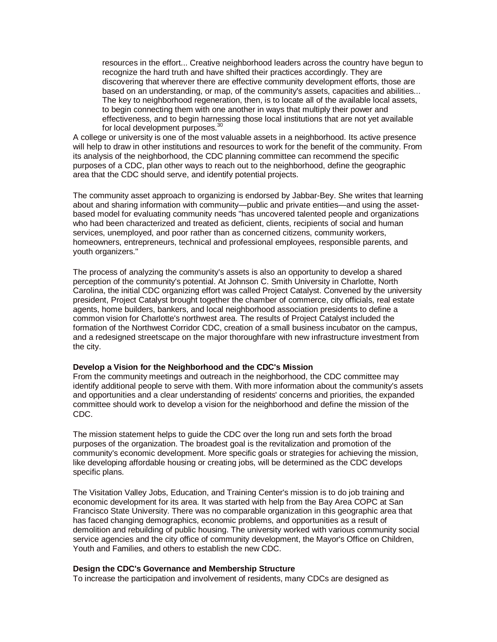resources in the effort... Creative neighborhood leaders across the country have begun to recognize the hard truth and have shifted their practices accordingly. They are discovering that wherever there are effective community development efforts, those are based on an understanding, or map, of the community's assets, capacities and abilities... The key to neighborhood regeneration, then, is to locate all of the available local assets, to begin connecting them with one another in ways that multiply their power and effectiveness, and to begin harnessing those local institutions that are not yet available for local development purposes.<sup>30</sup>

A college or university is one of the most valuable assets in a neighborhood. Its active presence will help to draw in other institutions and resources to work for the benefit of the community. From its analysis of the neighborhood, the CDC planning committee can recommend the specific purposes of a CDC, plan other ways to reach out to the neighborhood, define the geographic area that the CDC should serve, and identify potential projects.

The community asset approach to organizing is endorsed by Jabbar-Bey. She writes that learning about and sharing information with community—public and private entities—and using the assetbased model for evaluating community needs "has uncovered talented people and organizations who had been characterized and treated as deficient, clients, recipients of social and human services, unemployed, and poor rather than as concerned citizens, community workers, homeowners, entrepreneurs, technical and professional employees, responsible parents, and youth organizers."

The process of analyzing the community's assets is also an opportunity to develop a shared perception of the community's potential. At Johnson C. Smith University in Charlotte, North Carolina, the initial CDC organizing effort was called Project Catalyst. Convened by the university president, Project Catalyst brought together the chamber of commerce, city officials, real estate agents, home builders, bankers, and local neighborhood association presidents to define a common vision for Charlotte's northwest area. The results of Project Catalyst included the formation of the Northwest Corridor CDC, creation of a small business incubator on the campus, and a redesigned streetscape on the major thoroughfare with new infrastructure investment from the city.

#### **Develop a Vision for the Neighborhood and the CDC's Mission**

From the community meetings and outreach in the neighborhood, the CDC committee may identify additional people to serve with them. With more information about the community's assets and opportunities and a clear understanding of residents' concerns and priorities, the expanded committee should work to develop a vision for the neighborhood and define the mission of the CDC.

The mission statement helps to guide the CDC over the long run and sets forth the broad purposes of the organization. The broadest goal is the revitalization and promotion of the community's economic development. More specific goals or strategies for achieving the mission, like developing affordable housing or creating jobs, will be determined as the CDC develops specific plans.

The Visitation Valley Jobs, Education, and Training Center's mission is to do job training and economic development for its area. It was started with help from the Bay Area COPC at San Francisco State University. There was no comparable organization in this geographic area that has faced changing demographics, economic problems, and opportunities as a result of demolition and rebuilding of public housing. The university worked with various community social service agencies and the city office of community development, the Mayor's Office on Children, Youth and Families, and others to establish the new CDC.

#### **Design the CDC's Governance and Membership Structure**

To increase the participation and involvement of residents, many CDCs are designed as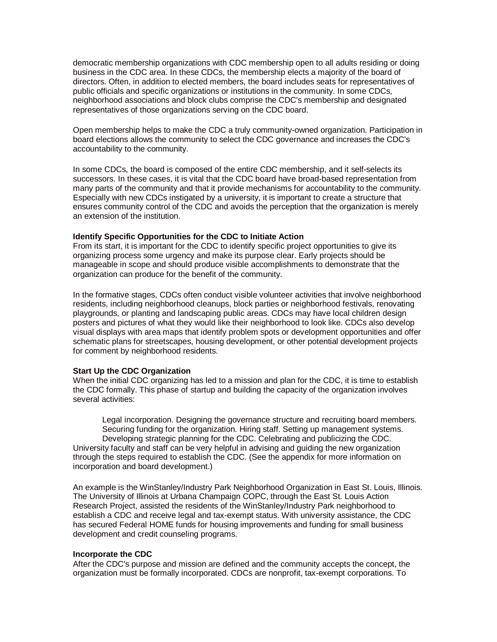democratic membership organizations with CDC membership open to all adults residing or doing business in the CDC area. In these CDCs, the membership elects a majority of the board of directors. Often, in addition to elected members, the board includes seats for representatives of public officials and specific organizations or institutions in the community. In some CDCs, neighborhood associations and block clubs comprise the CDC's membership and designated representatives of those organizations serving on the CDC board.

Open membership helps to make the CDC a truly community-owned organization. Participation in board elections allows the community to select the CDC governance and increases the CDC's accountability to the community.

In some CDCs, the board is composed of the entire CDC membership, and it self-selects its successors. In these cases, it is vital that the CDC board have broad-based representation from many parts of the community and that it provide mechanisms for accountability to the community. Especially with new CDCs instigated by a university, it is important to create a structure that ensures community control of the CDC and avoids the perception that the organization is merely an extension of the institution.

## **Identify Specific Opportunities for the CDC to Initiate Action**

From its start, it is important for the CDC to identify specific project opportunities to give its organizing process some urgency and make its purpose clear. Early projects should be manageable in scope and should produce visible accomplishments to demonstrate that the organization can produce for the benefit of the community.

In the formative stages, CDCs often conduct visible volunteer activities that involve neighborhood residents, including neighborhood cleanups, block parties or neighborhood festivals, renovating playgrounds, or planting and landscaping public areas. CDCs may have local children design posters and pictures of what they would like their neighborhood to look like. CDCs also develop visual displays with area maps that identify problem spots or development opportunities and offer schematic plans for streetscapes, housing development, or other potential development projects for comment by neighborhood residents.

## **Start Up the CDC Organization**

When the initial CDC organizing has led to a mission and plan for the CDC, it is time to establish the CDC formally. This phase of startup and building the capacity of the organization involves several activities:

Legal incorporation. Designing the governance structure and recruiting board members. Securing funding for the organization. Hiring staff. Setting up management systems. Developing strategic planning for the CDC. Celebrating and publicizing the CDC. University faculty and staff can be very helpful in advising and guiding the new organization through the steps required to establish the CDC. (See the appendix for more information on incorporation and board development.)

An example is the WinStanley/Industry Park Neighborhood Organization in East St. Louis, Illinois. The University of Illinois at Urbana Champaign COPC, through the East St. Louis Action Research Project, assisted the residents of the WinStanley/Industry Park neighborhood to establish a CDC and receive legal and tax-exempt status. With university assistance, the CDC has secured Federal HOME funds for housing improvements and funding for small business development and credit counseling programs.

## **Incorporate the CDC**

After the CDC's purpose and mission are defined and the community accepts the concept, the organization must be formally incorporated. CDCs are nonprofit, tax-exempt corporations. To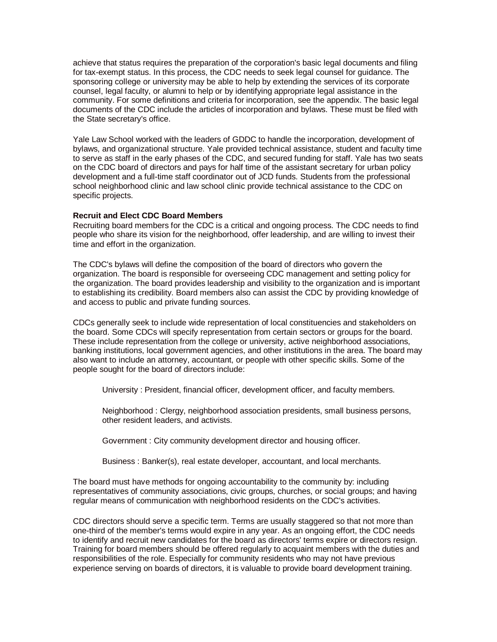achieve that status requires the preparation of the corporation's basic legal documents and filing for tax-exempt status. In this process, the CDC needs to seek legal counsel for guidance. The sponsoring college or university may be able to help by extending the services of its corporate counsel, legal faculty, or alumni to help or by identifying appropriate legal assistance in the community. For some definitions and criteria for incorporation, see the appendix. The basic legal documents of the CDC include the articles of incorporation and bylaws. These must be filed with the State secretary's office.

Yale Law School worked with the leaders of GDDC to handle the incorporation, development of bylaws, and organizational structure. Yale provided technical assistance, student and faculty time to serve as staff in the early phases of the CDC, and secured funding for staff. Yale has two seats on the CDC board of directors and pays for half time of the assistant secretary for urban policy development and a full-time staff coordinator out of JCD funds. Students from the professional school neighborhood clinic and law school clinic provide technical assistance to the CDC on specific projects.

### **Recruit and Elect CDC Board Members**

Recruiting board members for the CDC is a critical and ongoing process. The CDC needs to find people who share its vision for the neighborhood, offer leadership, and are willing to invest their time and effort in the organization.

The CDC's bylaws will define the composition of the board of directors who govern the organization. The board is responsible for overseeing CDC management and setting policy for the organization. The board provides leadership and visibility to the organization and is important to establishing its credibility. Board members also can assist the CDC by providing knowledge of and access to public and private funding sources.

CDCs generally seek to include wide representation of local constituencies and stakeholders on the board. Some CDCs will specify representation from certain sectors or groups for the board. These include representation from the college or university, active neighborhood associations, banking institutions, local government agencies, and other institutions in the area. The board may also want to include an attorney, accountant, or people with other specific skills. Some of the people sought for the board of directors include:

University : President, financial officer, development officer, and faculty members.

Neighborhood : Clergy, neighborhood association presidents, small business persons, other resident leaders, and activists.

Government : City community development director and housing officer.

Business : Banker(s), real estate developer, accountant, and local merchants.

The board must have methods for ongoing accountability to the community by: including representatives of community associations, civic groups, churches, or social groups; and having regular means of communication with neighborhood residents on the CDC's activities.

CDC directors should serve a specific term. Terms are usually staggered so that not more than one-third of the member's terms would expire in any year. As an ongoing effort, the CDC needs to identify and recruit new candidates for the board as directors' terms expire or directors resign. Training for board members should be offered regularly to acquaint members with the duties and responsibilities of the role. Especially for community residents who may not have previous experience serving on boards of directors, it is valuable to provide board development training.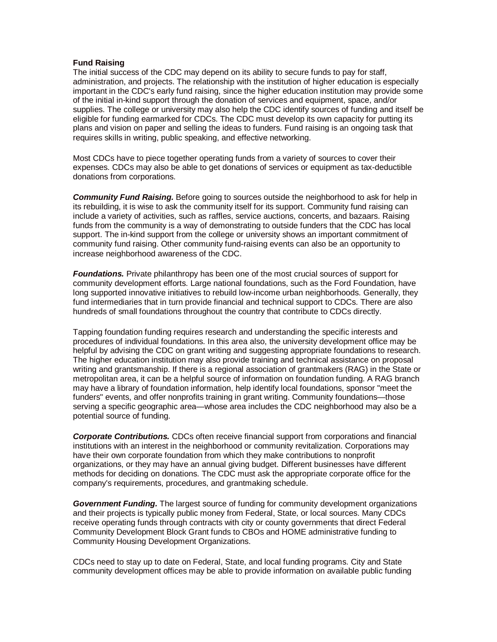## **Fund Raising**

The initial success of the CDC may depend on its ability to secure funds to pay for staff, administration, and projects. The relationship with the institution of higher education is especially important in the CDC's early fund raising, since the higher education institution may provide some of the initial in-kind support through the donation of services and equipment, space, and/or supplies. The college or university may also help the CDC identify sources of funding and itself be eligible for funding earmarked for CDCs. The CDC must develop its own capacity for putting its plans and vision on paper and selling the ideas to funders. Fund raising is an ongoing task that requires skills in writing, public speaking, and effective networking.

Most CDCs have to piece together operating funds from a variety of sources to cover their expenses. CDCs may also be able to get donations of services or equipment as tax-deductible donations from corporations.

*Community Fund Raising.* Before going to sources outside the neighborhood to ask for help in its rebuilding, it is wise to ask the community itself for its support. Community fund raising can include a variety of activities, such as raffles, service auctions, concerts, and bazaars. Raising funds from the community is a way of demonstrating to outside funders that the CDC has local support. The in-kind support from the college or university shows an important commitment of community fund raising. Other community fund-raising events can also be an opportunity to increase neighborhood awareness of the CDC.

*Foundations.* Private philanthropy has been one of the most crucial sources of support for community development efforts. Large national foundations, such as the Ford Foundation, have long supported innovative initiatives to rebuild low-income urban neighborhoods. Generally, they fund intermediaries that in turn provide financial and technical support to CDCs. There are also hundreds of small foundations throughout the country that contribute to CDCs directly.

Tapping foundation funding requires research and understanding the specific interests and procedures of individual foundations. In this area also, the university development office may be helpful by advising the CDC on grant writing and suggesting appropriate foundations to research. The higher education institution may also provide training and technical assistance on proposal writing and grantsmanship. If there is a regional association of grantmakers (RAG) in the State or metropolitan area, it can be a helpful source of information on foundation funding. A RAG branch may have a library of foundation information, help identify local foundations, sponsor "meet the funders" events, and offer nonprofits training in grant writing. Community foundations—those serving a specific geographic area—whose area includes the CDC neighborhood may also be a potential source of funding.

*Corporate Contributions.* CDCs often receive financial support from corporations and financial institutions with an interest in the neighborhood or community revitalization. Corporations may have their own corporate foundation from which they make contributions to nonprofit organizations, or they may have an annual giving budget. Different businesses have different methods for deciding on donations. The CDC must ask the appropriate corporate office for the company's requirements, procedures, and grantmaking schedule.

*Government Funding.* The largest source of funding for community development organizations and their projects is typically public money from Federal, State, or local sources. Many CDCs receive operating funds through contracts with city or county governments that direct Federal Community Development Block Grant funds to CBOs and HOME administrative funding to Community Housing Development Organizations.

CDCs need to stay up to date on Federal, State, and local funding programs. City and State community development offices may be able to provide information on available public funding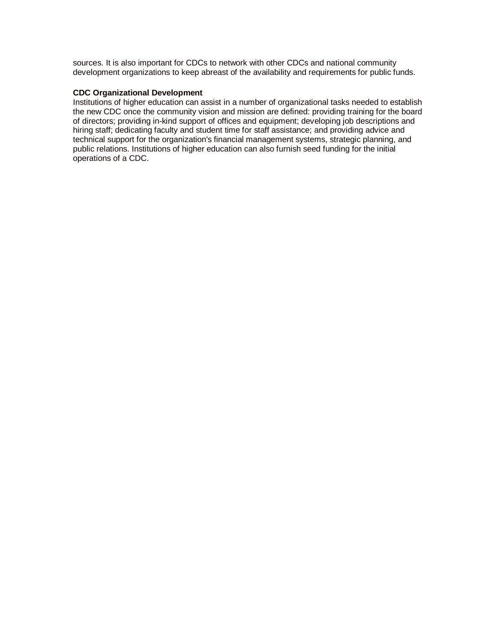sources. It is also important for CDCs to network with other CDCs and national community development organizations to keep abreast of the availability and requirements for public funds.

## **CDC Organizational Development**

Institutions of higher education can assist in a number of organizational tasks needed to establish the new CDC once the community vision and mission are defined: providing training for the board of directors; providing in-kind support of offices and equipment; developing job descriptions and hiring staff; dedicating faculty and student time for staff assistance; and providing advice and technical support for the organization's financial management systems, strategic planning, and public relations. Institutions of higher education can also furnish seed funding for the initial operations of a CDC.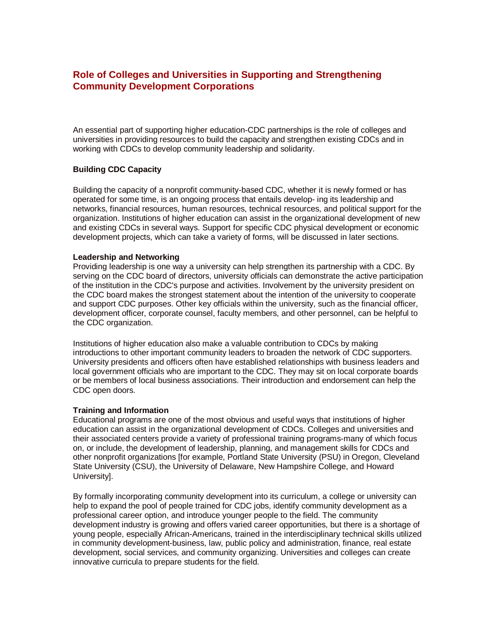# **Role of Colleges and Universities in Supporting and Strengthening Community Development Corporations**

An essential part of supporting higher education-CDC partnerships is the role of colleges and universities in providing resources to build the capacity and strengthen existing CDCs and in working with CDCs to develop community leadership and solidarity.

# **Building CDC Capacity**

Building the capacity of a nonprofit community-based CDC, whether it is newly formed or has operated for some time, is an ongoing process that entails develop- ing its leadership and networks, financial resources, human resources, technical resources, and political support for the organization. Institutions of higher education can assist in the organizational development of new and existing CDCs in several ways. Support for specific CDC physical development or economic development projects, which can take a variety of forms, will be discussed in later sections.

## **Leadership and Networking**

Providing leadership is one way a university can help strengthen its partnership with a CDC. By serving on the CDC board of directors, university officials can demonstrate the active participation of the institution in the CDC's purpose and activities. Involvement by the university president on the CDC board makes the strongest statement about the intention of the university to cooperate and support CDC purposes. Other key officials within the university, such as the financial officer, development officer, corporate counsel, faculty members, and other personnel, can be helpful to the CDC organization.

Institutions of higher education also make a valuable contribution to CDCs by making introductions to other important community leaders to broaden the network of CDC supporters. University presidents and officers often have established relationships with business leaders and local government officials who are important to the CDC. They may sit on local corporate boards or be members of local business associations. Their introduction and endorsement can help the CDC open doors.

## **Training and Information**

Educational programs are one of the most obvious and useful ways that institutions of higher education can assist in the organizational development of CDCs. Colleges and universities and their associated centers provide a variety of professional training programs-many of which focus on, or include, the development of leadership, planning, and management skills for CDCs and other nonprofit organizations [for example, Portland State University (PSU) in Oregon, Cleveland State University (CSU), the University of Delaware, New Hampshire College, and Howard University].

By formally incorporating community development into its curriculum, a college or university can help to expand the pool of people trained for CDC jobs, identify community development as a professional career option, and introduce younger people to the field. The community development industry is growing and offers varied career opportunities, but there is a shortage of young people, especially African-Americans, trained in the interdisciplinary technical skills utilized in community development-business, law, public policy and administration, finance, real estate development, social services, and community organizing. Universities and colleges can create innovative curricula to prepare students for the field.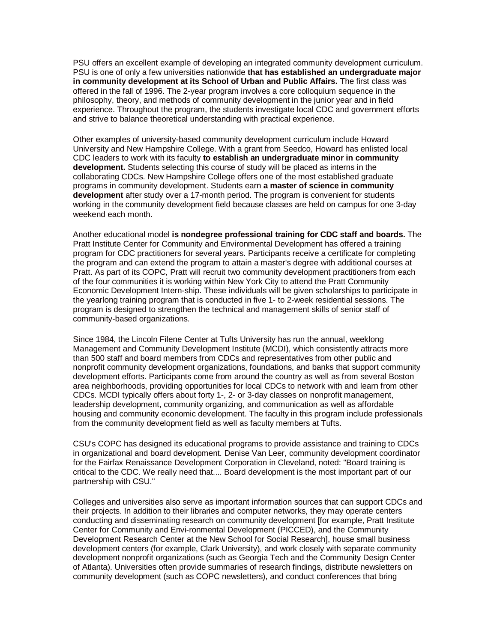PSU offers an excellent example of developing an integrated community development curriculum. PSU is one of only a few universities nationwide **that has established an undergraduate major in community development at its School of Urban and Public Affairs.** The first class was offered in the fall of 1996. The 2-year program involves a core colloquium sequence in the philosophy, theory, and methods of community development in the junior year and in field experience. Throughout the program, the students investigate local CDC and government efforts and strive to balance theoretical understanding with practical experience.

Other examples of university-based community development curriculum include Howard University and New Hampshire College. With a grant from Seedco, Howard has enlisted local CDC leaders to work with its faculty **to establish an undergraduate minor in community development.** Students selecting this course of study will be placed as interns in the collaborating CDCs. New Hampshire College offers one of the most established graduate programs in community development. Students earn **a master of science in community development** after study over a 17-month period. The program is convenient for students working in the community development field because classes are held on campus for one 3-day weekend each month.

Another educational model **is nondegree professional training for CDC staff and boards.** The Pratt Institute Center for Community and Environmental Development has offered a training program for CDC practitioners for several years. Participants receive a certificate for completing the program and can extend the program to attain a master's degree with additional courses at Pratt. As part of its COPC, Pratt will recruit two community development practitioners from each of the four communities it is working within New York City to attend the Pratt Community Economic Development Intern-ship. These individuals will be given scholarships to participate in the yearlong training program that is conducted in five 1- to 2-week residential sessions. The program is designed to strengthen the technical and management skills of senior staff of community-based organizations.

Since 1984, the Lincoln Filene Center at Tufts University has run the annual, weeklong Management and Community Development Institute (MCDI), which consistently attracts more than 500 staff and board members from CDCs and representatives from other public and nonprofit community development organizations, foundations, and banks that support community development efforts. Participants come from around the country as well as from several Boston area neighborhoods, providing opportunities for local CDCs to network with and learn from other CDCs. MCDI typically offers about forty 1-, 2- or 3-day classes on nonprofit management, leadership development, community organizing, and communication as well as affordable housing and community economic development. The faculty in this program include professionals from the community development field as well as faculty members at Tufts.

CSU's COPC has designed its educational programs to provide assistance and training to CDCs in organizational and board development. Denise Van Leer, community development coordinator for the Fairfax Renaissance Development Corporation in Cleveland, noted: "Board training is critical to the CDC. We really need that.... Board development is the most important part of our partnership with CSU."

Colleges and universities also serve as important information sources that can support CDCs and their projects. In addition to their libraries and computer networks, they may operate centers conducting and disseminating research on community development [for example, Pratt Institute Center for Community and Envi-ronmental Development (PICCED), and the Community Development Research Center at the New School for Social Research], house small business development centers (for example, Clark University), and work closely with separate community development nonprofit organizations (such as Georgia Tech and the Community Design Center of Atlanta). Universities often provide summaries of research findings, distribute newsletters on community development (such as COPC newsletters), and conduct conferences that bring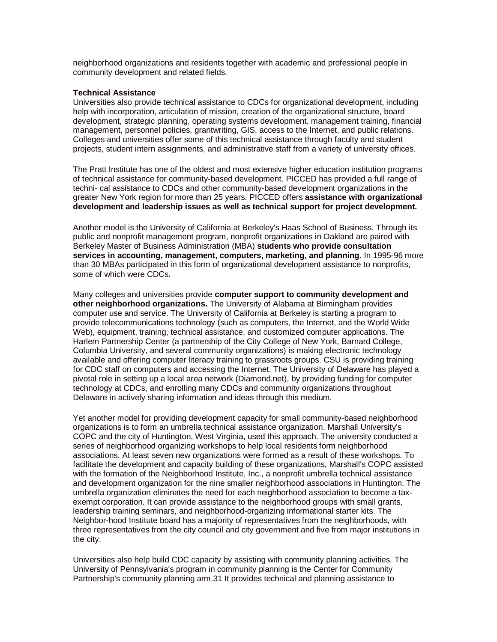neighborhood organizations and residents together with academic and professional people in community development and related fields.

## **Technical Assistance**

Universities also provide technical assistance to CDCs for organizational development, including help with incorporation, articulation of mission, creation of the organizational structure, board development, strategic planning, operating systems development, management training, financial management, personnel policies, grantwriting, GIS, access to the Internet, and public relations. Colleges and universities offer some of this technical assistance through faculty and student projects, student intern assignments, and administrative staff from a variety of university offices.

The Pratt Institute has one of the oldest and most extensive higher education institution programs of technical assistance for community-based development. PICCED has provided a full range of techni- cal assistance to CDCs and other community-based development organizations in the greater New York region for more than 25 years. PICCED offers **assistance with organizational development and leadership issues as well as technical support for project development.**

Another model is the University of California at Berkeley's Haas School of Business. Through its public and nonprofit management program, nonprofit organizations in Oakland are paired with Berkeley Master of Business Administration (MBA) **students who provide consultation services in accounting, management, computers, marketing, and planning.** In 1995-96 more than 30 MBAs participated in this form of organizational development assistance to nonprofits, some of which were CDCs.

Many colleges and universities provide **computer support to community development and other neighborhood organizations.** The University of Alabama at Birmingham provides computer use and service. The University of California at Berkeley is starting a program to provide telecommunications technology (such as computers, the Internet, and the World Wide Web), equipment, training, technical assistance, and customized computer applications. The Harlem Partnership Center (a partnership of the City College of New York, Barnard College, Columbia University, and several community organizations) is making electronic technology available and offering computer literacy training to grassroots groups. CSU is providing training for CDC staff on computers and accessing the Internet. The University of Delaware has played a pivotal role in setting up a local area network (Diamond.net), by providing funding for computer technology at CDCs, and enrolling many CDCs and community organizations throughout Delaware in actively sharing information and ideas through this medium.

Yet another model for providing development capacity for small community-based neighborhood organizations is to form an umbrella technical assistance organization. Marshall University's COPC and the city of Huntington, West Virginia, used this approach. The university conducted a series of neighborhood organizing workshops to help local residents form neighborhood associations. At least seven new organizations were formed as a result of these workshops. To facilitate the development and capacity building of these organizations, Marshall's COPC assisted with the formation of the Neighborhood Institute, Inc., a nonprofit umbrella technical assistance and development organization for the nine smaller neighborhood associations in Huntington. The umbrella organization eliminates the need for each neighborhood association to become a taxexempt corporation. It can provide assistance to the neighborhood groups with small grants, leadership training seminars, and neighborhood-organizing informational starter kits. The Neighbor-hood Institute board has a majority of representatives from the neighborhoods, with three representatives from the city council and city government and five from major institutions in the city.

Universities also help build CDC capacity by assisting with community planning activities. The University of Pennsylvania's program in community planning is the Center for Community Partnership's community planning arm.31 It provides technical and planning assistance to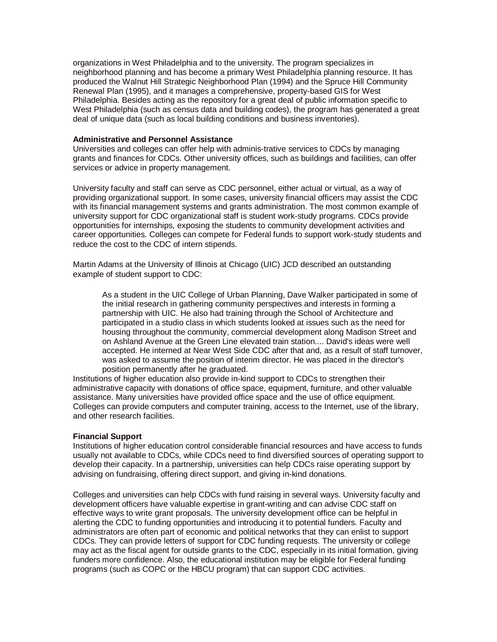organizations in West Philadelphia and to the university. The program specializes in neighborhood planning and has become a primary West Philadelphia planning resource. It has produced the Walnut Hill Strategic Neighborhood Plan (1994) and the Spruce Hill Community Renewal Plan (1995), and it manages a comprehensive, property-based GIS for West Philadelphia. Besides acting as the repository for a great deal of public information specific to West Philadelphia (such as census data and building codes), the program has generated a great deal of unique data (such as local building conditions and business inventories).

#### **Administrative and Personnel Assistance**

Universities and colleges can offer help with adminis-trative services to CDCs by managing grants and finances for CDCs. Other university offices, such as buildings and facilities, can offer services or advice in property management.

University faculty and staff can serve as CDC personnel, either actual or virtual, as a way of providing organizational support. In some cases, university financial officers may assist the CDC with its financial management systems and grants administration. The most common example of university support for CDC organizational staff is student work-study programs. CDCs provide opportunities for internships, exposing the students to community development activities and career opportunities. Colleges can compete for Federal funds to support work-study students and reduce the cost to the CDC of intern stipends.

Martin Adams at the University of Illinois at Chicago (UIC) JCD described an outstanding example of student support to CDC:

As a student in the UIC College of Urban Planning, Dave Walker participated in some of the initial research in gathering community perspectives and interests in forming a partnership with UIC. He also had training through the School of Architecture and participated in a studio class in which students looked at issues such as the need for housing throughout the community, commercial development along Madison Street and on Ashland Avenue at the Green Line elevated train station.... David's ideas were well accepted. He interned at Near West Side CDC after that and, as a result of staff turnover, was asked to assume the position of interim director. He was placed in the director's position permanently after he graduated.

Institutions of higher education also provide in-kind support to CDCs to strengthen their administrative capacity with donations of office space, equipment, furniture, and other valuable assistance. Many universities have provided office space and the use of office equipment. Colleges can provide computers and computer training, access to the Internet, use of the library, and other research facilities.

## **Financial Support**

Institutions of higher education control considerable financial resources and have access to funds usually not available to CDCs, while CDCs need to find diversified sources of operating support to develop their capacity. In a partnership, universities can help CDCs raise operating support by advising on fundraising, offering direct support, and giving in-kind donations.

Colleges and universities can help CDCs with fund raising in several ways. University faculty and development officers have valuable expertise in grant-writing and can advise CDC staff on effective ways to write grant proposals. The university development office can be helpful in alerting the CDC to funding opportunities and introducing it to potential funders. Faculty and administrators are often part of economic and political networks that they can enlist to support CDCs. They can provide letters of support for CDC funding requests. The university or college may act as the fiscal agent for outside grants to the CDC, especially in its initial formation, giving funders more confidence. Also, the educational institution may be eligible for Federal funding programs (such as COPC or the HBCU program) that can support CDC activities.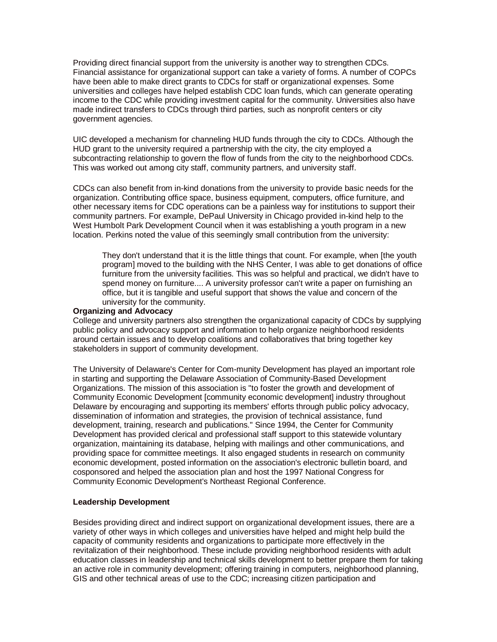Providing direct financial support from the university is another way to strengthen CDCs. Financial assistance for organizational support can take a variety of forms. A number of COPCs have been able to make direct grants to CDCs for staff or organizational expenses. Some universities and colleges have helped establish CDC loan funds, which can generate operating income to the CDC while providing investment capital for the community. Universities also have made indirect transfers to CDCs through third parties, such as nonprofit centers or city government agencies.

UIC developed a mechanism for channeling HUD funds through the city to CDCs. Although the HUD grant to the university required a partnership with the city, the city employed a subcontracting relationship to govern the flow of funds from the city to the neighborhood CDCs. This was worked out among city staff, community partners, and university staff.

CDCs can also benefit from in-kind donations from the university to provide basic needs for the organization. Contributing office space, business equipment, computers, office furniture, and other necessary items for CDC operations can be a painless way for institutions to support their community partners. For example, DePaul University in Chicago provided in-kind help to the West Humbolt Park Development Council when it was establishing a youth program in a new location. Perkins noted the value of this seemingly small contribution from the university:

They don't understand that it is the little things that count. For example, when [the youth program] moved to the building with the NHS Center, I was able to get donations of office furniture from the university facilities. This was so helpful and practical, we didn't have to spend money on furniture.... A university professor can't write a paper on furnishing an office, but it is tangible and useful support that shows the value and concern of the university for the community.

#### **Organizing and Advocacy**

College and university partners also strengthen the organizational capacity of CDCs by supplying public policy and advocacy support and information to help organize neighborhood residents around certain issues and to develop coalitions and collaboratives that bring together key stakeholders in support of community development.

The University of Delaware's Center for Com-munity Development has played an important role in starting and supporting the Delaware Association of Community-Based Development Organizations. The mission of this association is "to foster the growth and development of Community Economic Development [community economic development] industry throughout Delaware by encouraging and supporting its members' efforts through public policy advocacy, dissemination of information and strategies, the provision of technical assistance, fund development, training, research and publications." Since 1994, the Center for Community Development has provided clerical and professional staff support to this statewide voluntary organization, maintaining its database, helping with mailings and other communications, and providing space for committee meetings. It also engaged students in research on community economic development, posted information on the association's electronic bulletin board, and cosponsored and helped the association plan and host the 1997 National Congress for Community Economic Development's Northeast Regional Conference.

## **Leadership Development**

Besides providing direct and indirect support on organizational development issues, there are a variety of other ways in which colleges and universities have helped and might help build the capacity of community residents and organizations to participate more effectively in the revitalization of their neighborhood. These include providing neighborhood residents with adult education classes in leadership and technical skills development to better prepare them for taking an active role in community development; offering training in computers, neighborhood planning, GIS and other technical areas of use to the CDC; increasing citizen participation and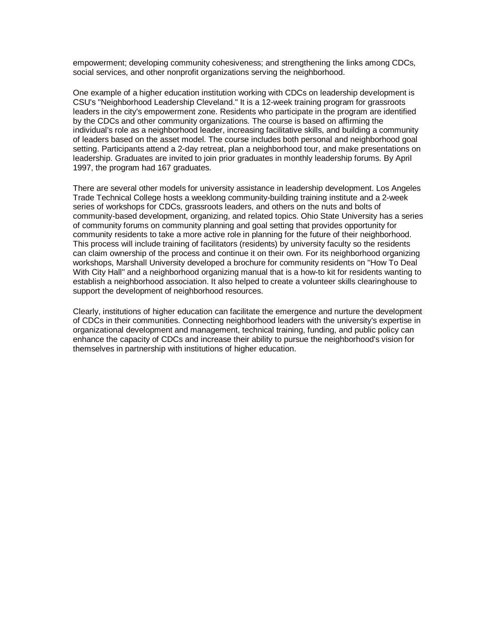empowerment; developing community cohesiveness; and strengthening the links among CDCs, social services, and other nonprofit organizations serving the neighborhood.

One example of a higher education institution working with CDCs on leadership development is CSU's "Neighborhood Leadership Cleveland." It is a 12-week training program for grassroots leaders in the city's empowerment zone. Residents who participate in the program are identified by the CDCs and other community organizations. The course is based on affirming the individual's role as a neighborhood leader, increasing facilitative skills, and building a community of leaders based on the asset model. The course includes both personal and neighborhood goal setting. Participants attend a 2-day retreat, plan a neighborhood tour, and make presentations on leadership. Graduates are invited to join prior graduates in monthly leadership forums. By April 1997, the program had 167 graduates.

There are several other models for university assistance in leadership development. Los Angeles Trade Technical College hosts a weeklong community-building training institute and a 2-week series of workshops for CDCs, grassroots leaders, and others on the nuts and bolts of community-based development, organizing, and related topics. Ohio State University has a series of community forums on community planning and goal setting that provides opportunity for community residents to take a more active role in planning for the future of their neighborhood. This process will include training of facilitators (residents) by university faculty so the residents can claim ownership of the process and continue it on their own. For its neighborhood organizing workshops, Marshall University developed a brochure for community residents on "How To Deal With City Hall" and a neighborhood organizing manual that is a how-to kit for residents wanting to establish a neighborhood association. It also helped to create a volunteer skills clearinghouse to support the development of neighborhood resources.

Clearly, institutions of higher education can facilitate the emergence and nurture the development of CDCs in their communities. Connecting neighborhood leaders with the university's expertise in organizational development and management, technical training, funding, and public policy can enhance the capacity of CDCs and increase their ability to pursue the neighborhood's vision for themselves in partnership with institutions of higher education.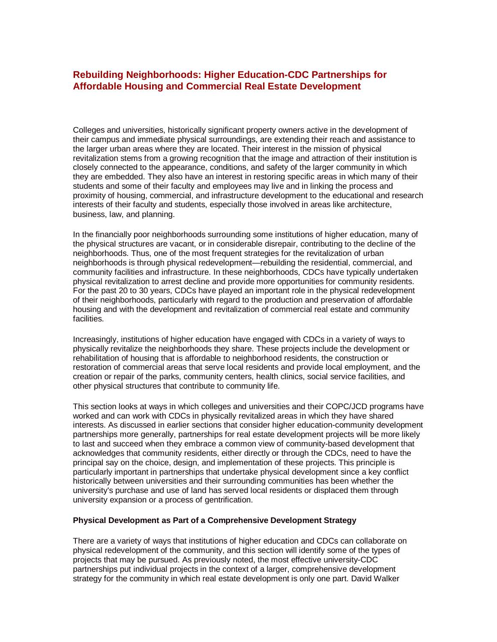## **Rebuilding Neighborhoods: Higher Education-CDC Partnerships for Affordable Housing and Commercial Real Estate Development**

Colleges and universities, historically significant property owners active in the development of their campus and immediate physical surroundings, are extending their reach and assistance to the larger urban areas where they are located. Their interest in the mission of physical revitalization stems from a growing recognition that the image and attraction of their institution is closely connected to the appearance, conditions, and safety of the larger community in which they are embedded. They also have an interest in restoring specific areas in which many of their students and some of their faculty and employees may live and in linking the process and proximity of housing, commercial, and infrastructure development to the educational and research interests of their faculty and students, especially those involved in areas like architecture, business, law, and planning.

In the financially poor neighborhoods surrounding some institutions of higher education, many of the physical structures are vacant, or in considerable disrepair, contributing to the decline of the neighborhoods. Thus, one of the most frequent strategies for the revitalization of urban neighborhoods is through physical redevelopment—rebuilding the residential, commercial, and community facilities and infrastructure. In these neighborhoods, CDCs have typically undertaken physical revitalization to arrest decline and provide more opportunities for community residents. For the past 20 to 30 years, CDCs have played an important role in the physical redevelopment of their neighborhoods, particularly with regard to the production and preservation of affordable housing and with the development and revitalization of commercial real estate and community facilities.

Increasingly, institutions of higher education have engaged with CDCs in a variety of ways to physically revitalize the neighborhoods they share. These projects include the development or rehabilitation of housing that is affordable to neighborhood residents, the construction or restoration of commercial areas that serve local residents and provide local employment, and the creation or repair of the parks, community centers, health clinics, social service facilities, and other physical structures that contribute to community life.

This section looks at ways in which colleges and universities and their COPC/JCD programs have worked and can work with CDCs in physically revitalized areas in which they have shared interests. As discussed in earlier sections that consider higher education-community development partnerships more generally, partnerships for real estate development projects will be more likely to last and succeed when they embrace a common view of community-based development that acknowledges that community residents, either directly or through the CDCs, need to have the principal say on the choice, design, and implementation of these projects. This principle is particularly important in partnerships that undertake physical development since a key conflict historically between universities and their surrounding communities has been whether the university's purchase and use of land has served local residents or displaced them through university expansion or a process of gentrification.

#### **Physical Development as Part of a Comprehensive Development Strategy**

There are a variety of ways that institutions of higher education and CDCs can collaborate on physical redevelopment of the community, and this section will identify some of the types of projects that may be pursued. As previously noted, the most effective university-CDC partnerships put individual projects in the context of a larger, comprehensive development strategy for the community in which real estate development is only one part. David Walker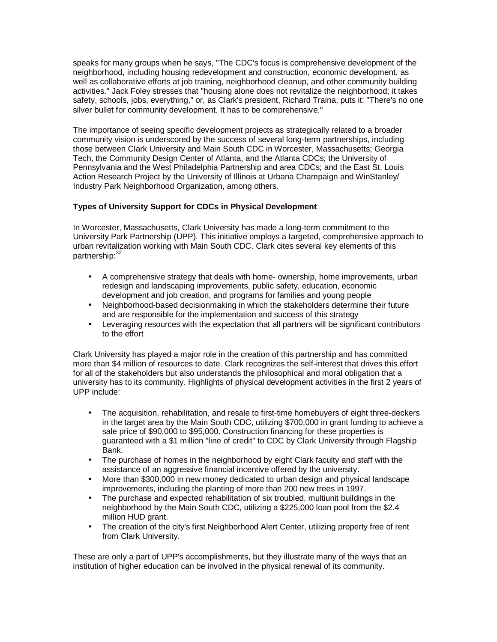speaks for many groups when he says, "The CDC's focus is comprehensive development of the neighborhood, including housing redevelopment and construction, economic development, as well as collaborative efforts at job training, neighborhood cleanup, and other community building activities." Jack Foley stresses that "housing alone does not revitalize the neighborhood; it takes safety, schools, jobs, everything," or, as Clark's president, Richard Traina, puts it: "There's no one silver bullet for community development. It has to be comprehensive."

The importance of seeing specific development projects as strategically related to a broader community vision is underscored by the success of several long-term partnerships, including those between Clark University and Main South CDC in Worcester, Massachusetts; Georgia Tech, the Community Design Center of Atlanta, and the Atlanta CDCs; the University of Pennsylvania and the West Philadelphia Partnership and area CDCs; and the East St. Louis Action Research Project by the University of Illinois at Urbana Champaign and WinStanley/ Industry Park Neighborhood Organization, among others.

## **Types of University Support for CDCs in Physical Development**

In Worcester, Massachusetts, Clark University has made a long-term commitment to the University Park Partnership (UPP). This initiative employs a targeted, comprehensive approach to urban revitalization working with Main South CDC. Clark cites several key elements of this partnership: 32

- A comprehensive strategy that deals with home- ownership, home improvements, urban redesign and landscaping improvements, public safety, education, economic development and job creation, and programs for families and young people
- Neighborhood-based decisionmaking in which the stakeholders determine their future and are responsible for the implementation and success of this strategy
- Leveraging resources with the expectation that all partners will be significant contributors to the effort

Clark University has played a major role in the creation of this partnership and has committed more than \$4 million of resources to date. Clark recognizes the self-interest that drives this effort for all of the stakeholders but also understands the philosophical and moral obligation that a university has to its community. Highlights of physical development activities in the first 2 years of UPP include:

- The acquisition, rehabilitation, and resale to first-time homebuyers of eight three-deckers in the target area by the Main South CDC, utilizing \$700,000 in grant funding to achieve a sale price of \$90,000 to \$95,000. Construction financing for these properties is guaranteed with a \$1 million "line of credit" to CDC by Clark University through Flagship Bank.
- The purchase of homes in the neighborhood by eight Clark faculty and staff with the assistance of an aggressive financial incentive offered by the university.
- More than \$300,000 in new money dedicated to urban design and physical landscape improvements, including the planting of more than 200 new trees in 1997.
- The purchase and expected rehabilitation of six troubled, multiunit buildings in the neighborhood by the Main South CDC, utilizing a \$225,000 loan pool from the \$2.4 million HUD grant.
- The creation of the city's first Neighborhood Alert Center, utilizing property free of rent from Clark University.

These are only a part of UPP's accomplishments, but they illustrate many of the ways that an institution of higher education can be involved in the physical renewal of its community.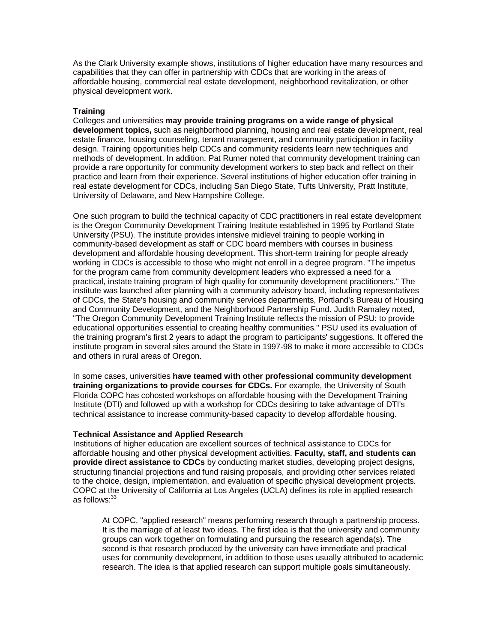As the Clark University example shows, institutions of higher education have many resources and capabilities that they can offer in partnership with CDCs that are working in the areas of affordable housing, commercial real estate development, neighborhood revitalization, or other physical development work.

## **Training**

Colleges and universities **may provide training programs on a wide range of physical development topics,** such as neighborhood planning, housing and real estate development, real estate finance, housing counseling, tenant management, and community participation in facility design. Training opportunities help CDCs and community residents learn new techniques and methods of development. In addition, Pat Rumer noted that community development training can provide a rare opportunity for community development workers to step back and reflect on their practice and learn from their experience. Several institutions of higher education offer training in real estate development for CDCs, including San Diego State, Tufts University, Pratt Institute, University of Delaware, and New Hampshire College.

One such program to build the technical capacity of CDC practitioners in real estate development is the Oregon Community Development Training Institute established in 1995 by Portland State University (PSU). The institute provides intensive midlevel training to people working in community-based development as staff or CDC board members with courses in business development and affordable housing development. This short-term training for people already working in CDCs is accessible to those who might not enroll in a degree program. "The impetus for the program came from community development leaders who expressed a need for a practical, instate training program of high quality for community development practitioners." The institute was launched after planning with a community advisory board, including representatives of CDCs, the State's housing and community services departments, Portland's Bureau of Housing and Community Development, and the Neighborhood Partnership Fund. Judith Ramaley noted, "The Oregon Community Development Training Institute reflects the mission of PSU: to provide educational opportunities essential to creating healthy communities." PSU used its evaluation of the training program's first 2 years to adapt the program to participants' suggestions. It offered the institute program in several sites around the State in 1997-98 to make it more accessible to CDCs and others in rural areas of Oregon.

In some cases, universities **have teamed with other professional community development training organizations to provide courses for CDCs.** For example, the University of South Florida COPC has cohosted workshops on affordable housing with the Development Training Institute (DTI) and followed up with a workshop for CDCs desiring to take advantage of DTI's technical assistance to increase community-based capacity to develop affordable housing.

## **Technical Assistance and Applied Research**

Institutions of higher education are excellent sources of technical assistance to CDCs for affordable housing and other physical development activities. **Faculty, staff, and students can provide direct assistance to CDCs** by conducting market studies, developing project designs, structuring financial projections and fund raising proposals, and providing other services related to the choice, design, implementation, and evaluation of specific physical development projects. COPC at the University of California at Los Angeles (UCLA) defines its role in applied research as follows: 33

At COPC, "applied research" means performing research through a partnership process. It is the marriage of at least two ideas. The first idea is that the university and community groups can work together on formulating and pursuing the research agenda(s). The second is that research produced by the university can have immediate and practical uses for community development, in addition to those uses usually attributed to academic research. The idea is that applied research can support multiple goals simultaneously.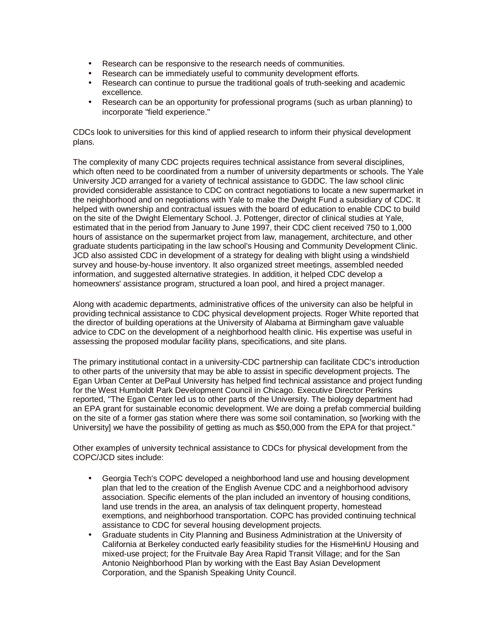- Research can be responsive to the research needs of communities.
- Research can be immediately useful to community development efforts.
- Research can continue to pursue the traditional goals of truth-seeking and academic excellence.
- Research can be an opportunity for professional programs (such as urban planning) to incorporate "field experience."

CDCs look to universities for this kind of applied research to inform their physical development plans.

The complexity of many CDC projects requires technical assistance from several disciplines, which often need to be coordinated from a number of university departments or schools. The Yale University JCD arranged for a variety of technical assistance to GDDC. The law school clinic provided considerable assistance to CDC on contract negotiations to locate a new supermarket in the neighborhood and on negotiations with Yale to make the Dwight Fund a subsidiary of CDC. It helped with ownership and contractual issues with the board of education to enable CDC to build on the site of the Dwight Elementary School. J. Pottenger, director of clinical studies at Yale, estimated that in the period from January to June 1997, their CDC client received 750 to 1,000 hours of assistance on the supermarket project from law, management, architecture, and other graduate students participating in the law school's Housing and Community Development Clinic. JCD also assisted CDC in development of a strategy for dealing with blight using a windshield survey and house-by-house inventory. It also organized street meetings, assembled needed information, and suggested alternative strategies. In addition, it helped CDC develop a homeowners' assistance program, structured a loan pool, and hired a project manager.

Along with academic departments, administrative offices of the university can also be helpful in providing technical assistance to CDC physical development projects. Roger White reported that the director of building operations at the University of Alabama at Birmingham gave valuable advice to CDC on the development of a neighborhood health clinic. His expertise was useful in assessing the proposed modular facility plans, specifications, and site plans.

The primary institutional contact in a university-CDC partnership can facilitate CDC's introduction to other parts of the university that may be able to assist in specific development projects. The Egan Urban Center at DePaul University has helped find technical assistance and project funding for the West Humboldt Park Development Council in Chicago. Executive Director Perkins reported, "The Egan Center led us to other parts of the University. The biology department had an EPA grant for sustainable economic development. We are doing a prefab commercial building on the site of a former gas station where there was some soil contamination, so [working with the University] we have the possibility of getting as much as \$50,000 from the EPA for that project."

Other examples of university technical assistance to CDCs for physical development from the COPC/JCD sites include:

- Georgia Tech's COPC developed a neighborhood land use and housing development plan that led to the creation of the English Avenue CDC and a neighborhood advisory association. Specific elements of the plan included an inventory of housing conditions, land use trends in the area, an analysis of tax delinquent property, homestead exemptions, and neighborhood transportation. COPC has provided continuing technical assistance to CDC for several housing development projects.
- Graduate students in City Planning and Business Administration at the University of California at Berkeley conducted early feasibility studies for the HismeHinU Housing and mixed-use project; for the Fruitvale Bay Area Rapid Transit Village; and for the San Antonio Neighborhood Plan by working with the East Bay Asian Development Corporation, and the Spanish Speaking Unity Council.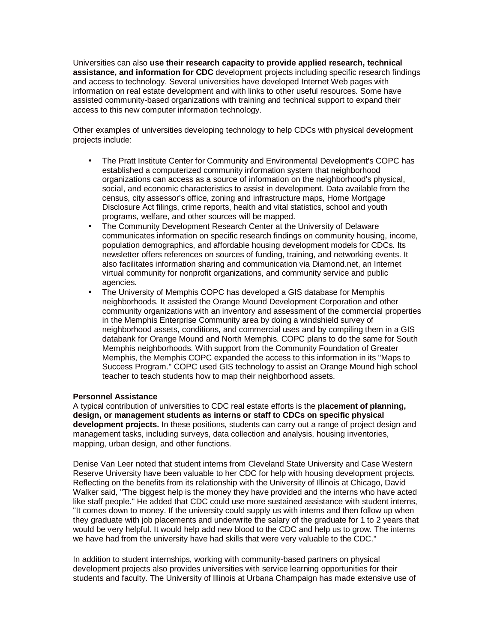Universities can also **use their research capacity to provide applied research, technical assistance, and information for CDC** development projects including specific research findings and access to technology. Several universities have developed Internet Web pages with information on real estate development and with links to other useful resources. Some have assisted community-based organizations with training and technical support to expand their access to this new computer information technology.

Other examples of universities developing technology to help CDCs with physical development projects include:

- The Pratt Institute Center for Community and Environmental Development's COPC has established a computerized community information system that neighborhood organizations can access as a source of information on the neighborhood's physical, social, and economic characteristics to assist in development. Data available from the census, city assessor's office, zoning and infrastructure maps, Home Mortgage Disclosure Act filings, crime reports, health and vital statistics, school and youth programs, welfare, and other sources will be mapped.
- The Community Development Research Center at the University of Delaware communicates information on specific research findings on community housing, income, population demographics, and affordable housing development models for CDCs. Its newsletter offers references on sources of funding, training, and networking events. It also facilitates information sharing and communication via Diamond.net, an Internet virtual community for nonprofit organizations, and community service and public agencies.
- The University of Memphis COPC has developed a GIS database for Memphis neighborhoods. It assisted the Orange Mound Development Corporation and other community organizations with an inventory and assessment of the commercial properties in the Memphis Enterprise Community area by doing a windshield survey of neighborhood assets, conditions, and commercial uses and by compiling them in a GIS databank for Orange Mound and North Memphis. COPC plans to do the same for South Memphis neighborhoods. With support from the Community Foundation of Greater Memphis, the Memphis COPC expanded the access to this information in its "Maps to Success Program." COPC used GIS technology to assist an Orange Mound high school teacher to teach students how to map their neighborhood assets.

## **Personnel Assistance**

A typical contribution of universities to CDC real estate efforts is the **placement of planning, design, or management students as interns or staff to CDCs on specific physical development projects.** In these positions, students can carry out a range of project design and management tasks, including surveys, data collection and analysis, housing inventories, mapping, urban design, and other functions.

Denise Van Leer noted that student interns from Cleveland State University and Case Western Reserve University have been valuable to her CDC for help with housing development projects. Reflecting on the benefits from its relationship with the University of Illinois at Chicago, David Walker said, "The biggest help is the money they have provided and the interns who have acted like staff people." He added that CDC could use more sustained assistance with student interns, "It comes down to money. If the university could supply us with interns and then follow up when they graduate with job placements and underwrite the salary of the graduate for 1 to 2 years that would be very helpful. It would help add new blood to the CDC and help us to grow. The interns we have had from the university have had skills that were very valuable to the CDC."

In addition to student internships, working with community-based partners on physical development projects also provides universities with service learning opportunities for their students and faculty. The University of Illinois at Urbana Champaign has made extensive use of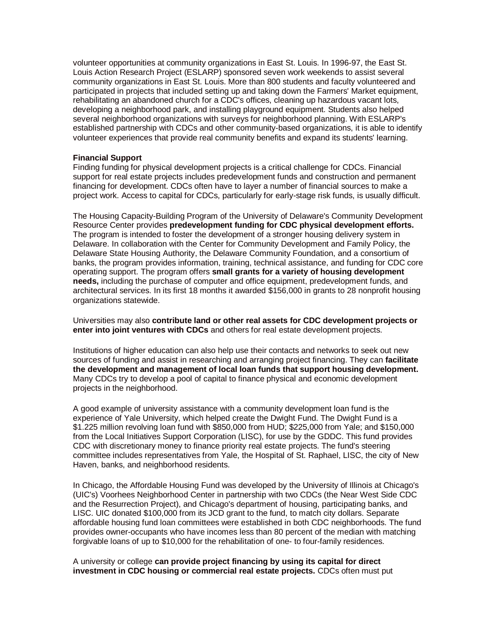volunteer opportunities at community organizations in East St. Louis. In 1996-97, the East St. Louis Action Research Project (ESLARP) sponsored seven work weekends to assist several community organizations in East St. Louis. More than 800 students and faculty volunteered and participated in projects that included setting up and taking down the Farmers' Market equipment, rehabilitating an abandoned church for a CDC's offices, cleaning up hazardous vacant lots, developing a neighborhood park, and installing playground equipment. Students also helped several neighborhood organizations with surveys for neighborhood planning. With ESLARP's established partnership with CDCs and other community-based organizations, it is able to identify volunteer experiences that provide real community benefits and expand its students' learning.

#### **Financial Support**

Finding funding for physical development projects is a critical challenge for CDCs. Financial support for real estate projects includes predevelopment funds and construction and permanent financing for development. CDCs often have to layer a number of financial sources to make a project work. Access to capital for CDCs, particularly for early-stage risk funds, is usually difficult.

The Housing Capacity-Building Program of the University of Delaware's Community Development Resource Center provides **predevelopment funding for CDC physical development efforts.** The program is intended to foster the development of a stronger housing delivery system in Delaware. In collaboration with the Center for Community Development and Family Policy, the Delaware State Housing Authority, the Delaware Community Foundation, and a consortium of banks, the program provides information, training, technical assistance, and funding for CDC core operating support. The program offers **small grants for a variety of housing development needs,** including the purchase of computer and office equipment, predevelopment funds, and architectural services. In its first 18 months it awarded \$156,000 in grants to 28 nonprofit housing organizations statewide.

Universities may also **contribute land or other real assets for CDC development projects or enter into joint ventures with CDCs** and others for real estate development projects.

Institutions of higher education can also help use their contacts and networks to seek out new sources of funding and assist in researching and arranging project financing. They can **facilitate the development and management of local loan funds that support housing development.** Many CDCs try to develop a pool of capital to finance physical and economic development projects in the neighborhood.

A good example of university assistance with a community development loan fund is the experience of Yale University, which helped create the Dwight Fund. The Dwight Fund is a \$1.225 million revolving loan fund with \$850,000 from HUD; \$225,000 from Yale; and \$150,000 from the Local Initiatives Support Corporation (LISC), for use by the GDDC. This fund provides CDC with discretionary money to finance priority real estate projects. The fund's steering committee includes representatives from Yale, the Hospital of St. Raphael, LISC, the city of New Haven, banks, and neighborhood residents.

In Chicago, the Affordable Housing Fund was developed by the University of Illinois at Chicago's (UIC's) Voorhees Neighborhood Center in partnership with two CDCs (the Near West Side CDC and the Resurrection Project), and Chicago's department of housing, participating banks, and LISC. UIC donated \$100,000 from its JCD grant to the fund, to match city dollars. Separate affordable housing fund loan committees were established in both CDC neighborhoods. The fund provides owner-occupants who have incomes less than 80 percent of the median with matching forgivable loans of up to \$10,000 for the rehabilitation of one- to four-family residences.

A university or college **can provide project financing by using its capital for direct investment in CDC housing or commercial real estate projects.** CDCs often must put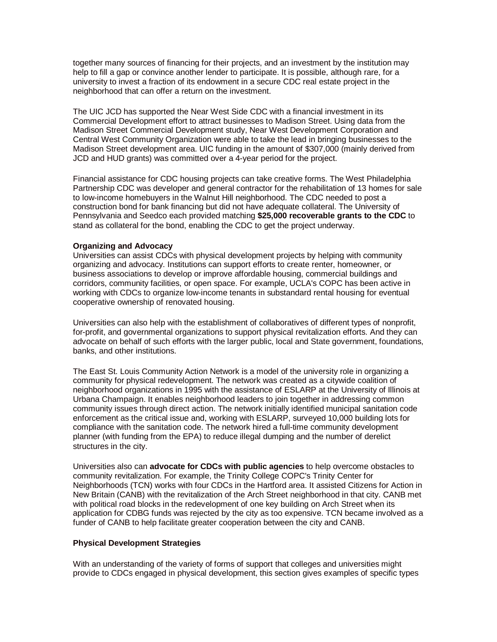together many sources of financing for their projects, and an investment by the institution may help to fill a gap or convince another lender to participate. It is possible, although rare, for a university to invest a fraction of its endowment in a secure CDC real estate project in the neighborhood that can offer a return on the investment.

The UIC JCD has supported the Near West Side CDC with a financial investment in its Commercial Development effort to attract businesses to Madison Street. Using data from the Madison Street Commercial Development study, Near West Development Corporation and Central West Community Organization were able to take the lead in bringing businesses to the Madison Street development area. UIC funding in the amount of \$307,000 (mainly derived from JCD and HUD grants) was committed over a 4-year period for the project.

Financial assistance for CDC housing projects can take creative forms. The West Philadelphia Partnership CDC was developer and general contractor for the rehabilitation of 13 homes for sale to low-income homebuyers in the Walnut Hill neighborhood. The CDC needed to post a construction bond for bank financing but did not have adequate collateral. The University of Pennsylvania and Seedco each provided matching **\$25,000 recoverable grants to the CDC** to stand as collateral for the bond, enabling the CDC to get the project underway.

#### **Organizing and Advocacy**

Universities can assist CDCs with physical development projects by helping with community organizing and advocacy. Institutions can support efforts to create renter, homeowner, or business associations to develop or improve affordable housing, commercial buildings and corridors, community facilities, or open space. For example, UCLA's COPC has been active in working with CDCs to organize low-income tenants in substandard rental housing for eventual cooperative ownership of renovated housing.

Universities can also help with the establishment of collaboratives of different types of nonprofit, for-profit, and governmental organizations to support physical revitalization efforts. And they can advocate on behalf of such efforts with the larger public, local and State government, foundations, banks, and other institutions.

The East St. Louis Community Action Network is a model of the university role in organizing a community for physical redevelopment. The network was created as a citywide coalition of neighborhood organizations in 1995 with the assistance of ESLARP at the University of Illinois at Urbana Champaign. It enables neighborhood leaders to join together in addressing common community issues through direct action. The network initially identified municipal sanitation code enforcement as the critical issue and, working with ESLARP, surveyed 10,000 building lots for compliance with the sanitation code. The network hired a full-time community development planner (with funding from the EPA) to reduce illegal dumping and the number of derelict structures in the city.

Universities also can **advocate for CDCs with public agencies** to help overcome obstacles to community revitalization. For example, the Trinity College COPC's Trinity Center for Neighborhoods (TCN) works with four CDCs in the Hartford area. It assisted Citizens for Action in New Britain (CANB) with the revitalization of the Arch Street neighborhood in that city. CANB met with political road blocks in the redevelopment of one key building on Arch Street when its application for CDBG funds was rejected by the city as too expensive. TCN became involved as a funder of CANB to help facilitate greater cooperation between the city and CANB.

#### **Physical Development Strategies**

With an understanding of the variety of forms of support that colleges and universities might provide to CDCs engaged in physical development, this section gives examples of specific types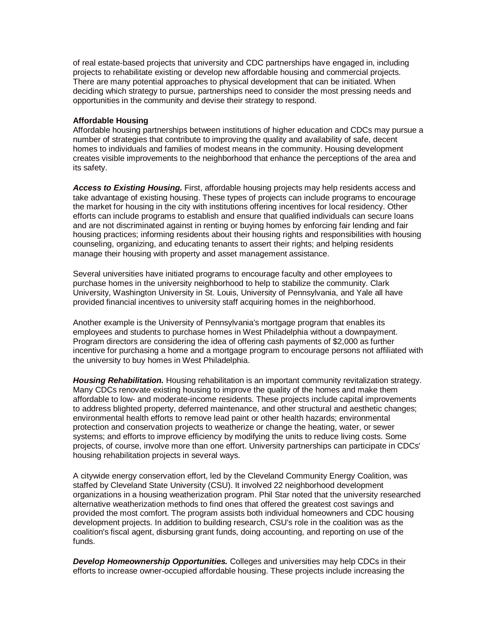of real estate-based projects that university and CDC partnerships have engaged in, including projects to rehabilitate existing or develop new affordable housing and commercial projects. There are many potential approaches to physical development that can be initiated. When deciding which strategy to pursue, partnerships need to consider the most pressing needs and opportunities in the community and devise their strategy to respond.

## **Affordable Housing**

Affordable housing partnerships between institutions of higher education and CDCs may pursue a number of strategies that contribute to improving the quality and availability of safe, decent homes to individuals and families of modest means in the community. Housing development creates visible improvements to the neighborhood that enhance the perceptions of the area and its safety.

*Access to Existing Housing.* First, affordable housing projects may help residents access and take advantage of existing housing. These types of projects can include programs to encourage the market for housing in the city with institutions offering incentives for local residency. Other efforts can include programs to establish and ensure that qualified individuals can secure loans and are not discriminated against in renting or buying homes by enforcing fair lending and fair housing practices; informing residents about their housing rights and responsibilities with housing counseling, organizing, and educating tenants to assert their rights; and helping residents manage their housing with property and asset management assistance.

Several universities have initiated programs to encourage faculty and other employees to purchase homes in the university neighborhood to help to stabilize the community. Clark University, Washington University in St. Louis, University of Pennsylvania, and Yale all have provided financial incentives to university staff acquiring homes in the neighborhood.

Another example is the University of Pennsylvania's mortgage program that enables its employees and students to purchase homes in West Philadelphia without a downpayment. Program directors are considering the idea of offering cash payments of \$2,000 as further incentive for purchasing a home and a mortgage program to encourage persons not affiliated with the university to buy homes in West Philadelphia.

*Housing Rehabilitation.* Housing rehabilitation is an important community revitalization strategy. Many CDCs renovate existing housing to improve the quality of the homes and make them affordable to low- and moderate-income residents. These projects include capital improvements to address blighted property, deferred maintenance, and other structural and aesthetic changes; environmental health efforts to remove lead paint or other health hazards; environmental protection and conservation projects to weatherize or change the heating, water, or sewer systems; and efforts to improve efficiency by modifying the units to reduce living costs. Some projects, of course, involve more than one effort. University partnerships can participate in CDCs' housing rehabilitation projects in several ways.

A citywide energy conservation effort, led by the Cleveland Community Energy Coalition, was staffed by Cleveland State University (CSU). It involved 22 neighborhood development organizations in a housing weatherization program. Phil Star noted that the university researched alternative weatherization methods to find ones that offered the greatest cost savings and provided the most comfort. The program assists both individual homeowners and CDC housing development projects. In addition to building research, CSU's role in the coalition was as the coalition's fiscal agent, disbursing grant funds, doing accounting, and reporting on use of the funds.

*Develop Homeownership Opportunities.* Colleges and universities may help CDCs in their efforts to increase owner-occupied affordable housing. These projects include increasing the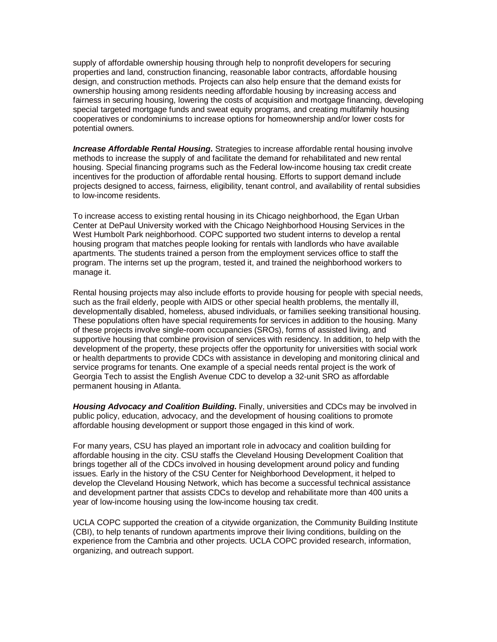supply of affordable ownership housing through help to nonprofit developers for securing properties and land, construction financing, reasonable labor contracts, affordable housing design, and construction methods. Projects can also help ensure that the demand exists for ownership housing among residents needing affordable housing by increasing access and fairness in securing housing, lowering the costs of acquisition and mortgage financing, developing special targeted mortgage funds and sweat equity programs, and creating multifamily housing cooperatives or condominiums to increase options for homeownership and/or lower costs for potential owners.

*Increase Affordable Rental Housing.* Strategies to increase affordable rental housing involve methods to increase the supply of and facilitate the demand for rehabilitated and new rental housing. Special financing programs such as the Federal low-income housing tax credit create incentives for the production of affordable rental housing. Efforts to support demand include projects designed to access, fairness, eligibility, tenant control, and availability of rental subsidies to low-income residents.

To increase access to existing rental housing in its Chicago neighborhood, the Egan Urban Center at DePaul University worked with the Chicago Neighborhood Housing Services in the West Humbolt Park neighborhood. COPC supported two student interns to develop a rental housing program that matches people looking for rentals with landlords who have available apartments. The students trained a person from the employment services office to staff the program. The interns set up the program, tested it, and trained the neighborhood workers to manage it.

Rental housing projects may also include efforts to provide housing for people with special needs, such as the frail elderly, people with AIDS or other special health problems, the mentally ill, developmentally disabled, homeless, abused individuals, or families seeking transitional housing. These populations often have special requirements for services in addition to the housing. Many of these projects involve single-room occupancies (SROs), forms of assisted living, and supportive housing that combine provision of services with residency. In addition, to help with the development of the property, these projects offer the opportunity for universities with social work or health departments to provide CDCs with assistance in developing and monitoring clinical and service programs for tenants. One example of a special needs rental project is the work of Georgia Tech to assist the English Avenue CDC to develop a 32-unit SRO as affordable permanent housing in Atlanta.

*Housing Advocacy and Coalition Building.* Finally, universities and CDCs may be involved in public policy, education, advocacy, and the development of housing coalitions to promote affordable housing development or support those engaged in this kind of work.

For many years, CSU has played an important role in advocacy and coalition building for affordable housing in the city. CSU staffs the Cleveland Housing Development Coalition that brings together all of the CDCs involved in housing development around policy and funding issues. Early in the history of the CSU Center for Neighborhood Development, it helped to develop the Cleveland Housing Network, which has become a successful technical assistance and development partner that assists CDCs to develop and rehabilitate more than 400 units a year of low-income housing using the low-income housing tax credit.

UCLA COPC supported the creation of a citywide organization, the Community Building Institute (CBI), to help tenants of rundown apartments improve their living conditions, building on the experience from the Cambria and other projects. UCLA COPC provided research, information, organizing, and outreach support.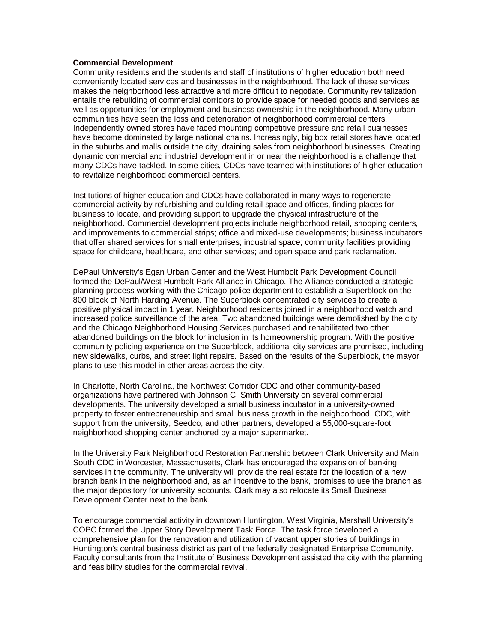#### **Commercial Development**

Community residents and the students and staff of institutions of higher education both need conveniently located services and businesses in the neighborhood. The lack of these services makes the neighborhood less attractive and more difficult to negotiate. Community revitalization entails the rebuilding of commercial corridors to provide space for needed goods and services as well as opportunities for employment and business ownership in the neighborhood. Many urban communities have seen the loss and deterioration of neighborhood commercial centers. Independently owned stores have faced mounting competitive pressure and retail businesses have become dominated by large national chains. Increasingly, big box retail stores have located in the suburbs and malls outside the city, draining sales from neighborhood businesses. Creating dynamic commercial and industrial development in or near the neighborhood is a challenge that many CDCs have tackled. In some cities, CDCs have teamed with institutions of higher education to revitalize neighborhood commercial centers.

Institutions of higher education and CDCs have collaborated in many ways to regenerate commercial activity by refurbishing and building retail space and offices, finding places for business to locate, and providing support to upgrade the physical infrastructure of the neighborhood. Commercial development projects include neighborhood retail, shopping centers, and improvements to commercial strips; office and mixed-use developments; business incubators that offer shared services for small enterprises; industrial space; community facilities providing space for childcare, healthcare, and other services; and open space and park reclamation.

DePaul University's Egan Urban Center and the West Humbolt Park Development Council formed the DePaul/West Humbolt Park Alliance in Chicago. The Alliance conducted a strategic planning process working with the Chicago police department to establish a Superblock on the 800 block of North Harding Avenue. The Superblock concentrated city services to create a positive physical impact in 1 year. Neighborhood residents joined in a neighborhood watch and increased police surveillance of the area. Two abandoned buildings were demolished by the city and the Chicago Neighborhood Housing Services purchased and rehabilitated two other abandoned buildings on the block for inclusion in its homeownership program. With the positive community policing experience on the Superblock, additional city services are promised, including new sidewalks, curbs, and street light repairs. Based on the results of the Superblock, the mayor plans to use this model in other areas across the city.

In Charlotte, North Carolina, the Northwest Corridor CDC and other community-based organizations have partnered with Johnson C. Smith University on several commercial developments. The university developed a small business incubator in a university-owned property to foster entrepreneurship and small business growth in the neighborhood. CDC, with support from the university, Seedco, and other partners, developed a 55,000-square-foot neighborhood shopping center anchored by a major supermarket.

In the University Park Neighborhood Restoration Partnership between Clark University and Main South CDC in Worcester, Massachusetts, Clark has encouraged the expansion of banking services in the community. The university will provide the real estate for the location of a new branch bank in the neighborhood and, as an incentive to the bank, promises to use the branch as the major depository for university accounts. Clark may also relocate its Small Business Development Center next to the bank.

To encourage commercial activity in downtown Huntington, West Virginia, Marshall University's COPC formed the Upper Story Development Task Force. The task force developed a comprehensive plan for the renovation and utilization of vacant upper stories of buildings in Huntington's central business district as part of the federally designated Enterprise Community. Faculty consultants from the Institute of Business Development assisted the city with the planning and feasibility studies for the commercial revival.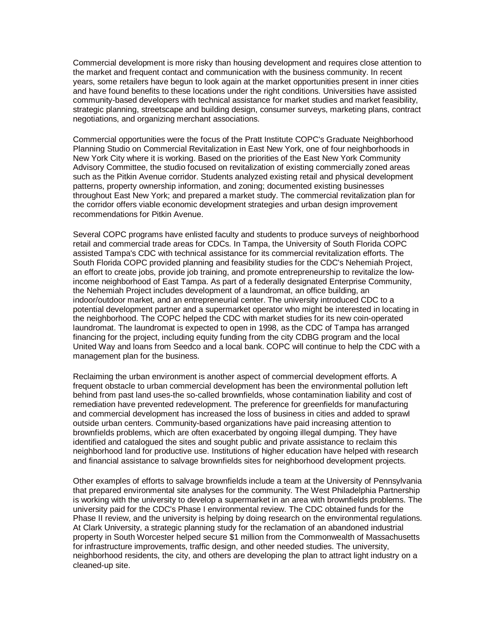Commercial development is more risky than housing development and requires close attention to the market and frequent contact and communication with the business community. In recent years, some retailers have begun to look again at the market opportunities present in inner cities and have found benefits to these locations under the right conditions. Universities have assisted community-based developers with technical assistance for market studies and market feasibility, strategic planning, streetscape and building design, consumer surveys, marketing plans, contract negotiations, and organizing merchant associations.

Commercial opportunities were the focus of the Pratt Institute COPC's Graduate Neighborhood Planning Studio on Commercial Revitalization in East New York, one of four neighborhoods in New York City where it is working. Based on the priorities of the East New York Community Advisory Committee, the studio focused on revitalization of existing commercially zoned areas such as the Pitkin Avenue corridor. Students analyzed existing retail and physical development patterns, property ownership information, and zoning; documented existing businesses throughout East New York; and prepared a market study. The commercial revitalization plan for the corridor offers viable economic development strategies and urban design improvement recommendations for Pitkin Avenue.

Several COPC programs have enlisted faculty and students to produce surveys of neighborhood retail and commercial trade areas for CDCs. In Tampa, the University of South Florida COPC assisted Tampa's CDC with technical assistance for its commercial revitalization efforts. The South Florida COPC provided planning and feasibility studies for the CDC's Nehemiah Project, an effort to create jobs, provide job training, and promote entrepreneurship to revitalize the lowincome neighborhood of East Tampa. As part of a federally designated Enterprise Community, the Nehemiah Project includes development of a laundromat, an office building, an indoor/outdoor market, and an entrepreneurial center. The university introduced CDC to a potential development partner and a supermarket operator who might be interested in locating in the neighborhood. The COPC helped the CDC with market studies for its new coin-operated laundromat. The laundromat is expected to open in 1998, as the CDC of Tampa has arranged financing for the project, including equity funding from the city CDBG program and the local United Way and loans from Seedco and a local bank. COPC will continue to help the CDC with a management plan for the business.

Reclaiming the urban environment is another aspect of commercial development efforts. A frequent obstacle to urban commercial development has been the environmental pollution left behind from past land uses-the so-called brownfields, whose contamination liability and cost of remediation have prevented redevelopment. The preference for greenfields for manufacturing and commercial development has increased the loss of business in cities and added to sprawl outside urban centers. Community-based organizations have paid increasing attention to brownfields problems, which are often exacerbated by ongoing illegal dumping. They have identified and catalogued the sites and sought public and private assistance to reclaim this neighborhood land for productive use. Institutions of higher education have helped with research and financial assistance to salvage brownfields sites for neighborhood development projects.

Other examples of efforts to salvage brownfields include a team at the University of Pennsylvania that prepared environmental site analyses for the community. The West Philadelphia Partnership is working with the university to develop a supermarket in an area with brownfields problems. The university paid for the CDC's Phase I environmental review. The CDC obtained funds for the Phase II review, and the university is helping by doing research on the environmental regulations. At Clark University, a strategic planning study for the reclamation of an abandoned industrial property in South Worcester helped secure \$1 million from the Commonwealth of Massachusetts for infrastructure improvements, traffic design, and other needed studies. The university, neighborhood residents, the city, and others are developing the plan to attract light industry on a cleaned-up site.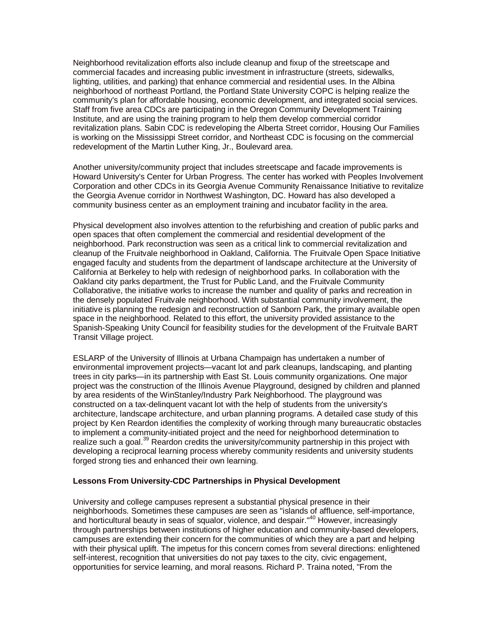Neighborhood revitalization efforts also include cleanup and fixup of the streetscape and commercial facades and increasing public investment in infrastructure (streets, sidewalks, lighting, utilities, and parking) that enhance commercial and residential uses. In the Albina neighborhood of northeast Portland, the Portland State University COPC is helping realize the community's plan for affordable housing, economic development, and integrated social services. Staff from five area CDCs are participating in the Oregon Community Development Training Institute, and are using the training program to help them develop commercial corridor revitalization plans. Sabin CDC is redeveloping the Alberta Street corridor, Housing Our Families is working on the Mississippi Street corridor, and Northeast CDC is focusing on the commercial redevelopment of the Martin Luther King, Jr., Boulevard area.

Another university/community project that includes streetscape and facade improvements is Howard University's Center for Urban Progress. The center has worked with Peoples Involvement Corporation and other CDCs in its Georgia Avenue Community Renaissance Initiative to revitalize the Georgia Avenue corridor in Northwest Washington, DC. Howard has also developed a community business center as an employment training and incubator facility in the area.

Physical development also involves attention to the refurbishing and creation of public parks and open spaces that often complement the commercial and residential development of the neighborhood. Park reconstruction was seen as a critical link to commercial revitalization and cleanup of the Fruitvale neighborhood in Oakland, California. The Fruitvale Open Space Initiative engaged faculty and students from the department of landscape architecture at the University of California at Berkeley to help with redesign of neighborhood parks. In collaboration with the Oakland city parks department, the Trust for Public Land, and the Fruitvale Community Collaborative, the initiative works to increase the number and quality of parks and recreation in the densely populated Fruitvale neighborhood. With substantial community involvement, the initiative is planning the redesign and reconstruction of Sanborn Park, the primary available open space in the neighborhood. Related to this effort, the university provided assistance to the Spanish-Speaking Unity Council for feasibility studies for the development of the Fruitvale BART Transit Village project.

ESLARP of the University of Illinois at Urbana Champaign has undertaken a number of environmental improvement projects—vacant lot and park cleanups, landscaping, and planting trees in city parks—in its partnership with East St. Louis community organizations. One major project was the construction of the Illinois Avenue Playground, designed by children and planned by area residents of the WinStanley/Industry Park Neighborhood. The playground was constructed on a tax-delinquent vacant lot with the help of students from the university's architecture, landscape architecture, and urban planning programs. A detailed case study of this project by Ken Reardon identifies the complexity of working through many bureaucratic obstacles to implement a community-initiated project and the need for neighborhood determination to realize such a goal.<sup>39</sup> Reardon credits the university/community partnership in this project with developing a reciprocal learning process whereby community residents and university students forged strong ties and enhanced their own learning.

## **Lessons From University-CDC Partnerships in Physical Development**

University and college campuses represent a substantial physical presence in their neighborhoods. Sometimes these campuses are seen as "islands of affluence, self-importance, and horticultural beauty in seas of squalor, violence, and despair."<sup>40</sup> However, increasingly through partnerships between institutions of higher education and community-based developers, campuses are extending their concern for the communities of which they are a part and helping with their physical uplift. The impetus for this concern comes from several directions: enlightened self-interest, recognition that universities do not pay taxes to the city, civic engagement, opportunities for service learning, and moral reasons. Richard P. Traina noted, "From the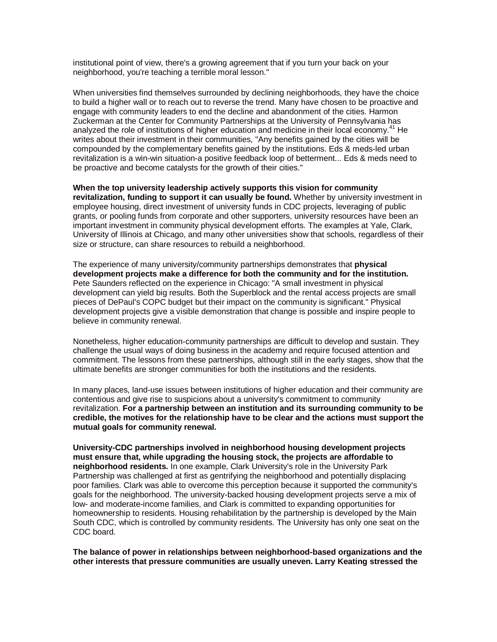institutional point of view, there's a growing agreement that if you turn your back on your neighborhood, you're teaching a terrible moral lesson."

When universities find themselves surrounded by declining neighborhoods, they have the choice to build a higher wall or to reach out to reverse the trend. Many have chosen to be proactive and engage with community leaders to end the decline and abandonment of the cities. Harmon Zuckerman at the Center for Community Partnerships at the University of Pennsylvania has analyzed the role of institutions of higher education and medicine in their local economy.<sup>41</sup> He writes about their investment in their communities, "Any benefits gained by the cities will be compounded by the complementary benefits gained by the institutions. Eds & meds-led urban revitalization is a win-win situation-a positive feedback loop of betterment... Eds & meds need to be proactive and become catalysts for the growth of their cities."

**When the top university leadership actively supports this vision for community revitalization, funding to support it can usually be found.** Whether by university investment in employee housing, direct investment of university funds in CDC projects, leveraging of public grants, or pooling funds from corporate and other supporters, university resources have been an important investment in community physical development efforts. The examples at Yale, Clark, University of Illinois at Chicago, and many other universities show that schools, regardless of their size or structure, can share resources to rebuild a neighborhood.

The experience of many university/community partnerships demonstrates that **physical development projects make a difference for both the community and for the institution.** Pete Saunders reflected on the experience in Chicago: "A small investment in physical development can yield big results. Both the Superblock and the rental access projects are small pieces of DePaul's COPC budget but their impact on the community is significant." Physical development projects give a visible demonstration that change is possible and inspire people to believe in community renewal.

Nonetheless, higher education-community partnerships are difficult to develop and sustain. They challenge the usual ways of doing business in the academy and require focused attention and commitment. The lessons from these partnerships, although still in the early stages, show that the ultimate benefits are stronger communities for both the institutions and the residents.

In many places, land-use issues between institutions of higher education and their community are contentious and give rise to suspicions about a university's commitment to community revitalization. **For a partnership between an institution and its surrounding community to be credible, the motives for the relationship have to be clear and the actions must support the mutual goals for community renewal.**

**University-CDC partnerships involved in neighborhood housing development projects must ensure that, while upgrading the housing stock, the projects are affordable to neighborhood residents.** In one example, Clark University's role in the University Park Partnership was challenged at first as gentrifying the neighborhood and potentially displacing poor families. Clark was able to overcome this perception because it supported the community's goals for the neighborhood. The university-backed housing development projects serve a mix of low- and moderate-income families, and Clark is committed to expanding opportunities for homeownership to residents. Housing rehabilitation by the partnership is developed by the Main South CDC, which is controlled by community residents. The University has only one seat on the CDC board.

**The balance of power in relationships between neighborhood-based organizations and the other interests that pressure communities are usually uneven. Larry Keating stressed the**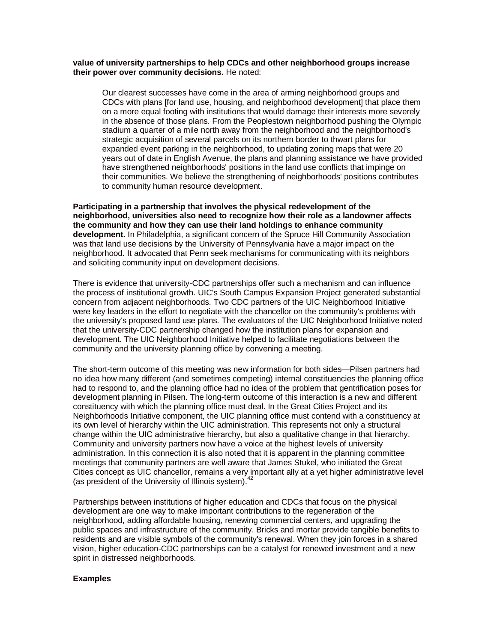## **value of university partnerships to help CDCs and other neighborhood groups increase their power over community decisions.** He noted:

Our clearest successes have come in the area of arming neighborhood groups and CDCs with plans [for land use, housing, and neighborhood development] that place them on a more equal footing with institutions that would damage their interests more severely in the absence of those plans. From the Peoplestown neighborhood pushing the Olympic stadium a quarter of a mile north away from the neighborhood and the neighborhood's strategic acquisition of several parcels on its northern border to thwart plans for expanded event parking in the neighborhood, to updating zoning maps that were 20 years out of date in English Avenue, the plans and planning assistance we have provided have strengthened neighborhoods' positions in the land use conflicts that impinge on their communities. We believe the strengthening of neighborhoods' positions contributes to community human resource development.

**Participating in a partnership that involves the physical redevelopment of the neighborhood, universities also need to recognize how their role as a landowner affects the community and how they can use their land holdings to enhance community development.** In Philadelphia, a significant concern of the Spruce Hill Community Association was that land use decisions by the University of Pennsylvania have a major impact on the neighborhood. It advocated that Penn seek mechanisms for communicating with its neighbors and soliciting community input on development decisions.

There is evidence that university-CDC partnerships offer such a mechanism and can influence the process of institutional growth. UIC's South Campus Expansion Project generated substantial concern from adjacent neighborhoods. Two CDC partners of the UIC Neighborhood Initiative were key leaders in the effort to negotiate with the chancellor on the community's problems with the university's proposed land use plans. The evaluators of the UIC Neighborhood Initiative noted that the university-CDC partnership changed how the institution plans for expansion and development. The UIC Neighborhood Initiative helped to facilitate negotiations between the community and the university planning office by convening a meeting.

The short-term outcome of this meeting was new information for both sides—Pilsen partners had no idea how many different (and sometimes competing) internal constituencies the planning office had to respond to, and the planning office had no idea of the problem that gentrification poses for development planning in Pilsen. The long-term outcome of this interaction is a new and different constituency with which the planning office must deal. In the Great Cities Project and its Neighborhoods Initiative component, the UIC planning office must contend with a constituency at its own level of hierarchy within the UIC administration. This represents not only a structural change within the UIC administrative hierarchy, but also a qualitative change in that hierarchy. Community and university partners now have a voice at the highest levels of university administration. In this connection it is also noted that it is apparent in the planning committee meetings that community partners are well aware that James Stukel, who initiated the Great Cities concept as UIC chancellor, remains a very important ally at a yet higher administrative level (as president of the University of Illinois system). $42$ 

Partnerships between institutions of higher education and CDCs that focus on the physical development are one way to make important contributions to the regeneration of the neighborhood, adding affordable housing, renewing commercial centers, and upgrading the public spaces and infrastructure of the community. Bricks and mortar provide tangible benefits to residents and are visible symbols of the community's renewal. When they join forces in a shared vision, higher education-CDC partnerships can be a catalyst for renewed investment and a new spirit in distressed neighborhoods.

## **Examples**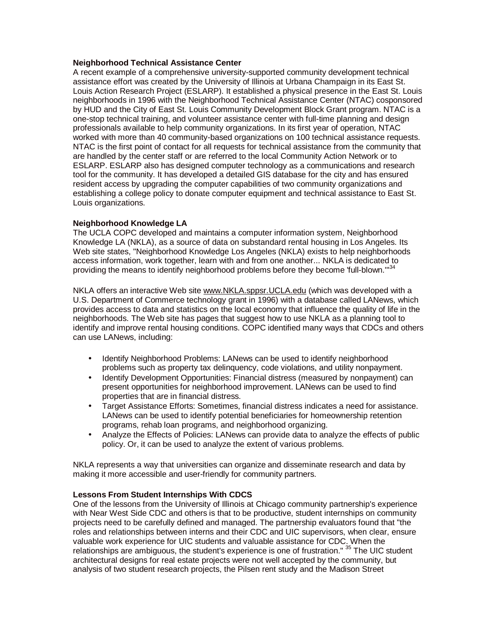## **Neighborhood Technical Assistance Center**

A recent example of a comprehensive university-supported community development technical assistance effort was created by the University of Illinois at Urbana Champaign in its East St. Louis Action Research Project (ESLARP). It established a physical presence in the East St. Louis neighborhoods in 1996 with the Neighborhood Technical Assistance Center (NTAC) cosponsored by HUD and the City of East St. Louis Community Development Block Grant program. NTAC is a one-stop technical training, and volunteer assistance center with full-time planning and design professionals available to help community organizations. In its first year of operation, NTAC worked with more than 40 community-based organizations on 100 technical assistance requests. NTAC is the first point of contact for all requests for technical assistance from the community that are handled by the center staff or are referred to the local Community Action Network or to ESLARP. ESLARP also has designed computer technology as a communications and research tool for the community. It has developed a detailed GIS database for the city and has ensured resident access by upgrading the computer capabilities of two community organizations and establishing a college policy to donate computer equipment and technical assistance to East St. Louis organizations.

## **Neighborhood Knowledge LA**

The UCLA COPC developed and maintains a computer information system, Neighborhood Knowledge LA (NKLA), as a source of data on substandard rental housing in Los Angeles. Its Web site states, "Neighborhood Knowledge Los Angeles (NKLA) exists to help neighborhoods access information, work together, learn with and from one another... NKLA is dedicated to providing the means to identify neighborhood problems before they become 'full-blown."<sup>34</sup>

NKLA offers an interactive Web site [www.NKLA.sppsr.UCLA.edu](http://www.NKLA.sppsr.UCLA.edu) (which was developed with a U.S. Department of Commerce technology grant in 1996) with a database called LANews, which provides access to data and statistics on the local economy that influence the quality of life in the neighborhoods. The Web site has pages that suggest how to use NKLA as a planning tool to identify and improve rental housing conditions. COPC identified many ways that CDCs and others can use LANews, including:

- Identify Neighborhood Problems: LANews can be used to identify neighborhood problems such as property tax delinquency, code violations, and utility nonpayment.
- Identify Development Opportunities: Financial distress (measured by nonpayment) can present opportunities for neighborhood improvement. LANews can be used to find properties that are in financial distress.
- Target Assistance Efforts: Sometimes, financial distress indicates a need for assistance. LANews can be used to identify potential beneficiaries for homeownership retention programs, rehab loan programs, and neighborhood organizing.
- Analyze the Effects of Policies: LANews can provide data to analyze the effects of public policy. Or, it can be used to analyze the extent of various problems.

NKLA represents a way that universities can organize and disseminate research and data by making it more accessible and user-friendly for community partners.

## **Lessons From Student Internships With CDCS**

One of the lessons from the University of Illinois at Chicago community partnership's experience with Near West Side CDC and others is that to be productive, student internships on community projects need to be carefully defined and managed. The partnership evaluators found that "the roles and relationships between interns and their CDC and UIC supervisors, when clear, ensure valuable work experience for UIC students and valuable assistance for CDC. When the relationships are ambiguous, the student's experience is one of frustration." <sup>35</sup> The UIC student architectural designs for real estate projects were not well accepted by the community, but analysis of two student research projects, the Pilsen rent study and the Madison Street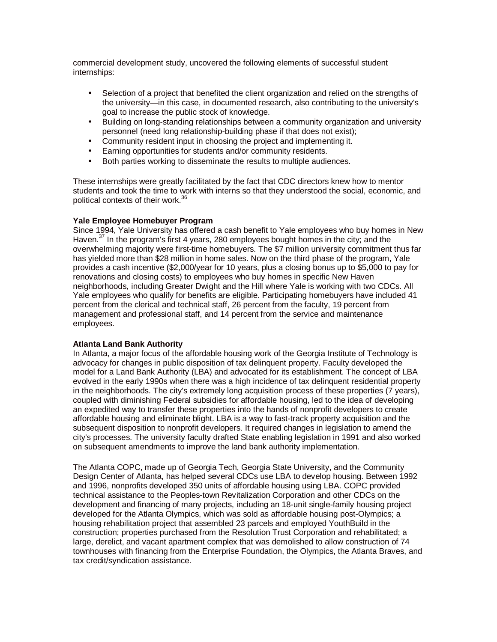commercial development study, uncovered the following elements of successful student internships:

- Selection of a project that benefited the client organization and relied on the strengths of the university—in this case, in documented research, also contributing to the university's goal to increase the public stock of knowledge.
- Building on long-standing relationships between a community organization and university personnel (need long relationship-building phase if that does not exist);
- Community resident input in choosing the project and implementing it.
- Earning opportunities for students and/or community residents.
- Both parties working to disseminate the results to multiple audiences.

These internships were greatly facilitated by the fact that CDC directors knew how to mentor students and took the time to work with interns so that they understood the social, economic, and political contexts of their work.<sup>36</sup>

## **Yale Employee Homebuyer Program**

Since 1994, Yale University has offered a cash benefit to Yale employees who buy homes in New Haven.<sup>37</sup> In the program's first 4 years, 280 employees bought homes in the city; and the overwhelming majority were first-time homebuyers. The \$7 million university commitment thus far has yielded more than \$28 million in home sales. Now on the third phase of the program, Yale provides a cash incentive (\$2,000/year for 10 years, plus a closing bonus up to \$5,000 to pay for renovations and closing costs) to employees who buy homes in specific New Haven neighborhoods, including Greater Dwight and the Hill where Yale is working with two CDCs. All Yale employees who qualify for benefits are eligible. Participating homebuyers have included 41 percent from the clerical and technical staff, 26 percent from the faculty, 19 percent from management and professional staff, and 14 percent from the service and maintenance employees.

## **Atlanta Land Bank Authority**

In Atlanta, a major focus of the affordable housing work of the Georgia Institute of Technology is advocacy for changes in public disposition of tax delinquent property. Faculty developed the model for a Land Bank Authority (LBA) and advocated for its establishment. The concept of LBA evolved in the early 1990s when there was a high incidence of tax delinquent residential property in the neighborhoods. The city's extremely long acquisition process of these properties (7 years), coupled with diminishing Federal subsidies for affordable housing, led to the idea of developing an expedited way to transfer these properties into the hands of nonprofit developers to create affordable housing and eliminate blight. LBA is a way to fast-track property acquisition and the subsequent disposition to nonprofit developers. It required changes in legislation to amend the city's processes. The university faculty drafted State enabling legislation in 1991 and also worked on subsequent amendments to improve the land bank authority implementation.

The Atlanta COPC, made up of Georgia Tech, Georgia State University, and the Community Design Center of Atlanta, has helped several CDCs use LBA to develop housing. Between 1992 and 1996, nonprofits developed 350 units of affordable housing using LBA. COPC provided technical assistance to the Peoples-town Revitalization Corporation and other CDCs on the development and financing of many projects, including an 18-unit single-family housing project developed for the Atlanta Olympics, which was sold as affordable housing post-Olympics; a housing rehabilitation project that assembled 23 parcels and employed YouthBuild in the construction; properties purchased from the Resolution Trust Corporation and rehabilitated; a large, derelict, and vacant apartment complex that was demolished to allow construction of 74 townhouses with financing from the Enterprise Foundation, the Olympics, the Atlanta Braves, and tax credit/syndication assistance.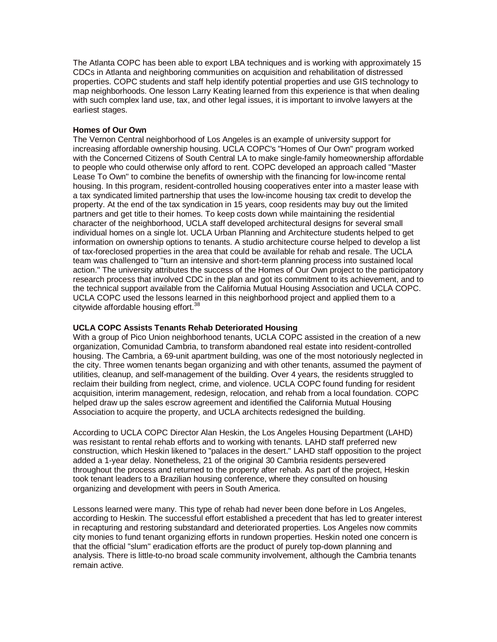The Atlanta COPC has been able to export LBA techniques and is working with approximately 15 CDCs in Atlanta and neighboring communities on acquisition and rehabilitation of distressed properties. COPC students and staff help identify potential properties and use GIS technology to map neighborhoods. One lesson Larry Keating learned from this experience is that when dealing with such complex land use, tax, and other legal issues, it is important to involve lawyers at the earliest stages.

## **Homes of Our Own**

The Vernon Central neighborhood of Los Angeles is an example of university support for increasing affordable ownership housing. UCLA COPC's "Homes of Our Own" program worked with the Concerned Citizens of South Central LA to make single-family homeownership affordable to people who could otherwise only afford to rent. COPC developed an approach called "Master Lease To Own" to combine the benefits of ownership with the financing for low-income rental housing. In this program, resident-controlled housing cooperatives enter into a master lease with a tax syndicated limited partnership that uses the low-income housing tax credit to develop the property. At the end of the tax syndication in 15 years, coop residents may buy out the limited partners and get title to their homes. To keep costs down while maintaining the residential character of the neighborhood, UCLA staff developed architectural designs for several small individual homes on a single lot. UCLA Urban Planning and Architecture students helped to get information on ownership options to tenants. A studio architecture course helped to develop a list of tax-foreclosed properties in the area that could be available for rehab and resale. The UCLA team was challenged to "turn an intensive and short-term planning process into sustained local action." The university attributes the success of the Homes of Our Own project to the participatory research process that involved CDC in the plan and got its commitment to its achievement, and to the technical support available from the California Mutual Housing Association and UCLA COPC. UCLA COPC used the lessons learned in this neighborhood project and applied them to a citywide affordable housing effort.<sup>38</sup>

## **UCLA COPC Assists Tenants Rehab Deteriorated Housing**

With a group of Pico Union neighborhood tenants, UCLA COPC assisted in the creation of a new organization, Comunidad Cambria, to transform abandoned real estate into resident-controlled housing. The Cambria, a 69-unit apartment building, was one of the most notoriously neglected in the city. Three women tenants began organizing and with other tenants, assumed the payment of utilities, cleanup, and self-management of the building. Over 4 years, the residents struggled to reclaim their building from neglect, crime, and violence. UCLA COPC found funding for resident acquisition, interim management, redesign, relocation, and rehab from a local foundation. COPC helped draw up the sales escrow agreement and identified the California Mutual Housing Association to acquire the property, and UCLA architects redesigned the building.

According to UCLA COPC Director Alan Heskin, the Los Angeles Housing Department (LAHD) was resistant to rental rehab efforts and to working with tenants. LAHD staff preferred new construction, which Heskin likened to "palaces in the desert." LAHD staff opposition to the project added a 1-year delay. Nonetheless, 21 of the original 30 Cambria residents persevered throughout the process and returned to the property after rehab. As part of the project, Heskin took tenant leaders to a Brazilian housing conference, where they consulted on housing organizing and development with peers in South America.

Lessons learned were many. This type of rehab had never been done before in Los Angeles, according to Heskin. The successful effort established a precedent that has led to greater interest in recapturing and restoring substandard and deteriorated properties. Los Angeles now commits city monies to fund tenant organizing efforts in rundown properties. Heskin noted one concern is that the official "slum" eradication efforts are the product of purely top-down planning and analysis. There is little-to-no broad scale community involvement, although the Cambria tenants remain active.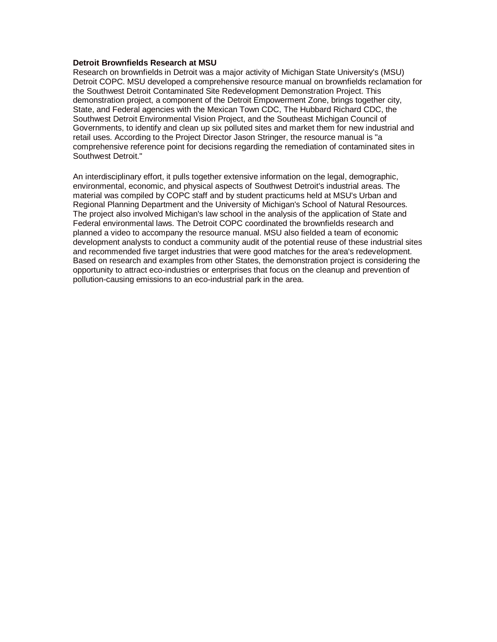## **Detroit Brownfields Research at MSU**

Research on brownfields in Detroit was a major activity of Michigan State University's (MSU) Detroit COPC. MSU developed a comprehensive resource manual on brownfields reclamation for the Southwest Detroit Contaminated Site Redevelopment Demonstration Project. This demonstration project, a component of the Detroit Empowerment Zone, brings together city, State, and Federal agencies with the Mexican Town CDC, The Hubbard Richard CDC, the Southwest Detroit Environmental Vision Project, and the Southeast Michigan Council of Governments, to identify and clean up six polluted sites and market them for new industrial and retail uses. According to the Project Director Jason Stringer, the resource manual is "a comprehensive reference point for decisions regarding the remediation of contaminated sites in Southwest Detroit."

An interdisciplinary effort, it pulls together extensive information on the legal, demographic, environmental, economic, and physical aspects of Southwest Detroit's industrial areas. The material was compiled by COPC staff and by student practicums held at MSU's Urban and Regional Planning Department and the University of Michigan's School of Natural Resources. The project also involved Michigan's law school in the analysis of the application of State and Federal environmental laws. The Detroit COPC coordinated the brownfields research and planned a video to accompany the resource manual. MSU also fielded a team of economic development analysts to conduct a community audit of the potential reuse of these industrial sites and recommended five target industries that were good matches for the area's redevelopment. Based on research and examples from other States, the demonstration project is considering the opportunity to attract eco-industries or enterprises that focus on the cleanup and prevention of pollution-causing emissions to an eco-industrial park in the area.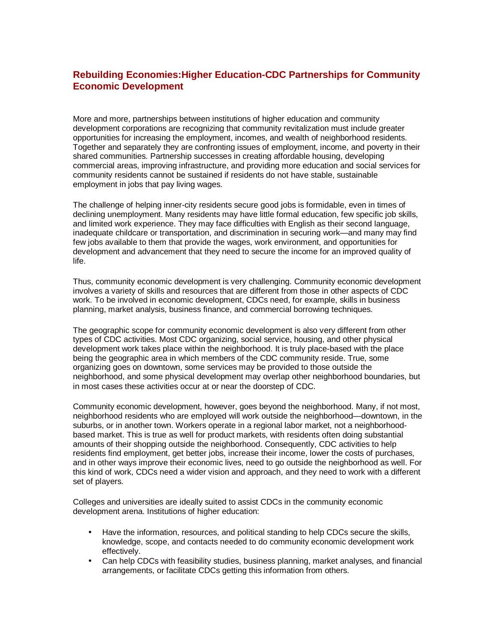## **Rebuilding Economies:Higher Education-CDC Partnerships for Community Economic Development**

More and more, partnerships between institutions of higher education and community development corporations are recognizing that community revitalization must include greater opportunities for increasing the employment, incomes, and wealth of neighborhood residents. Together and separately they are confronting issues of employment, income, and poverty in their shared communities. Partnership successes in creating affordable housing, developing commercial areas, improving infrastructure, and providing more education and social services for community residents cannot be sustained if residents do not have stable, sustainable employment in jobs that pay living wages.

The challenge of helping inner-city residents secure good jobs is formidable, even in times of declining unemployment. Many residents may have little formal education, few specific job skills, and limited work experience. They may face difficulties with English as their second language, inadequate childcare or transportation, and discrimination in securing work—and many may find few jobs available to them that provide the wages, work environment, and opportunities for development and advancement that they need to secure the income for an improved quality of life.

Thus, community economic development is very challenging. Community economic development involves a variety of skills and resources that are different from those in other aspects of CDC work. To be involved in economic development, CDCs need, for example, skills in business planning, market analysis, business finance, and commercial borrowing techniques.

The geographic scope for community economic development is also very different from other types of CDC activities. Most CDC organizing, social service, housing, and other physical development work takes place within the neighborhood. It is truly place-based with the place being the geographic area in which members of the CDC community reside. True, some organizing goes on downtown, some services may be provided to those outside the neighborhood, and some physical development may overlap other neighborhood boundaries, but in most cases these activities occur at or near the doorstep of CDC.

Community economic development, however, goes beyond the neighborhood. Many, if not most, neighborhood residents who are employed will work outside the neighborhood—downtown, in the suburbs, or in another town. Workers operate in a regional labor market, not a neighborhoodbased market. This is true as well for product markets, with residents often doing substantial amounts of their shopping outside the neighborhood. Consequently, CDC activities to help residents find employment, get better jobs, increase their income, lower the costs of purchases, and in other ways improve their economic lives, need to go outside the neighborhood as well. For this kind of work, CDCs need a wider vision and approach, and they need to work with a different set of players.

Colleges and universities are ideally suited to assist CDCs in the community economic development arena. Institutions of higher education:

- Have the information, resources, and political standing to help CDCs secure the skills, knowledge, scope, and contacts needed to do community economic development work effectively.
- Can help CDCs with feasibility studies, business planning, market analyses, and financial arrangements, or facilitate CDCs getting this information from others.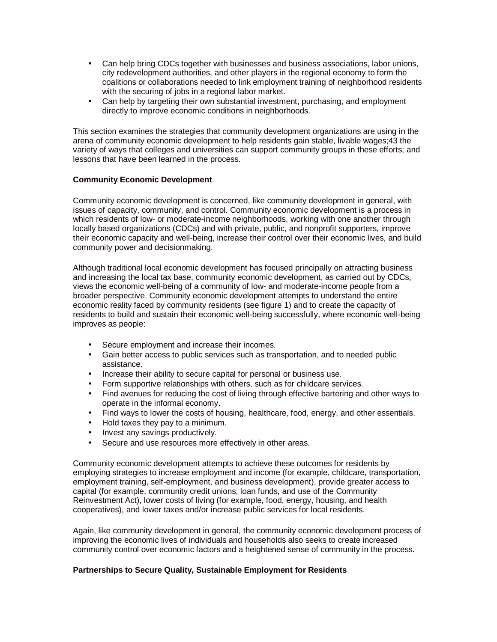- Can help bring CDCs together with businesses and business associations, labor unions, city redevelopment authorities, and other players in the regional economy to form the coalitions or collaborations needed to link employment training of neighborhood residents with the securing of jobs in a regional labor market.
- Can help by targeting their own substantial investment, purchasing, and employment directly to improve economic conditions in neighborhoods.

This section examines the strategies that community development organizations are using in the arena of community economic development to help residents gain stable, livable wages;43 the variety of ways that colleges and universities can support community groups in these efforts; and lessons that have been learned in the process.

## **Community Economic Development**

Community economic development is concerned, like community development in general, with issues of capacity, community, and control. Community economic development is a process in which residents of low- or moderate-income neighborhoods, working with one another through locally based organizations (CDCs) and with private, public, and nonprofit supporters, improve their economic capacity and well-being, increase their control over their economic lives, and build community power and decisionmaking.

Although traditional local economic development has focused principally on attracting business and increasing the local tax base, community economic development, as carried out by CDCs, views the economic well-being of a community of low- and moderate-income people from a broader perspective. Community economic development attempts to understand the entire economic reality faced by community residents (see figure 1) and to create the capacity of residents to build and sustain their economic well-being successfully, where economic well-being improves as people:

- Secure employment and increase their incomes.
- Gain better access to public services such as transportation, and to needed public assistance.
- Increase their ability to secure capital for personal or business use.
- Form supportive relationships with others, such as for childcare services.
- Find avenues for reducing the cost of living through effective bartering and other ways to operate in the informal economy.
- Find ways to lower the costs of housing, healthcare, food, energy, and other essentials.
- Hold taxes they pay to a minimum.
- Invest any savings productively.
- Secure and use resources more effectively in other areas.

Community economic development attempts to achieve these outcomes for residents by employing strategies to increase employment and income (for example, childcare, transportation, employment training, self-employment, and business development), provide greater access to capital (for example, community credit unions, loan funds, and use of the Community Reinvestment Act), lower costs of living (for example, food, energy, housing, and health cooperatives), and lower taxes and/or increase public services for local residents.

Again, like community development in general, the community economic development process of improving the economic lives of individuals and households also seeks to create increased community control over economic factors and a heightened sense of community in the process.

## **Partnerships to Secure Quality, Sustainable Employment for Residents**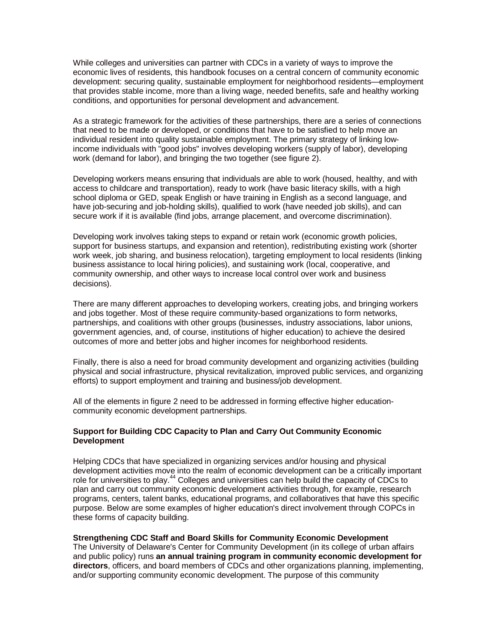While colleges and universities can partner with CDCs in a variety of ways to improve the economic lives of residents, this handbook focuses on a central concern of community economic development: securing quality, sustainable employment for neighborhood residents—employment that provides stable income, more than a living wage, needed benefits, safe and healthy working conditions, and opportunities for personal development and advancement.

As a strategic framework for the activities of these partnerships, there are a series of connections that need to be made or developed, or conditions that have to be satisfied to help move an individual resident into quality sustainable employment. The primary strategy of linking lowincome individuals with "good jobs" involves developing workers (supply of labor), developing work (demand for labor), and bringing the two together (see figure 2).

Developing workers means ensuring that individuals are able to work (housed, healthy, and with access to childcare and transportation), ready to work (have basic literacy skills, with a high school diploma or GED, speak English or have training in English as a second language, and have job-securing and job-holding skills), qualified to work (have needed job skills), and can secure work if it is available (find jobs, arrange placement, and overcome discrimination).

Developing work involves taking steps to expand or retain work (economic growth policies, support for business startups, and expansion and retention), redistributing existing work (shorter work week, job sharing, and business relocation), targeting employment to local residents (linking business assistance to local hiring policies), and sustaining work (local, cooperative, and community ownership, and other ways to increase local control over work and business decisions).

There are many different approaches to developing workers, creating jobs, and bringing workers and jobs together. Most of these require community-based organizations to form networks, partnerships, and coalitions with other groups (businesses, industry associations, labor unions, government agencies, and, of course, institutions of higher education) to achieve the desired outcomes of more and better jobs and higher incomes for neighborhood residents.

Finally, there is also a need for broad community development and organizing activities (building physical and social infrastructure, physical revitalization, improved public services, and organizing efforts) to support employment and training and business/job development.

All of the elements in figure 2 need to be addressed in forming effective higher educationcommunity economic development partnerships.

## **Support for Building CDC Capacity to Plan and Carry Out Community Economic Development**

Helping CDCs that have specialized in organizing services and/or housing and physical development activities move into the realm of economic development can be a critically important role for universities to play.<sup>44</sup> Colleges and universities can help build the capacity of CDCs to plan and carry out community economic development activities through, for example, research programs, centers, talent banks, educational programs, and collaboratives that have this specific purpose. Below are some examples of higher education's direct involvement through COPCs in these forms of capacity building.

## **Strengthening CDC Staff and Board Skills for Community Economic Development**

The University of Delaware's Center for Community Development (in its college of urban affairs and public policy) runs **an annual training program in community economic development for directors**, officers, and board members of CDCs and other organizations planning, implementing, and/or supporting community economic development. The purpose of this community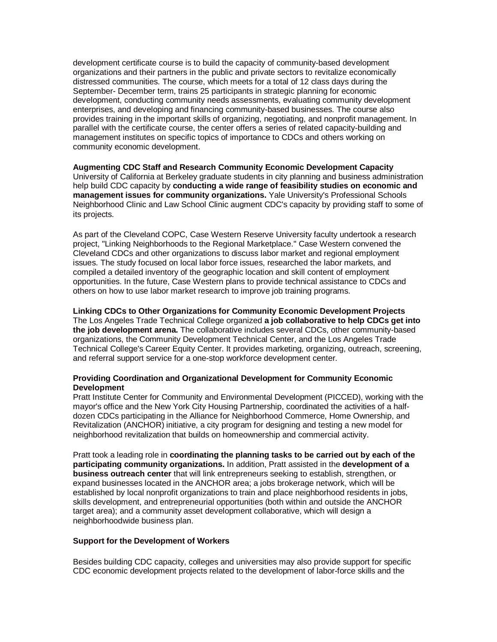development certificate course is to build the capacity of community-based development organizations and their partners in the public and private sectors to revitalize economically distressed communities. The course, which meets for a total of 12 class days during the September- December term, trains 25 participants in strategic planning for economic development, conducting community needs assessments, evaluating community development enterprises, and developing and financing community-based businesses. The course also provides training in the important skills of organizing, negotiating, and nonprofit management. In parallel with the certificate course, the center offers a series of related capacity-building and management institutes on specific topics of importance to CDCs and others working on community economic development.

## **Augmenting CDC Staff and Research Community Economic Development Capacity** University of California at Berkeley graduate students in city planning and business administration help build CDC capacity by **conducting a wide range of feasibility studies on economic and management issues for community organizations.** Yale University's Professional Schools Neighborhood Clinic and Law School Clinic augment CDC's capacity by providing staff to some of its projects.

As part of the Cleveland COPC, Case Western Reserve University faculty undertook a research project, "Linking Neighborhoods to the Regional Marketplace." Case Western convened the Cleveland CDCs and other organizations to discuss labor market and regional employment issues. The study focused on local labor force issues, researched the labor markets, and compiled a detailed inventory of the geographic location and skill content of employment opportunities. In the future, Case Western plans to provide technical assistance to CDCs and others on how to use labor market research to improve job training programs.

#### **Linking CDCs to Other Organizations for Community Economic Development Projects** The Los Angeles Trade Technical College organized **a job collaborative to help CDCs get into**

**the job development arena.** The collaborative includes several CDCs, other community-based organizations, the Community Development Technical Center, and the Los Angeles Trade Technical College's Career Equity Center. It provides marketing, organizing, outreach, screening, and referral support service for a one-stop workforce development center.

## **Providing Coordination and Organizational Development for Community Economic Development**

Pratt Institute Center for Community and Environmental Development (PICCED), working with the mayor's office and the New York City Housing Partnership, coordinated the activities of a halfdozen CDCs participating in the Alliance for Neighborhood Commerce, Home Ownership, and Revitalization (ANCHOR) initiative, a city program for designing and testing a new model for neighborhood revitalization that builds on homeownership and commercial activity.

Pratt took a leading role in **coordinating the planning tasks to be carried out by each of the participating community organizations.** In addition, Pratt assisted in the **development of a business outreach center** that will link entrepreneurs seeking to establish, strengthen, or expand businesses located in the ANCHOR area; a jobs brokerage network, which will be established by local nonprofit organizations to train and place neighborhood residents in jobs, skills development, and entrepreneurial opportunities (both within and outside the ANCHOR target area); and a community asset development collaborative, which will design a neighborhoodwide business plan.

## **Support for the Development of Workers**

Besides building CDC capacity, colleges and universities may also provide support for specific CDC economic development projects related to the development of labor-force skills and the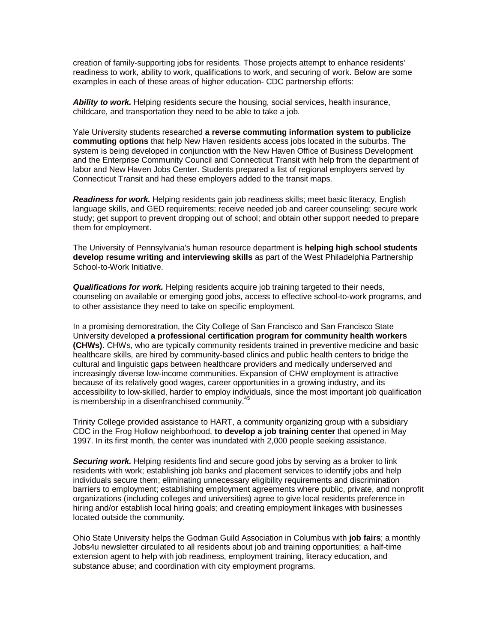creation of family-supporting jobs for residents. Those projects attempt to enhance residents' readiness to work, ability to work, qualifications to work, and securing of work. Below are some examples in each of these areas of higher education- CDC partnership efforts:

*Ability to work.* Helping residents secure the housing, social services, health insurance, childcare, and transportation they need to be able to take a job.

Yale University students researched **a reverse commuting information system to publicize commuting options** that help New Haven residents access jobs located in the suburbs. The system is being developed in conjunction with the New Haven Office of Business Development and the Enterprise Community Council and Connecticut Transit with help from the department of labor and New Haven Jobs Center. Students prepared a list of regional employers served by Connecticut Transit and had these employers added to the transit maps.

*Readiness for work.* Helping residents gain job readiness skills; meet basic literacy, English language skills, and GED requirements; receive needed job and career counseling; secure work study; get support to prevent dropping out of school; and obtain other support needed to prepare them for employment.

The University of Pennsylvania's human resource department is **helping high school students develop resume writing and interviewing skills** as part of the West Philadelphia Partnership School-to-Work Initiative.

*Qualifications for work.* Helping residents acquire job training targeted to their needs, counseling on available or emerging good jobs, access to effective school-to-work programs, and to other assistance they need to take on specific employment.

In a promising demonstration, the City College of San Francisco and San Francisco State University developed **a professional certification program for community health workers (CHWs)**. CHWs, who are typically community residents trained in preventive medicine and basic healthcare skills, are hired by community-based clinics and public health centers to bridge the cultural and linguistic gaps between healthcare providers and medically underserved and increasingly diverse low-income communities. Expansion of CHW employment is attractive because of its relatively good wages, career opportunities in a growing industry, and its accessibility to low-skilled, harder to employ individuals, since the most important job qualification is membership in a disenfranchised community.<sup>45</sup>

Trinity College provided assistance to HART, a community organizing group with a subsidiary CDC in the Frog Hollow neighborhood, **to develop a job training center** that opened in May 1997. In its first month, the center was inundated with 2,000 people seeking assistance.

**Securing work.** Helping residents find and secure good jobs by serving as a broker to link residents with work; establishing job banks and placement services to identify jobs and help individuals secure them; eliminating unnecessary eligibility requirements and discrimination barriers to employment; establishing employment agreements where public, private, and nonprofit organizations (including colleges and universities) agree to give local residents preference in hiring and/or establish local hiring goals; and creating employment linkages with businesses located outside the community.

Ohio State University helps the Godman Guild Association in Columbus with **job fairs**; a monthly Jobs4u newsletter circulated to all residents about job and training opportunities; a half-time extension agent to help with job readiness, employment training, literacy education, and substance abuse; and coordination with city employment programs.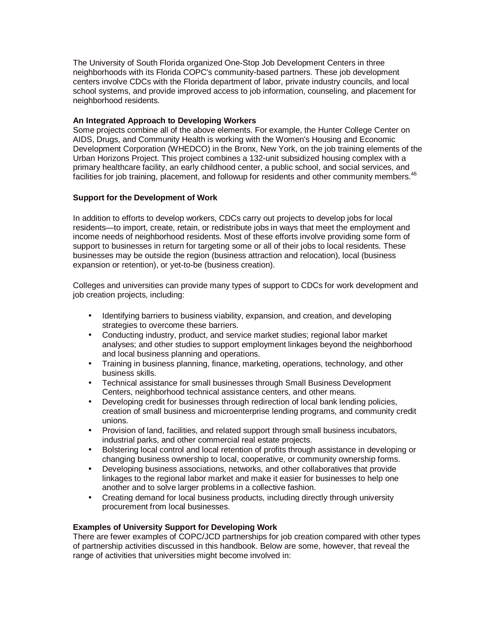The University of South Florida organized One-Stop Job Development Centers in three neighborhoods with its Florida COPC's community-based partners. These job development centers involve CDCs with the Florida department of labor, private industry councils, and local school systems, and provide improved access to job information, counseling, and placement for neighborhood residents.

## **An Integrated Approach to Developing Workers**

Some projects combine all of the above elements. For example, the Hunter College Center on AIDS, Drugs, and Community Health is working with the Women's Housing and Economic Development Corporation (WHEDCO) in the Bronx, New York, on the job training elements of the Urban Horizons Project. This project combines a 132-unit subsidized housing complex with a primary healthcare facility, an early childhood center, a public school, and social services, and facilities for job training, placement, and followup for residents and other community members.<sup>46</sup>

## **Support for the Development of Work**

In addition to efforts to develop workers, CDCs carry out projects to develop jobs for local residents—to import, create, retain, or redistribute jobs in ways that meet the employment and income needs of neighborhood residents. Most of these efforts involve providing some form of support to businesses in return for targeting some or all of their jobs to local residents. These businesses may be outside the region (business attraction and relocation), local (business expansion or retention), or yet-to-be (business creation).

Colleges and universities can provide many types of support to CDCs for work development and job creation projects, including:

- Identifying barriers to business viability, expansion, and creation, and developing strategies to overcome these barriers.
- Conducting industry, product, and service market studies; regional labor market analyses; and other studies to support employment linkages beyond the neighborhood and local business planning and operations.
- Training in business planning, finance, marketing, operations, technology, and other business skills.
- Technical assistance for small businesses through Small Business Development Centers, neighborhood technical assistance centers, and other means.
- Developing credit for businesses through redirection of local bank lending policies, creation of small business and microenterprise lending programs, and community credit unions.
- Provision of land, facilities, and related support through small business incubators, industrial parks, and other commercial real estate projects.
- Bolstering local control and local retention of profits through assistance in developing or changing business ownership to local, cooperative, or community ownership forms.
- Developing business associations, networks, and other collaboratives that provide linkages to the regional labor market and make it easier for businesses to help one another and to solve larger problems in a collective fashion.
- Creating demand for local business products, including directly through university procurement from local businesses.

## **Examples of University Support for Developing Work**

There are fewer examples of COPC/JCD partnerships for job creation compared with other types of partnership activities discussed in this handbook. Below are some, however, that reveal the range of activities that universities might become involved in: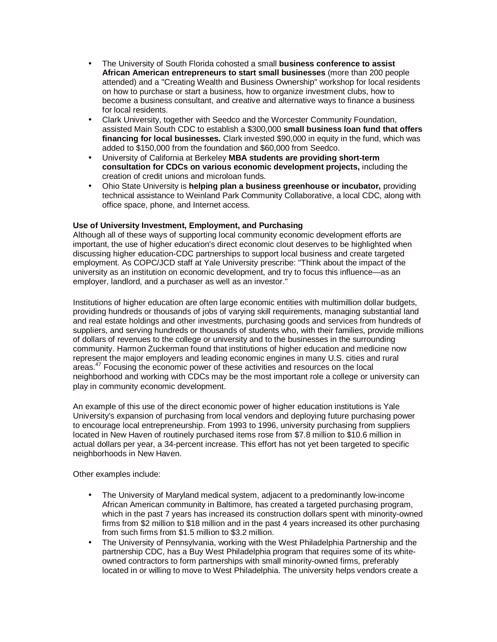- The University of South Florida cohosted a small **business conference to assist African American entrepreneurs to start small businesses** (more than 200 people attended) and a "Creating Wealth and Business Ownership" workshop for local residents on how to purchase or start a business, how to organize investment clubs, how to become a business consultant, and creative and alternative ways to finance a business for local residents.
- Clark University, together with Seedco and the Worcester Community Foundation, assisted Main South CDC to establish a \$300,000 **small business loan fund that offers financing for local businesses.** Clark invested \$90,000 in equity in the fund, which was added to \$150,000 from the foundation and \$60,000 from Seedco.
- University of California at Berkeley **MBA students are providing short-term consultation for CDCs on various economic development projects,** including the creation of credit unions and microloan funds.
- Ohio State University is **helping plan a business greenhouse or incubator,** providing technical assistance to Weinland Park Community Collaborative, a local CDC, along with office space, phone, and Internet access.

## **Use of University Investment, Employment, and Purchasing**

Although all of these ways of supporting local community economic development efforts are important, the use of higher education's direct economic clout deserves to be highlighted when discussing higher education-CDC partnerships to support local business and create targeted employment. As COPC/JCD staff at Yale University prescribe: "Think about the impact of the university as an institution on economic development, and try to focus this influence—as an employer, landlord, and a purchaser as well as an investor."

Institutions of higher education are often large economic entities with multimillion dollar budgets, providing hundreds or thousands of jobs of varying skill requirements, managing substantial land and real estate holdings and other investments, purchasing goods and services from hundreds of suppliers, and serving hundreds or thousands of students who, with their families, provide millions of dollars of revenues to the college or university and to the businesses in the surrounding community. Harmon Zuckerman found that institutions of higher education and medicine now represent the major employers and leading economic engines in many U.S. cities and rural areas.<sup>47</sup> Focusing the economic power of these activities and resources on the local neighborhood and working with CDCs may be the most important role a college or university can play in community economic development.

An example of this use of the direct economic power of higher education institutions is Yale University's expansion of purchasing from local vendors and deploying future purchasing power to encourage local entrepreneurship. From 1993 to 1996, university purchasing from suppliers located in New Haven of routinely purchased items rose from \$7.8 million to \$10.6 million in actual dollars per year, a 34-percent increase. This effort has not yet been targeted to specific neighborhoods in New Haven.

Other examples include:

- The University of Maryland medical system, adjacent to a predominantly low-income African American community in Baltimore, has created a targeted purchasing program, which in the past 7 years has increased its construction dollars spent with minority-owned firms from \$2 million to \$18 million and in the past 4 years increased its other purchasing from such firms from \$1.5 million to \$3.2 million.
- The University of Pennsylvania, working with the West Philadelphia Partnership and the partnership CDC, has a Buy West Philadelphia program that requires some of its whiteowned contractors to form partnerships with small minority-owned firms, preferably located in or willing to move to West Philadelphia. The university helps vendors create a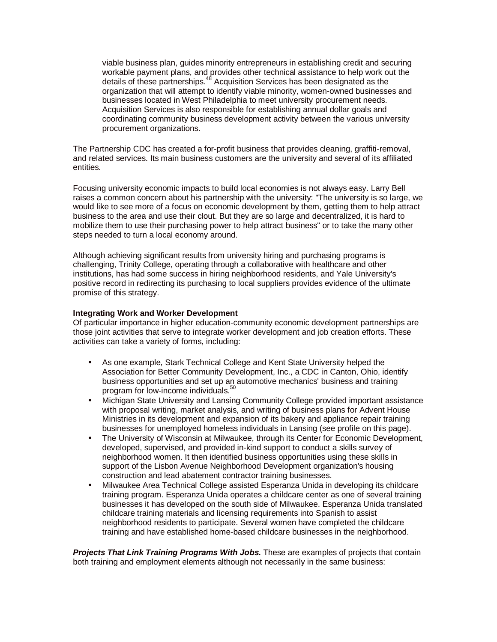viable business plan, guides minority entrepreneurs in establishing credit and securing workable payment plans, and provides other technical assistance to help work out the details of these partnerships.<sup>48</sup> Acquisition Services has been designated as the organization that will attempt to identify viable minority, women-owned businesses and businesses located in West Philadelphia to meet university procurement needs. Acquisition Services is also responsible for establishing annual dollar goals and coordinating community business development activity between the various university procurement organizations.

The Partnership CDC has created a for-profit business that provides cleaning, graffiti-removal, and related services. Its main business customers are the university and several of its affiliated entities.

Focusing university economic impacts to build local economies is not always easy. Larry Bell raises a common concern about his partnership with the university: "The university is so large, we would like to see more of a focus on economic development by them, getting them to help attract business to the area and use their clout. But they are so large and decentralized, it is hard to mobilize them to use their purchasing power to help attract business" or to take the many other steps needed to turn a local economy around.

Although achieving significant results from university hiring and purchasing programs is challenging, Trinity College, operating through a collaborative with healthcare and other institutions, has had some success in hiring neighborhood residents, and Yale University's positive record in redirecting its purchasing to local suppliers provides evidence of the ultimate promise of this strategy.

## **Integrating Work and Worker Development**

Of particular importance in higher education-community economic development partnerships are those joint activities that serve to integrate worker development and job creation efforts. These activities can take a variety of forms, including:

- As one example, Stark Technical College and Kent State University helped the Association for Better Community Development, Inc., a CDC in Canton, Ohio, identify business opportunities and set up an automotive mechanics' business and training program for low-income individuals.<sup>50</sup>
- Michigan State University and Lansing Community College provided important assistance with proposal writing, market analysis, and writing of business plans for Advent House Ministries in its development and expansion of its bakery and appliance repair training businesses for unemployed homeless individuals in Lansing (see profile on this page).
- The University of Wisconsin at Milwaukee, through its Center for Economic Development, developed, supervised, and provided in-kind support to conduct a skills survey of neighborhood women. It then identified business opportunities using these skills in support of the Lisbon Avenue Neighborhood Development organization's housing construction and lead abatement contractor training businesses.
- Milwaukee Area Technical College assisted Esperanza Unida in developing its childcare training program. Esperanza Unida operates a childcare center as one of several training businesses it has developed on the south side of Milwaukee. Esperanza Unida translated childcare training materials and licensing requirements into Spanish to assist neighborhood residents to participate. Several women have completed the childcare training and have established home-based childcare businesses in the neighborhood.

*Projects That Link Training Programs With Jobs.* These are examples of projects that contain both training and employment elements although not necessarily in the same business: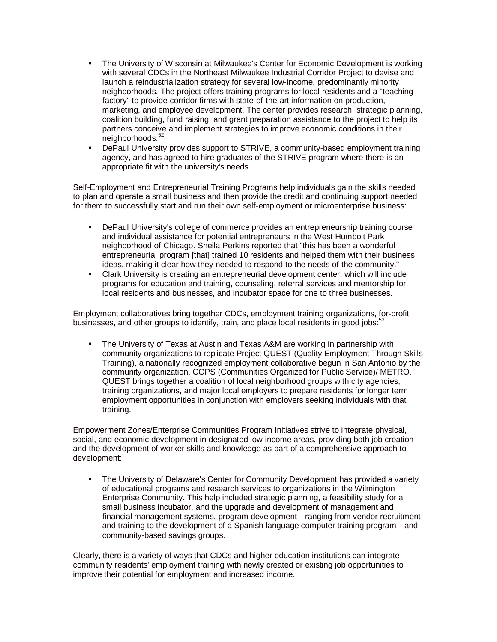- The University of Wisconsin at Milwaukee's Center for Economic Development is working with several CDCs in the Northeast Milwaukee Industrial Corridor Project to devise and launch a reindustrialization strategy for several low-income, predominantly minority neighborhoods. The project offers training programs for local residents and a "teaching factory" to provide corridor firms with state-of-the-art information on production, marketing, and employee development. The center provides research, strategic planning, coalition building, fund raising, and grant preparation assistance to the project to help its partners conceive and implement strategies to improve economic conditions in their neighborhoods.<sup>52</sup>
- DePaul University provides support to STRIVE, a community-based employment training agency, and has agreed to hire graduates of the STRIVE program where there is an appropriate fit with the university's needs.

Self-Employment and Entrepreneurial Training Programs help individuals gain the skills needed to plan and operate a small business and then provide the credit and continuing support needed for them to successfully start and run their own self-employment or microenterprise business:

- DePaul University's college of commerce provides an entrepreneurship training course and individual assistance for potential entrepreneurs in the West Humbolt Park neighborhood of Chicago. Sheila Perkins reported that "this has been a wonderful entrepreneurial program [that] trained 10 residents and helped them with their business ideas, making it clear how they needed to respond to the needs of the community."
- Clark University is creating an entrepreneurial development center, which will include programs for education and training, counseling, referral services and mentorship for local residents and businesses, and incubator space for one to three businesses.

Employment collaboratives bring together CDCs, employment training organizations, for-profit businesses, and other groups to identify, train, and place local residents in good jobs: $53$ 

• The University of Texas at Austin and Texas A&M are working in partnership with community organizations to replicate Project QUEST (Quality Employment Through Skills Training), a nationally recognized employment collaborative begun in San Antonio by the community organization, COPS (Communities Organized for Public Service)/ METRO. QUEST brings together a coalition of local neighborhood groups with city agencies, training organizations, and major local employers to prepare residents for longer term employment opportunities in conjunction with employers seeking individuals with that training.

Empowerment Zones/Enterprise Communities Program Initiatives strive to integrate physical, social, and economic development in designated low-income areas, providing both job creation and the development of worker skills and knowledge as part of a comprehensive approach to development:

• The University of Delaware's Center for Community Development has provided a variety of educational programs and research services to organizations in the Wilmington Enterprise Community. This help included strategic planning, a feasibility study for a small business incubator, and the upgrade and development of management and financial management systems, program development—ranging from vendor recruitment and training to the development of a Spanish language computer training program—and community-based savings groups.

Clearly, there is a variety of ways that CDCs and higher education institutions can integrate community residents' employment training with newly created or existing job opportunities to improve their potential for employment and increased income.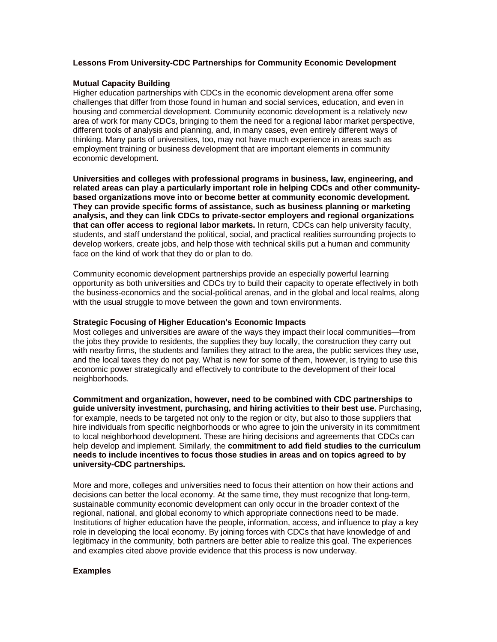## **Lessons From University-CDC Partnerships for Community Economic Development**

## **Mutual Capacity Building**

Higher education partnerships with CDCs in the economic development arena offer some challenges that differ from those found in human and social services, education, and even in housing and commercial development. Community economic development is a relatively new area of work for many CDCs, bringing to them the need for a regional labor market perspective, different tools of analysis and planning, and, in many cases, even entirely different ways of thinking. Many parts of universities, too, may not have much experience in areas such as employment training or business development that are important elements in community economic development.

**Universities and colleges with professional programs in business, law, engineering, and related areas can play a particularly important role in helping CDCs and other communitybased organizations move into or become better at community economic development. They can provide specific forms of assistance, such as business planning or marketing analysis, and they can link CDCs to private-sector employers and regional organizations that can offer access to regional labor markets.** In return, CDCs can help university faculty, students, and staff understand the political, social, and practical realities surrounding projects to develop workers, create jobs, and help those with technical skills put a human and community face on the kind of work that they do or plan to do.

Community economic development partnerships provide an especially powerful learning opportunity as both universities and CDCs try to build their capacity to operate effectively in both the business-economics and the social-political arenas, and in the global and local realms, along with the usual struggle to move between the gown and town environments.

#### **Strategic Focusing of Higher Education's Economic Impacts**

Most colleges and universities are aware of the ways they impact their local communities—from the jobs they provide to residents, the supplies they buy locally, the construction they carry out with nearby firms, the students and families they attract to the area, the public services they use, and the local taxes they do not pay. What is new for some of them, however, is trying to use this economic power strategically and effectively to contribute to the development of their local neighborhoods.

**Commitment and organization, however, need to be combined with CDC partnerships to guide university investment, purchasing, and hiring activities to their best use.** Purchasing, for example, needs to be targeted not only to the region or city, but also to those suppliers that hire individuals from specific neighborhoods or who agree to join the university in its commitment to local neighborhood development. These are hiring decisions and agreements that CDCs can help develop and implement. Similarly, the **commitment to add field studies to the curriculum needs to include incentives to focus those studies in areas and on topics agreed to by university-CDC partnerships.**

More and more, colleges and universities need to focus their attention on how their actions and decisions can better the local economy. At the same time, they must recognize that long-term, sustainable community economic development can only occur in the broader context of the regional, national, and global economy to which appropriate connections need to be made. Institutions of higher education have the people, information, access, and influence to play a key role in developing the local economy. By joining forces with CDCs that have knowledge of and legitimacy in the community, both partners are better able to realize this goal. The experiences and examples cited above provide evidence that this process is now underway.

## **Examples**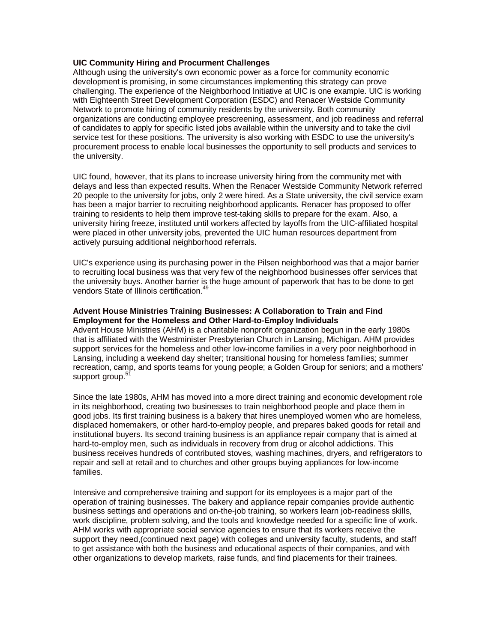## **UIC Community Hiring and Procurment Challenges**

Although using the university's own economic power as a force for community economic development is promising, in some circumstances implementing this strategy can prove challenging. The experience of the Neighborhood Initiative at UIC is one example. UIC is working with Eighteenth Street Development Corporation (ESDC) and Renacer Westside Community Network to promote hiring of community residents by the university. Both community organizations are conducting employee prescreening, assessment, and job readiness and referral of candidates to apply for specific listed jobs available within the university and to take the civil service test for these positions. The university is also working with ESDC to use the university's procurement process to enable local businesses the opportunity to sell products and services to the university.

UIC found, however, that its plans to increase university hiring from the community met with delays and less than expected results. When the Renacer Westside Community Network referred 20 people to the university for jobs, only 2 were hired. As a State university, the civil service exam has been a major barrier to recruiting neighborhood applicants. Renacer has proposed to offer training to residents to help them improve test-taking skills to prepare for the exam. Also, a university hiring freeze, instituted until workers affected by layoffs from the UIC-affiliated hospital were placed in other university jobs, prevented the UIC human resources department from actively pursuing additional neighborhood referrals.

UIC's experience using its purchasing power in the Pilsen neighborhood was that a major barrier to recruiting local business was that very few of the neighborhood businesses offer services that the university buys. Another barrier is the huge amount of paperwork that has to be done to get vendors State of Illinois certification.<sup>49</sup>

## **Advent House Ministries Training Businesses: A Collaboration to Train and Find Employment for the Homeless and Other Hard-to-Employ Individuals**

Advent House Ministries (AHM) is a charitable nonprofit organization begun in the early 1980s that is affiliated with the Westminister Presbyterian Church in Lansing, Michigan. AHM provides support services for the homeless and other low-income families in a very poor neighborhood in Lansing, including a weekend day shelter; transitional housing for homeless families; summer recreation, camp, and sports teams for young people; a Golden Group for seniors; and a mothers' support group.<sup>57</sup>

Since the late 1980s, AHM has moved into a more direct training and economic development role in its neighborhood, creating two businesses to train neighborhood people and place them in good jobs. Its first training business is a bakery that hires unemployed women who are homeless, displaced homemakers, or other hard-to-employ people, and prepares baked goods for retail and institutional buyers. Its second training business is an appliance repair company that is aimed at hard-to-employ men, such as individuals in recovery from drug or alcohol addictions. This business receives hundreds of contributed stoves, washing machines, dryers, and refrigerators to repair and sell at retail and to churches and other groups buying appliances for low-income families.

Intensive and comprehensive training and support for its employees is a major part of the operation of training businesses. The bakery and appliance repair companies provide authentic business settings and operations and on-the-job training, so workers learn job-readiness skills, work discipline, problem solving, and the tools and knowledge needed for a specific line of work. AHM works with appropriate social service agencies to ensure that its workers receive the support they need,(continued next page) with colleges and university faculty, students, and staff to get assistance with both the business and educational aspects of their companies, and with other organizations to develop markets, raise funds, and find placements for their trainees.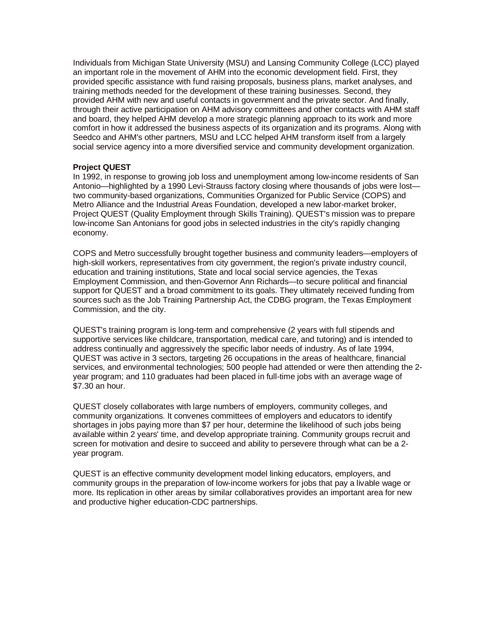Individuals from Michigan State University (MSU) and Lansing Community College (LCC) played an important role in the movement of AHM into the economic development field. First, they provided specific assistance with fund raising proposals, business plans, market analyses, and training methods needed for the development of these training businesses. Second, they provided AHM with new and useful contacts in government and the private sector. And finally, through their active participation on AHM advisory committees and other contacts with AHM staff and board, they helped AHM develop a more strategic planning approach to its work and more comfort in how it addressed the business aspects of its organization and its programs. Along with Seedco and AHM's other partners, MSU and LCC helped AHM transform itself from a largely social service agency into a more diversified service and community development organization.

## **Project QUEST**

In 1992, in response to growing job loss and unemployment among low-income residents of San Antonio—highlighted by a 1990 Levi-Strauss factory closing where thousands of jobs were lost two community-based organizations, Communities Organized for Public Service (COPS) and Metro Alliance and the Industrial Areas Foundation, developed a new labor-market broker, Project QUEST (Quality Employment through Skills Training). QUEST's mission was to prepare low-income San Antonians for good jobs in selected industries in the city's rapidly changing economy.

COPS and Metro successfully brought together business and community leaders—employers of high-skill workers, representatives from city government, the region's private industry council, education and training institutions, State and local social service agencies, the Texas Employment Commission, and then-Governor Ann Richards—to secure political and financial support for QUEST and a broad commitment to its goals. They ultimately received funding from sources such as the Job Training Partnership Act, the CDBG program, the Texas Employment Commission, and the city.

QUEST's training program is long-term and comprehensive (2 years with full stipends and supportive services like childcare, transportation, medical care, and tutoring) and is intended to address continually and aggressively the specific labor needs of industry. As of late 1994, QUEST was active in 3 sectors, targeting 26 occupations in the areas of healthcare, financial services, and environmental technologies; 500 people had attended or were then attending the 2 year program; and 110 graduates had been placed in full-time jobs with an average wage of \$7.30 an hour.

QUEST closely collaborates with large numbers of employers, community colleges, and community organizations. It convenes committees of employers and educators to identify shortages in jobs paying more than \$7 per hour, determine the likelihood of such jobs being available within 2 years' time, and develop appropriate training. Community groups recruit and screen for motivation and desire to succeed and ability to persevere through what can be a 2 year program.

QUEST is an effective community development model linking educators, employers, and community groups in the preparation of low-income workers for jobs that pay a livable wage or more. Its replication in other areas by similar collaboratives provides an important area for new and productive higher education-CDC partnerships.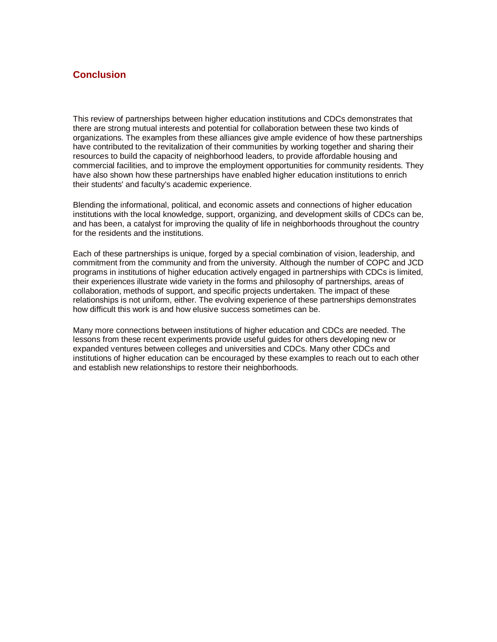## **Conclusion**

This review of partnerships between higher education institutions and CDCs demonstrates that there are strong mutual interests and potential for collaboration between these two kinds of organizations. The examples from these alliances give ample evidence of how these partnerships have contributed to the revitalization of their communities by working together and sharing their resources to build the capacity of neighborhood leaders, to provide affordable housing and commercial facilities, and to improve the employment opportunities for community residents. They have also shown how these partnerships have enabled higher education institutions to enrich their students' and faculty's academic experience.

Blending the informational, political, and economic assets and connections of higher education institutions with the local knowledge, support, organizing, and development skills of CDCs can be, and has been, a catalyst for improving the quality of life in neighborhoods throughout the country for the residents and the institutions.

Each of these partnerships is unique, forged by a special combination of vision, leadership, and commitment from the community and from the university. Although the number of COPC and JCD programs in institutions of higher education actively engaged in partnerships with CDCs is limited, their experiences illustrate wide variety in the forms and philosophy of partnerships, areas of collaboration, methods of support, and specific projects undertaken. The impact of these relationships is not uniform, either. The evolving experience of these partnerships demonstrates how difficult this work is and how elusive success sometimes can be.

Many more connections between institutions of higher education and CDCs are needed. The lessons from these recent experiments provide useful guides for others developing new or expanded ventures between colleges and universities and CDCs. Many other CDCs and institutions of higher education can be encouraged by these examples to reach out to each other and establish new relationships to restore their neighborhoods.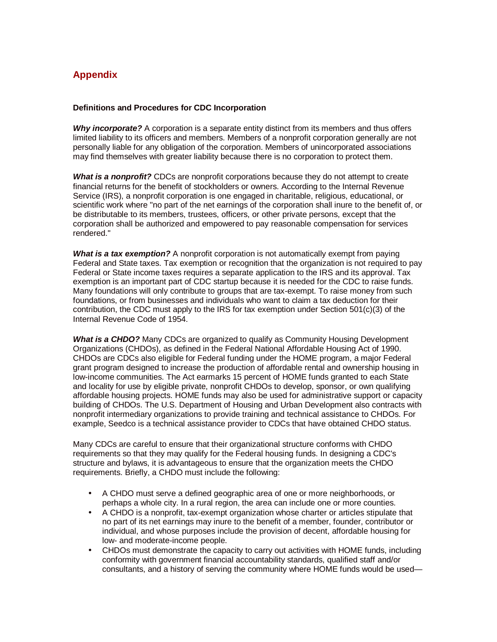# **Appendix**

#### **Definitions and Procedures for CDC Incorporation**

*Why incorporate?* A corporation is a separate entity distinct from its members and thus offers limited liability to its officers and members. Members of a nonprofit corporation generally are not personally liable for any obligation of the corporation. Members of unincorporated associations may find themselves with greater liability because there is no corporation to protect them.

*What is a nonprofit?* CDCs are nonprofit corporations because they do not attempt to create financial returns for the benefit of stockholders or owners. According to the Internal Revenue Service (IRS), a nonprofit corporation is one engaged in charitable, religious, educational, or scientific work where "no part of the net earnings of the corporation shall inure to the benefit of, or be distributable to its members, trustees, officers, or other private persons, except that the corporation shall be authorized and empowered to pay reasonable compensation for services rendered."

*What is a tax exemption?* A nonprofit corporation is not automatically exempt from paying Federal and State taxes. Tax exemption or recognition that the organization is not required to pay Federal or State income taxes requires a separate application to the IRS and its approval. Tax exemption is an important part of CDC startup because it is needed for the CDC to raise funds. Many foundations will only contribute to groups that are tax-exempt. To raise money from such foundations, or from businesses and individuals who want to claim a tax deduction for their contribution, the CDC must apply to the IRS for tax exemption under Section 501(c)(3) of the Internal Revenue Code of 1954.

*What is a CHDO?* Many CDCs are organized to qualify as Community Housing Development Organizations (CHDOs), as defined in the Federal National Affordable Housing Act of 1990. CHDOs are CDCs also eligible for Federal funding under the HOME program, a major Federal grant program designed to increase the production of affordable rental and ownership housing in low-income communities. The Act earmarks 15 percent of HOME funds granted to each State and locality for use by eligible private, nonprofit CHDOs to develop, sponsor, or own qualifying affordable housing projects. HOME funds may also be used for administrative support or capacity building of CHDOs. The U.S. Department of Housing and Urban Development also contracts with nonprofit intermediary organizations to provide training and technical assistance to CHDOs. For example, Seedco is a technical assistance provider to CDCs that have obtained CHDO status.

Many CDCs are careful to ensure that their organizational structure conforms with CHDO requirements so that they may qualify for the Federal housing funds. In designing a CDC's structure and bylaws, it is advantageous to ensure that the organization meets the CHDO requirements. Briefly, a CHDO must include the following:

- A CHDO must serve a defined geographic area of one or more neighborhoods, or perhaps a whole city. In a rural region, the area can include one or more counties.
- A CHDO is a nonprofit, tax-exempt organization whose charter or articles stipulate that no part of its net earnings may inure to the benefit of a member, founder, contributor or individual, and whose purposes include the provision of decent, affordable housing for low- and moderate-income people.
- CHDOs must demonstrate the capacity to carry out activities with HOME funds, including conformity with government financial accountability standards, qualified staff and/or consultants, and a history of serving the community where HOME funds would be used—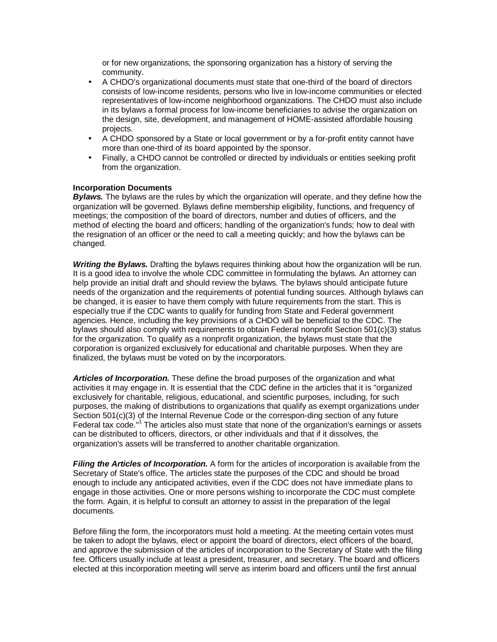or for new organizations, the sponsoring organization has a history of serving the community.

- A CHDO's organizational documents must state that one-third of the board of directors consists of low-income residents, persons who live in low-income communities or elected representatives of low-income neighborhood organizations. The CHDO must also include in its bylaws a formal process for low-income beneficiaries to advise the organization on the design, site, development, and management of HOME-assisted affordable housing projects.
- A CHDO sponsored by a State or local government or by a for-profit entity cannot have more than one-third of its board appointed by the sponsor.
- Finally, a CHDO cannot be controlled or directed by individuals or entities seeking profit from the organization.

#### **Incorporation Documents**

*Bylaws.* The bylaws are the rules by which the organization will operate, and they define how the organization will be governed. Bylaws define membership eligibility, functions, and frequency of meetings; the composition of the board of directors, number and duties of officers, and the method of electing the board and officers; handling of the organization's funds; how to deal with the resignation of an officer or the need to call a meeting quickly; and how the bylaws can be changed.

*Writing the Bylaws.* Drafting the bylaws requires thinking about how the organization will be run. It is a good idea to involve the whole CDC committee in formulating the bylaws. An attorney can help provide an initial draft and should review the bylaws. The bylaws should anticipate future needs of the organization and the requirements of potential funding sources. Although bylaws can be changed, it is easier to have them comply with future requirements from the start. This is especially true if the CDC wants to qualify for funding from State and Federal government agencies. Hence, including the key provisions of a CHDO will be beneficial to the CDC. The bylaws should also comply with requirements to obtain Federal nonprofit Section 501(c)(3) status for the organization. To qualify as a nonprofit organization, the bylaws must state that the corporation is organized exclusively for educational and charitable purposes. When they are finalized, the bylaws must be voted on by the incorporators.

*Articles of Incorporation.* These define the broad purposes of the organization and what activities it may engage in. It is essential that the CDC define in the articles that it is "organized exclusively for charitable, religious, educational, and scientific purposes, including, for such purposes, the making of distributions to organizations that qualify as exempt organizations under Section 501(c)(3) of the Internal Revenue Code or the correspon-ding section of any future Federal tax code."<sup>1</sup> The articles also must state that none of the organization's earnings or assets can be distributed to officers, directors, or other individuals and that if it dissolves, the organization's assets will be transferred to another charitable organization.

*Filing the Articles of Incorporation.* A form for the articles of incorporation is available from the Secretary of State's office. The articles state the purposes of the CDC and should be broad enough to include any anticipated activities, even if the CDC does not have immediate plans to engage in those activities. One or more persons wishing to incorporate the CDC must complete the form. Again, it is helpful to consult an attorney to assist in the preparation of the legal documents.

Before filing the form, the incorporators must hold a meeting. At the meeting certain votes must be taken to adopt the bylaws, elect or appoint the board of directors, elect officers of the board, and approve the submission of the articles of incorporation to the Secretary of State with the filing fee. Officers usually include at least a president, treasurer, and secretary. The board and officers elected at this incorporation meeting will serve as interim board and officers until the first annual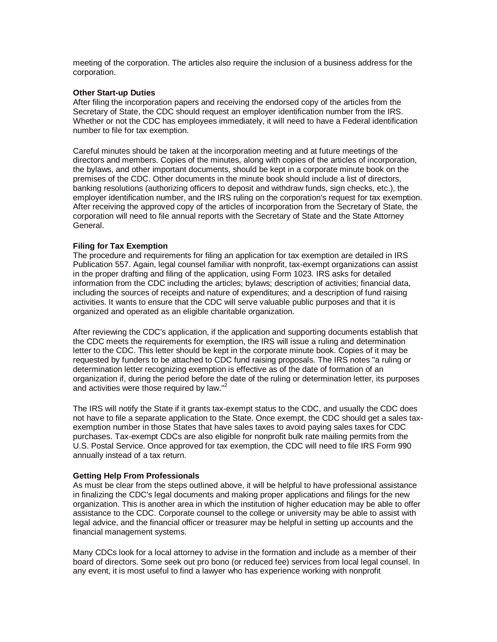meeting of the corporation. The articles also require the inclusion of a business address for the corporation.

## **Other Start-up Duties**

After filing the incorporation papers and receiving the endorsed copy of the articles from the Secretary of State, the CDC should request an employer identification number from the IRS. Whether or not the CDC has employees immediately, it will need to have a Federal identification number to file for tax exemption.

Careful minutes should be taken at the incorporation meeting and at future meetings of the directors and members. Copies of the minutes, along with copies of the articles of incorporation, the bylaws, and other important documents, should be kept in a corporate minute book on the premises of the CDC. Other documents in the minute book should include a list of directors, banking resolutions (authorizing officers to deposit and withdraw funds, sign checks, etc.), the employer identification number, and the IRS ruling on the corporation's request for tax exemption. After receiving the approved copy of the articles of incorporation from the Secretary of State, the corporation will need to file annual reports with the Secretary of State and the State Attorney General.

## **Filing for Tax Exemption**

The procedure and requirements for filing an application for tax exemption are detailed in IRS Publication 557. Again, legal counsel familiar with nonprofit, tax-exempt organizations can assist in the proper drafting and filing of the application, using Form 1023. IRS asks for detailed information from the CDC including the articles; bylaws; description of activities; financial data, including the sources of receipts and nature of expenditures; and a description of fund raising activities. It wants to ensure that the CDC will serve valuable public purposes and that it is organized and operated as an eligible charitable organization.

After reviewing the CDC's application, if the application and supporting documents establish that the CDC meets the requirements for exemption, the IRS will issue a ruling and determination letter to the CDC. This letter should be kept in the corporate minute book. Copies of it may be requested by funders to be attached to CDC fund raising proposals. The IRS notes "a ruling or determination letter recognizing exemption is effective as of the date of formation of an organization if, during the period before the date of the ruling or determination letter, its purposes and activities were those required by law."<sup>2</sup>

The IRS will notify the State if it grants tax-exempt status to the CDC, and usually the CDC does not have to file a separate application to the State. Once exempt, the CDC should get a sales taxexemption number in those States that have sales taxes to avoid paying sales taxes for CDC purchases. Tax-exempt CDCs are also eligible for nonprofit bulk rate mailing permits from the U.S. Postal Service. Once approved for tax exemption, the CDC will need to file IRS Form 990 annually instead of a tax return.

## **Getting Help From Professionals**

As must be clear from the steps outlined above, it will be helpful to have professional assistance in finalizing the CDC's legal documents and making proper applications and filings for the new organization. This is another area in which the institution of higher education may be able to offer assistance to the CDC. Corporate counsel to the college or university may be able to assist with legal advice, and the financial officer or treasurer may be helpful in setting up accounts and the financial management systems.

Many CDCs look for a local attorney to advise in the formation and include as a member of their board of directors. Some seek out pro bono (or reduced fee) services from local legal counsel. In any event, it is most useful to find a lawyer who has experience working with nonprofit